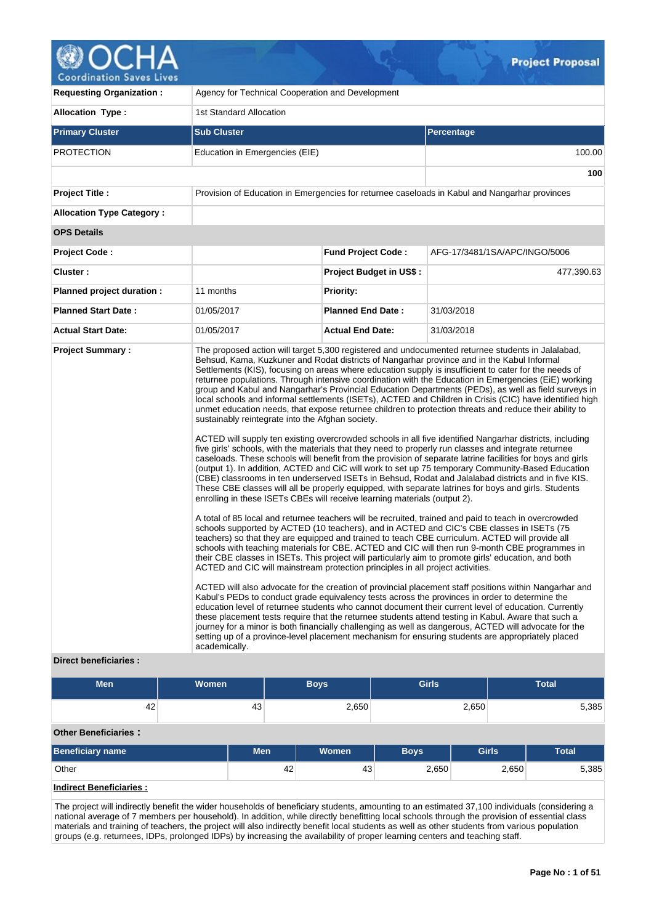

| <b>Requesting Organization:</b>                   | Agency for Technical Cooperation and Development                                                                                                                                                                                 |                                |                                                                                                                                                                                                                                                                                                                                                                                                                                                                                                                                                                                                                                                                                                                                                                                                                                                                                                                                                                                                                                                                                                                                                                                                                                                                                                                                                                                                                                                                                                                                                                                                                                                                                                                                                                                                                                                                                                                                                                                                                                                                                                                                                                                                                                                                                                                                                                                                                                                                                                                                                                  |  |  |  |  |  |
|---------------------------------------------------|----------------------------------------------------------------------------------------------------------------------------------------------------------------------------------------------------------------------------------|--------------------------------|------------------------------------------------------------------------------------------------------------------------------------------------------------------------------------------------------------------------------------------------------------------------------------------------------------------------------------------------------------------------------------------------------------------------------------------------------------------------------------------------------------------------------------------------------------------------------------------------------------------------------------------------------------------------------------------------------------------------------------------------------------------------------------------------------------------------------------------------------------------------------------------------------------------------------------------------------------------------------------------------------------------------------------------------------------------------------------------------------------------------------------------------------------------------------------------------------------------------------------------------------------------------------------------------------------------------------------------------------------------------------------------------------------------------------------------------------------------------------------------------------------------------------------------------------------------------------------------------------------------------------------------------------------------------------------------------------------------------------------------------------------------------------------------------------------------------------------------------------------------------------------------------------------------------------------------------------------------------------------------------------------------------------------------------------------------------------------------------------------------------------------------------------------------------------------------------------------------------------------------------------------------------------------------------------------------------------------------------------------------------------------------------------------------------------------------------------------------------------------------------------------------------------------------------------------------|--|--|--|--|--|
| <b>Allocation Type:</b>                           | 1st Standard Allocation                                                                                                                                                                                                          |                                |                                                                                                                                                                                                                                                                                                                                                                                                                                                                                                                                                                                                                                                                                                                                                                                                                                                                                                                                                                                                                                                                                                                                                                                                                                                                                                                                                                                                                                                                                                                                                                                                                                                                                                                                                                                                                                                                                                                                                                                                                                                                                                                                                                                                                                                                                                                                                                                                                                                                                                                                                                  |  |  |  |  |  |
| <b>Primary Cluster</b>                            | <b>Sub Cluster</b>                                                                                                                                                                                                               |                                | <b>Percentage</b>                                                                                                                                                                                                                                                                                                                                                                                                                                                                                                                                                                                                                                                                                                                                                                                                                                                                                                                                                                                                                                                                                                                                                                                                                                                                                                                                                                                                                                                                                                                                                                                                                                                                                                                                                                                                                                                                                                                                                                                                                                                                                                                                                                                                                                                                                                                                                                                                                                                                                                                                                |  |  |  |  |  |
| <b>PROTECTION</b>                                 | Education in Emergencies (EIE)                                                                                                                                                                                                   |                                | 100.00                                                                                                                                                                                                                                                                                                                                                                                                                                                                                                                                                                                                                                                                                                                                                                                                                                                                                                                                                                                                                                                                                                                                                                                                                                                                                                                                                                                                                                                                                                                                                                                                                                                                                                                                                                                                                                                                                                                                                                                                                                                                                                                                                                                                                                                                                                                                                                                                                                                                                                                                                           |  |  |  |  |  |
|                                                   |                                                                                                                                                                                                                                  |                                | 100                                                                                                                                                                                                                                                                                                                                                                                                                                                                                                                                                                                                                                                                                                                                                                                                                                                                                                                                                                                                                                                                                                                                                                                                                                                                                                                                                                                                                                                                                                                                                                                                                                                                                                                                                                                                                                                                                                                                                                                                                                                                                                                                                                                                                                                                                                                                                                                                                                                                                                                                                              |  |  |  |  |  |
| <b>Project Title:</b>                             |                                                                                                                                                                                                                                  |                                | Provision of Education in Emergencies for returnee caseloads in Kabul and Nangarhar provinces                                                                                                                                                                                                                                                                                                                                                                                                                                                                                                                                                                                                                                                                                                                                                                                                                                                                                                                                                                                                                                                                                                                                                                                                                                                                                                                                                                                                                                                                                                                                                                                                                                                                                                                                                                                                                                                                                                                                                                                                                                                                                                                                                                                                                                                                                                                                                                                                                                                                    |  |  |  |  |  |
| <b>Allocation Type Category:</b>                  |                                                                                                                                                                                                                                  |                                |                                                                                                                                                                                                                                                                                                                                                                                                                                                                                                                                                                                                                                                                                                                                                                                                                                                                                                                                                                                                                                                                                                                                                                                                                                                                                                                                                                                                                                                                                                                                                                                                                                                                                                                                                                                                                                                                                                                                                                                                                                                                                                                                                                                                                                                                                                                                                                                                                                                                                                                                                                  |  |  |  |  |  |
| <b>OPS Details</b>                                |                                                                                                                                                                                                                                  |                                |                                                                                                                                                                                                                                                                                                                                                                                                                                                                                                                                                                                                                                                                                                                                                                                                                                                                                                                                                                                                                                                                                                                                                                                                                                                                                                                                                                                                                                                                                                                                                                                                                                                                                                                                                                                                                                                                                                                                                                                                                                                                                                                                                                                                                                                                                                                                                                                                                                                                                                                                                                  |  |  |  |  |  |
| <b>Project Code:</b>                              |                                                                                                                                                                                                                                  | <b>Fund Project Code:</b>      | AFG-17/3481/1SA/APC/INGO/5006                                                                                                                                                                                                                                                                                                                                                                                                                                                                                                                                                                                                                                                                                                                                                                                                                                                                                                                                                                                                                                                                                                                                                                                                                                                                                                                                                                                                                                                                                                                                                                                                                                                                                                                                                                                                                                                                                                                                                                                                                                                                                                                                                                                                                                                                                                                                                                                                                                                                                                                                    |  |  |  |  |  |
| Cluster:                                          |                                                                                                                                                                                                                                  | <b>Project Budget in US\$:</b> | 477,390.63                                                                                                                                                                                                                                                                                                                                                                                                                                                                                                                                                                                                                                                                                                                                                                                                                                                                                                                                                                                                                                                                                                                                                                                                                                                                                                                                                                                                                                                                                                                                                                                                                                                                                                                                                                                                                                                                                                                                                                                                                                                                                                                                                                                                                                                                                                                                                                                                                                                                                                                                                       |  |  |  |  |  |
| Planned project duration :                        | 11 months                                                                                                                                                                                                                        | <b>Priority:</b>               |                                                                                                                                                                                                                                                                                                                                                                                                                                                                                                                                                                                                                                                                                                                                                                                                                                                                                                                                                                                                                                                                                                                                                                                                                                                                                                                                                                                                                                                                                                                                                                                                                                                                                                                                                                                                                                                                                                                                                                                                                                                                                                                                                                                                                                                                                                                                                                                                                                                                                                                                                                  |  |  |  |  |  |
| <b>Planned Start Date:</b>                        | 01/05/2017                                                                                                                                                                                                                       | <b>Planned End Date:</b>       | 31/03/2018                                                                                                                                                                                                                                                                                                                                                                                                                                                                                                                                                                                                                                                                                                                                                                                                                                                                                                                                                                                                                                                                                                                                                                                                                                                                                                                                                                                                                                                                                                                                                                                                                                                                                                                                                                                                                                                                                                                                                                                                                                                                                                                                                                                                                                                                                                                                                                                                                                                                                                                                                       |  |  |  |  |  |
| <b>Actual Start Date:</b>                         | 01/05/2017                                                                                                                                                                                                                       | <b>Actual End Date:</b>        | 31/03/2018                                                                                                                                                                                                                                                                                                                                                                                                                                                                                                                                                                                                                                                                                                                                                                                                                                                                                                                                                                                                                                                                                                                                                                                                                                                                                                                                                                                                                                                                                                                                                                                                                                                                                                                                                                                                                                                                                                                                                                                                                                                                                                                                                                                                                                                                                                                                                                                                                                                                                                                                                       |  |  |  |  |  |
| <b>Project Summary:</b><br>Direct heneficiaries . | sustainably reintegrate into the Afghan society.<br>enrolling in these ISETs CBEs will receive learning materials (output 2).<br>ACTED and CIC will mainstream protection principles in all project activities.<br>academically. |                                | The proposed action will target 5,300 registered and undocumented returnee students in Jalalabad,<br>Behsud, Kama, Kuzkuner and Rodat districts of Nangarhar province and in the Kabul Informal<br>Settlements (KIS), focusing on areas where education supply is insufficient to cater for the needs of<br>returnee populations. Through intensive coordination with the Education in Emergencies (EiE) working<br>group and Kabul and Nangarhar's Provincial Education Departments (PEDs), as well as field surveys in<br>local schools and informal settlements (ISETs), ACTED and Children in Crisis (CIC) have identified high<br>unmet education needs, that expose returnee children to protection threats and reduce their ability to<br>ACTED will supply ten existing overcrowded schools in all five identified Nangarhar districts, including<br>five girls' schools, with the materials that they need to properly run classes and integrate returnee<br>caseloads. These schools will benefit from the provision of separate latrine facilities for boys and girls<br>(output 1). In addition, ACTED and CiC will work to set up 75 temporary Community-Based Education<br>(CBE) classrooms in ten underserved ISETs in Behsud, Rodat and Jalalabad districts and in five KIS.<br>These CBE classes will all be properly equipped, with separate latrines for boys and girls. Students<br>A total of 85 local and returnee teachers will be recruited, trained and paid to teach in overcrowded<br>schools supported by ACTED (10 teachers), and in ACTED and CIC's CBE classes in ISETs (75<br>teachers) so that they are equipped and trained to teach CBE curriculum. ACTED will provide all<br>schools with teaching materials for CBE. ACTED and CIC will then run 9-month CBE programmes in<br>their CBE classes in ISETs. This project will particularly aim to promote girls' education, and both<br>ACTED will also advocate for the creation of provincial placement staff positions within Nangarhar and<br>Kabul's PEDs to conduct grade equivalency tests across the provinces in order to determine the<br>education level of returnee students who cannot document their current level of education. Currently<br>these placement tests require that the returnee students attend testing in Kabul. Aware that such a<br>journey for a minor is both financially challenging as well as dangerous, ACTED will advocate for the<br>setting up of a province-level placement mechanism for ensuring students are appropriately placed |  |  |  |  |  |

# **Direct beneficiaries :**

| <b>Men</b>                     |  |            | <b>Boys</b> | <b>Girls</b> |             | <b>Total</b> |              |  |  |  |
|--------------------------------|--|------------|-------------|--------------|-------------|--------------|--------------|--|--|--|
| 42                             |  | 43         |             | 2,650        |             | 2,650        | 5,385        |  |  |  |
| <b>Other Beneficiaries:</b>    |  |            |             |              |             |              |              |  |  |  |
| <b>Beneficiary name</b>        |  | <b>Men</b> |             | <b>Women</b> | <b>Boys</b> | <b>Girls</b> | <b>Total</b> |  |  |  |
| Other                          |  |            | 42          | 43           | 2,650       | 2,650        | 5,385        |  |  |  |
| <b>Indirect Beneficiaries:</b> |  |            |             |              |             |              |              |  |  |  |

The project will indirectly benefit the wider households of beneficiary students, amounting to an estimated 37,100 individuals (considering a national average of 7 members per household). In addition, while directly benefitting local schools through the provision of essential class materials and training of teachers, the project will also indirectly benefit local students as well as other students from various population groups (e.g. returnees, IDPs, prolonged IDPs) by increasing the availability of proper learning centers and teaching staff.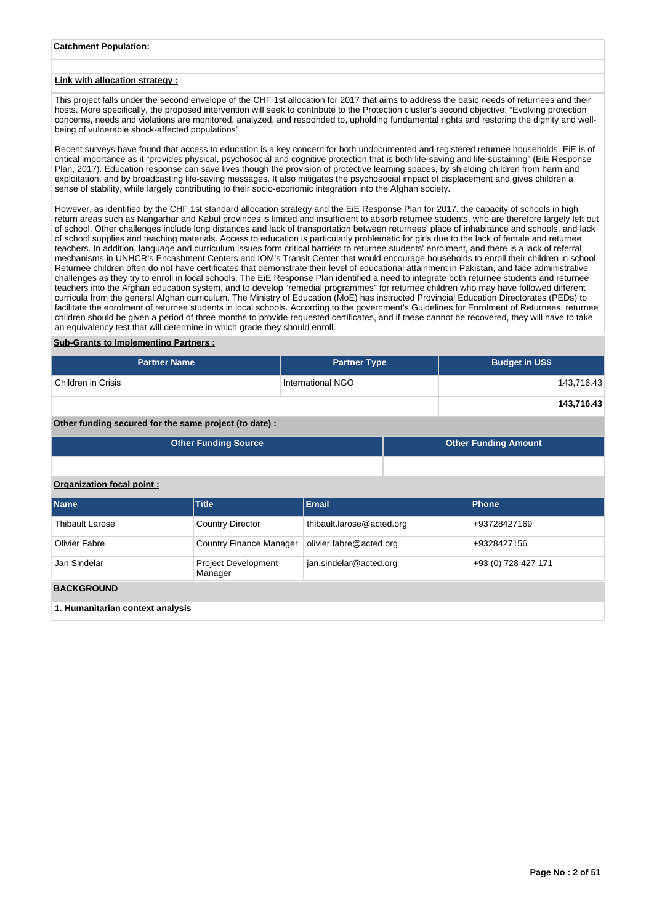## **Catchment Population:**

#### **Link with allocation strategy :**

This project falls under the second envelope of the CHF 1st allocation for 2017 that aims to address the basic needs of returnees and their hosts. More specifically, the proposed intervention will seek to contribute to the Protection cluster's second objective: "Evolving protection concerns, needs and violations are monitored, analyzed, and responded to, upholding fundamental rights and restoring the dignity and wellbeing of vulnerable shock-affected populations".

Recent surveys have found that access to education is a key concern for both undocumented and registered returnee households. EiE is of critical importance as it "provides physical, psychosocial and cognitive protection that is both life-saving and life-sustaining" (EiE Response Plan, 2017). Education response can save lives though the provision of protective learning spaces, by shielding children from harm and exploitation, and by broadcasting life-saving messages. It also mitigates the psychosocial impact of displacement and gives children a sense of stability, while largely contributing to their socio-economic integration into the Afghan society.

However, as identified by the CHF 1st standard allocation strategy and the EiE Response Plan for 2017, the capacity of schools in high return areas such as Nangarhar and Kabul provinces is limited and insufficient to absorb returnee students, who are therefore largely left out of school. Other challenges include long distances and lack of transportation between returnees' place of inhabitance and schools, and lack of school supplies and teaching materials. Access to education is particularly problematic for girls due to the lack of female and returnee teachers. In addition, language and curriculum issues form critical barriers to returnee students' enrolment, and there is a lack of referral mechanisms in UNHCR's Encashment Centers and IOM's Transit Center that would encourage households to enroll their children in school. Returnee children often do not have certificates that demonstrate their level of educational attainment in Pakistan, and face administrative challenges as they try to enroll in local schools. The EiE Response Plan identified a need to integrate both returnee students and returnee teachers into the Afghan education system, and to develop "remedial programmes" for returnee children who may have followed different curricula from the general Afghan curriculum. The Ministry of Education (MoE) has instructed Provincial Education Directorates (PEDs) to facilitate the enrolment of returnee students in local schools. According to the government's Guidelines for Enrolment of Returnees, returnee children should be given a period of three months to provide requested certificates, and if these cannot be recovered, they will have to take an equivalency test that will determine in which grade they should enroll.

#### **Sub-Grants to Implementing Partners :**

| <b>Partner Name</b> | <b>Partner Type</b> | <b>Budget in US\$</b> |
|---------------------|---------------------|-----------------------|
| Children in Crisis  | International NGO   | 143,716.43            |
|                     |                     | 143,716.43            |

**Other funding secured for the same project (to date) :**

|                           | <b>Other Funding Source</b> | <b>Other Funding Amount</b> |  |              |  |  |
|---------------------------|-----------------------------|-----------------------------|--|--------------|--|--|
|                           |                             |                             |  |              |  |  |
| Organization focal point: |                             |                             |  |              |  |  |
| <b>Name</b>               | <b>Title</b>                | <b>Email</b>                |  | Phone        |  |  |
| Thihault Larose           | Country Director            | nn hatar @aeral tluedidt    |  | +03728427160 |  |  |

| Thibault Larose                  | <b>Country Director</b>               | thibault.larose@acted.org | +93728427169 |  |  |  |  |  |  |
|----------------------------------|---------------------------------------|---------------------------|--------------|--|--|--|--|--|--|
| Olivier Fabre                    | <b>Country Finance Manager</b>        | olivier.fabre@acted.org   | +9328427156  |  |  |  |  |  |  |
| Jan Sindelar                     | <b>Project Development</b><br>Manager | +93 (0) 728 427 171       |              |  |  |  |  |  |  |
| <b>BACKGROUND</b>                |                                       |                           |              |  |  |  |  |  |  |
| 1. Humanitarian context analysis |                                       |                           |              |  |  |  |  |  |  |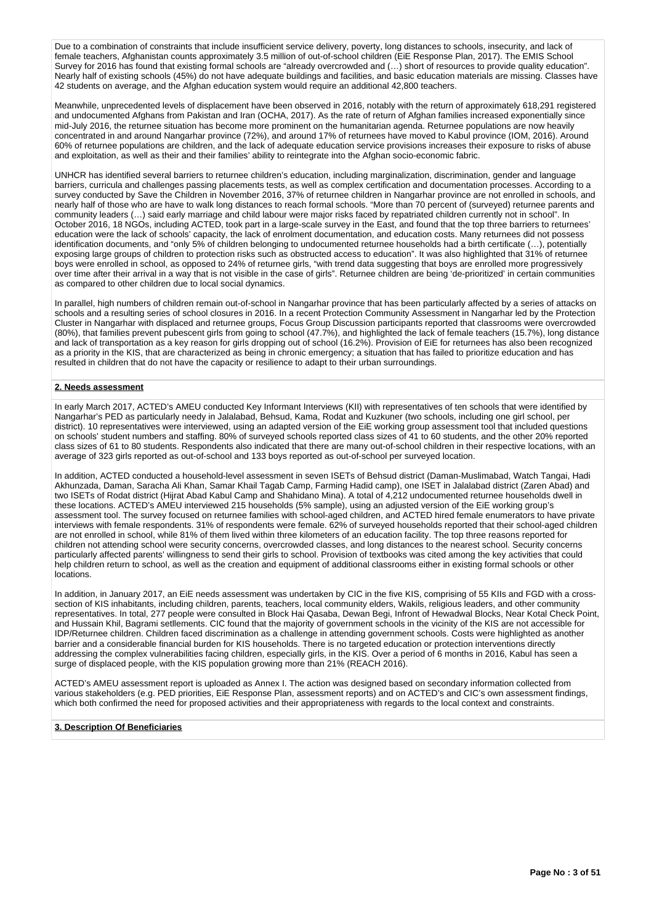Due to a combination of constraints that include insufficient service delivery, poverty, long distances to schools, insecurity, and lack of female teachers, Afghanistan counts approximately 3.5 million of out-of-school children (EiE Response Plan, 2017). The EMIS School Survey for 2016 has found that existing formal schools are "already overcrowded and (…) short of resources to provide quality education". Nearly half of existing schools (45%) do not have adequate buildings and facilities, and basic education materials are missing. Classes have 42 students on average, and the Afghan education system would require an additional 42,800 teachers.

Meanwhile, unprecedented levels of displacement have been observed in 2016, notably with the return of approximately 618,291 registered and undocumented Afghans from Pakistan and Iran (OCHA, 2017). As the rate of return of Afghan families increased exponentially since mid-July 2016, the returnee situation has become more prominent on the humanitarian agenda. Returnee populations are now heavily concentrated in and around Nangarhar province (72%), and around 17% of returnees have moved to Kabul province (IOM, 2016). Around 60% of returnee populations are children, and the lack of adequate education service provisions increases their exposure to risks of abuse and exploitation, as well as their and their families' ability to reintegrate into the Afghan socio-economic fabric.

UNHCR has identified several barriers to returnee children's education, including marginalization, discrimination, gender and language barriers, curricula and challenges passing placements tests, as well as complex certification and documentation processes. According to a survey conducted by Save the Children in November 2016, 37% of returnee children in Nangarhar province are not enrolled in schools, and nearly half of those who are have to walk long distances to reach formal schools. "More than 70 percent of (surveyed) returnee parents and community leaders (…) said early marriage and child labour were major risks faced by repatriated children currently not in school". In October 2016, 18 NGOs, including ACTED, took part in a large-scale survey in the East, and found that the top three barriers to returnees' education were the lack of schools' capacity, the lack of enrolment documentation, and education costs. Many returnees did not possess identification documents, and "only 5% of children belonging to undocumented returnee households had a birth certificate (…), potentially exposing large groups of children to protection risks such as obstructed access to education". It was also highlighted that 31% of returnee boys were enrolled in school, as opposed to 24% of returnee girls, "with trend data suggesting that boys are enrolled more progressively over time after their arrival in a way that is not visible in the case of girls". Returnee children are being 'de-prioritized' in certain communities as compared to other children due to local social dynamics.

In parallel, high numbers of children remain out-of-school in Nangarhar province that has been particularly affected by a series of attacks on schools and a resulting series of school closures in 2016. In a recent Protection Community Assessment in Nangarhar led by the Protection Cluster in Nangarhar with displaced and returnee groups, Focus Group Discussion participants reported that classrooms were overcrowded (80%), that families prevent pubescent girls from going to school (47.7%), and highlighted the lack of female teachers (15.7%), long distance and lack of transportation as a key reason for girls dropping out of school (16.2%). Provision of EiE for returnees has also been recognized as a priority in the KIS, that are characterized as being in chronic emergency; a situation that has failed to prioritize education and has resulted in children that do not have the capacity or resilience to adapt to their urban surroundings.

## **2. Needs assessment**

In early March 2017, ACTED's AMEU conducted Key Informant Interviews (KII) with representatives of ten schools that were identified by Nangarhar's PED as particularly needy in Jalalabad, Behsud, Kama, Rodat and Kuzkuner (two schools, including one girl school, per district). 10 representatives were interviewed, using an adapted version of the EiE working group assessment tool that included questions on schools' student numbers and staffing. 80% of surveyed schools reported class sizes of 41 to 60 students, and the other 20% reported class sizes of 61 to 80 students. Respondents also indicated that there are many out-of-school children in their respective locations, with an average of 323 girls reported as out-of-school and 133 boys reported as out-of-school per surveyed location.

In addition, ACTED conducted a household-level assessment in seven ISETs of Behsud district (Daman-Muslimabad, Watch Tangai, Hadi Akhunzada, Daman, Saracha Ali Khan, Samar Khail Tagab Camp, Farming Hadid camp), one ISET in Jalalabad district (Zaren Abad) and two ISETs of Rodat district (Hijrat Abad Kabul Camp and Shahidano Mina). A total of 4,212 undocumented returnee households dwell in these locations. ACTED's AMEU interviewed 215 households (5% sample), using an adjusted version of the EiE working group's assessment tool. The survey focused on returnee families with school-aged children, and ACTED hired female enumerators to have private interviews with female respondents. 31% of respondents were female. 62% of surveyed households reported that their school-aged children are not enrolled in school, while 81% of them lived within three kilometers of an education facility. The top three reasons reported for children not attending school were security concerns, overcrowded classes, and long distances to the nearest school. Security concerns particularly affected parents' willingness to send their girls to school. Provision of textbooks was cited among the key activities that could help children return to school, as well as the creation and equipment of additional classrooms either in existing formal schools or other locations.

In addition, in January 2017, an EiE needs assessment was undertaken by CIC in the five KIS, comprising of 55 KIIs and FGD with a crosssection of KIS inhabitants, including children, parents, teachers, local community elders, Wakils, religious leaders, and other community representatives. In total, 277 people were consulted in Block Hai Qasaba, Dewan Begi, Infront of Hewadwal Blocks, Near Kotal Check Point, and Hussain Khil, Bagrami setllements. CIC found that the majority of government schools in the vicinity of the KIS are not accessible for IDP/Returnee children. Children faced discrimination as a challenge in attending government schools. Costs were highlighted as another barrier and a considerable financial burden for KIS households. There is no targeted education or protection interventions directly addressing the complex vulnerabilities facing children, especially girls, in the KIS. Over a period of 6 months in 2016, Kabul has seen a surge of displaced people, with the KIS population growing more than 21% (REACH 2016).

ACTED's AMEU assessment report is uploaded as Annex I. The action was designed based on secondary information collected from various stakeholders (e.g. PED priorities, EiE Response Plan, assessment reports) and on ACTED's and CIC's own assessment findings, which both confirmed the need for proposed activities and their appropriateness with regards to the local context and constraints.

# **3. Description Of Beneficiaries**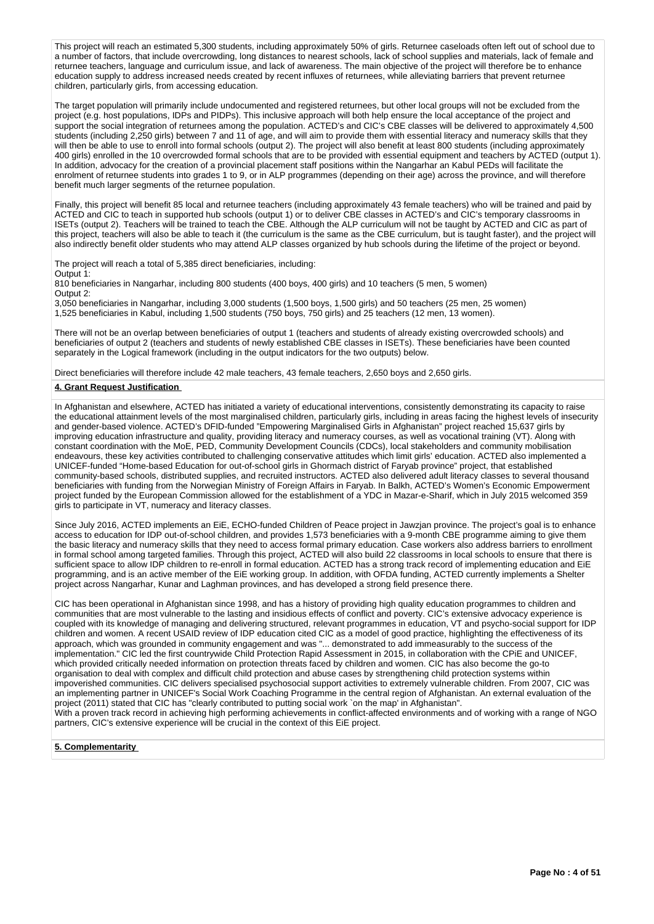This project will reach an estimated 5,300 students, including approximately 50% of girls. Returnee caseloads often left out of school due to a number of factors, that include overcrowding, long distances to nearest schools, lack of school supplies and materials, lack of female and returnee teachers, language and curriculum issue, and lack of awareness. The main objective of the project will therefore be to enhance education supply to address increased needs created by recent influxes of returnees, while alleviating barriers that prevent returnee children, particularly girls, from accessing education.

The target population will primarily include undocumented and registered returnees, but other local groups will not be excluded from the project (e.g. host populations, IDPs and PIDPs). This inclusive approach will both help ensure the local acceptance of the project and support the social integration of returnees among the population. ACTED's and CIC's CBE classes will be delivered to approximately 4,500 students (including 2,250 girls) between 7 and 11 of age, and will aim to provide them with essential literacy and numeracy skills that they will then be able to use to enroll into formal schools (output 2). The project will also benefit at least 800 students (including approximately 400 girls) enrolled in the 10 overcrowded formal schools that are to be provided with essential equipment and teachers by ACTED (output 1). In addition, advocacy for the creation of a provincial placement staff positions within the Nangarhar an Kabul PEDs will facilitate the enrolment of returnee students into grades 1 to 9, or in ALP programmes (depending on their age) across the province, and will therefore benefit much larger segments of the returnee population.

Finally, this project will benefit 85 local and returnee teachers (including approximately 43 female teachers) who will be trained and paid by ACTED and CIC to teach in supported hub schools (output 1) or to deliver CBE classes in ACTED's and CIC's temporary classrooms in ISETs (output 2). Teachers will be trained to teach the CBE. Although the ALP curriculum will not be taught by ACTED and CIC as part of this project, teachers will also be able to teach it (the curriculum is the same as the CBE curriculum, but is taught faster), and the project will also indirectly benefit older students who may attend ALP classes organized by hub schools during the lifetime of the project or beyond.

The project will reach a total of 5,385 direct beneficiaries, including:

Output 1:

810 beneficiaries in Nangarhar, including 800 students (400 boys, 400 girls) and 10 teachers (5 men, 5 women) Output 2:

3,050 beneficiaries in Nangarhar, including 3,000 students (1,500 boys, 1,500 girls) and 50 teachers (25 men, 25 women) 1,525 beneficiaries in Kabul, including 1,500 students (750 boys, 750 girls) and 25 teachers (12 men, 13 women).

There will not be an overlap between beneficiaries of output 1 (teachers and students of already existing overcrowded schools) and beneficiaries of output 2 (teachers and students of newly established CBE classes in ISETs). These beneficiaries have been counted separately in the Logical framework (including in the output indicators for the two outputs) below.

Direct beneficiaries will therefore include 42 male teachers, 43 female teachers, 2,650 boys and 2,650 girls.

## **4. Grant Request Justification**

In Afghanistan and elsewhere, ACTED has initiated a variety of educational interventions, consistently demonstrating its capacity to raise the educational attainment levels of the most marginalised children, particularly girls, including in areas facing the highest levels of insecurity and gender-based violence. ACTED's DFID-funded "Empowering Marginalised Girls in Afghanistan" project reached 15,637 girls by improving education infrastructure and quality, providing literacy and numeracy courses, as well as vocational training (VT). Along with constant coordination with the MoE, PED, Community Development Councils (CDCs), local stakeholders and community mobilisation endeavours, these key activities contributed to challenging conservative attitudes which limit girls' education. ACTED also implemented a UNICEF-funded "Home-based Education for out-of-school girls in Ghormach district of Faryab province" project, that established community-based schools, distributed supplies, and recruited instructors. ACTED also delivered adult literacy classes to several thousand beneficiaries with funding from the Norwegian Ministry of Foreign Affairs in Faryab. In Balkh, ACTED's Women's Economic Empowerment project funded by the European Commission allowed for the establishment of a YDC in Mazar-e-Sharif, which in July 2015 welcomed 359 girls to participate in VT, numeracy and literacy classes.

Since July 2016, ACTED implements an EiE, ECHO-funded Children of Peace project in Jawzjan province. The project's goal is to enhance access to education for IDP out-of-school children, and provides 1,573 beneficiaries with a 9-month CBE programme aiming to give them the basic literacy and numeracy skills that they need to access formal primary education. Case workers also address barriers to enrollment in formal school among targeted families. Through this project, ACTED will also build 22 classrooms in local schools to ensure that there is sufficient space to allow IDP children to re-enroll in formal education. ACTED has a strong track record of implementing education and EiE programming, and is an active member of the EiE working group. In addition, with OFDA funding, ACTED currently implements a Shelter project across Nangarhar, Kunar and Laghman provinces, and has developed a strong field presence there.

CIC has been operational in Afghanistan since 1998, and has a history of providing high quality education programmes to children and communities that are most vulnerable to the lasting and insidious effects of conflict and poverty. CIC's extensive advocacy experience is coupled with its knowledge of managing and delivering structured, relevant programmes in education, VT and psycho-social support for IDP children and women. A recent USAID review of IDP education cited CIC as a model of good practice, highlighting the effectiveness of its approach, which was grounded in community engagement and was "... demonstrated to add immeasurably to the success of the implementation." CIC led the first countrywide Child Protection Rapid Assessment in 2015, in collaboration with the CPiE and UNICEF, which provided critically needed information on protection threats faced by children and women. CIC has also become the go-to organisation to deal with complex and difficult child protection and abuse cases by strengthening child protection systems within impoverished communities. CIC delivers specialised psychosocial support activities to extremely vulnerable children. From 2007, CIC was an implementing partner in UNICEF's Social Work Coaching Programme in the central region of Afghanistan. An external evaluation of the project (2011) stated that CIC has "clearly contributed to putting social work `on the map' in Afghanistan". With a proven track record in achieving high performing achievements in conflict-affected environments and of working with a range of NGO

partners, CIC's extensive experience will be crucial in the context of this EiE project.

# **5. Complementarity**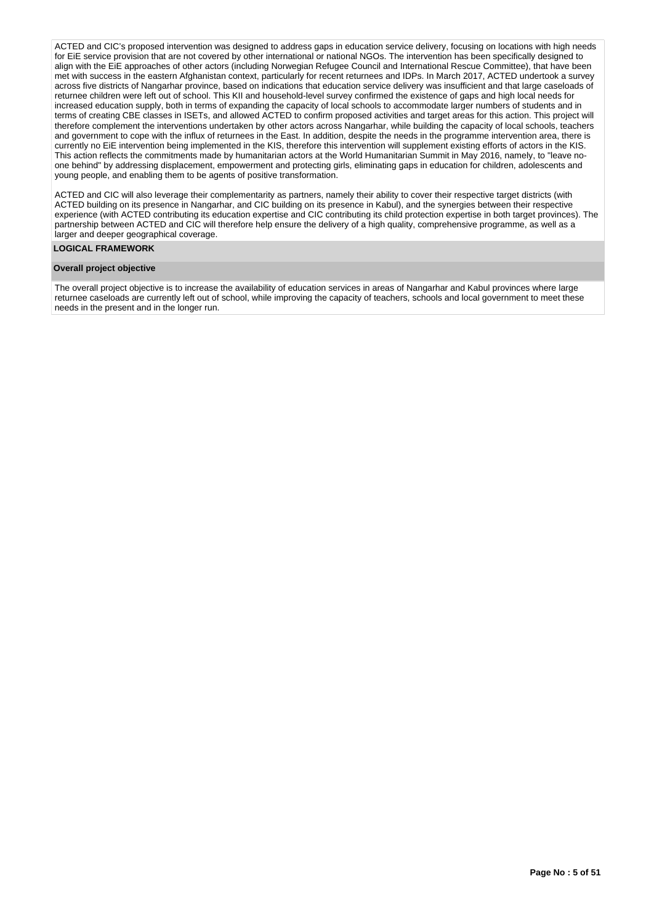ACTED and CIC's proposed intervention was designed to address gaps in education service delivery, focusing on locations with high needs for FiF service provision that are not covered by other international or national NGOs. The intervention has been specifically designed to align with the EiE approaches of other actors (including Norwegian Refugee Council and International Rescue Committee), that have been met with success in the eastern Afghanistan context, particularly for recent returnees and IDPs. In March 2017, ACTED undertook a survey across five districts of Nangarhar province, based on indications that education service delivery was insufficient and that large caseloads of returnee children were left out of school. This KII and household-level survey confirmed the existence of gaps and high local needs for increased education supply, both in terms of expanding the capacity of local schools to accommodate larger numbers of students and in terms of creating CBE classes in ISETs, and allowed ACTED to confirm proposed activities and target areas for this action. This project will therefore complement the interventions undertaken by other actors across Nangarhar, while building the capacity of local schools, teachers and government to cope with the influx of returnees in the East. In addition, despite the needs in the programme intervention area, there is currently no EiE intervention being implemented in the KIS, therefore this intervention will supplement existing efforts of actors in the KIS. This action reflects the commitments made by humanitarian actors at the World Humanitarian Summit in May 2016, namely, to "leave noone behind" by addressing displacement, empowerment and protecting girls, eliminating gaps in education for children, adolescents and young people, and enabling them to be agents of positive transformation.

ACTED and CIC will also leverage their complementarity as partners, namely their ability to cover their respective target districts (with ACTED building on its presence in Nangarhar, and CIC building on its presence in Kabul), and the synergies between their respective experience (with ACTED contributing its education expertise and CIC contributing its child protection expertise in both target provinces). The partnership between ACTED and CIC will therefore help ensure the delivery of a high quality, comprehensive programme, as well as a larger and deeper geographical coverage.

#### **LOGICAL FRAMEWORK**

# **Overall project objective**

The overall project objective is to increase the availability of education services in areas of Nangarhar and Kabul provinces where large returnee caseloads are currently left out of school, while improving the capacity of teachers, schools and local government to meet these needs in the present and in the longer run.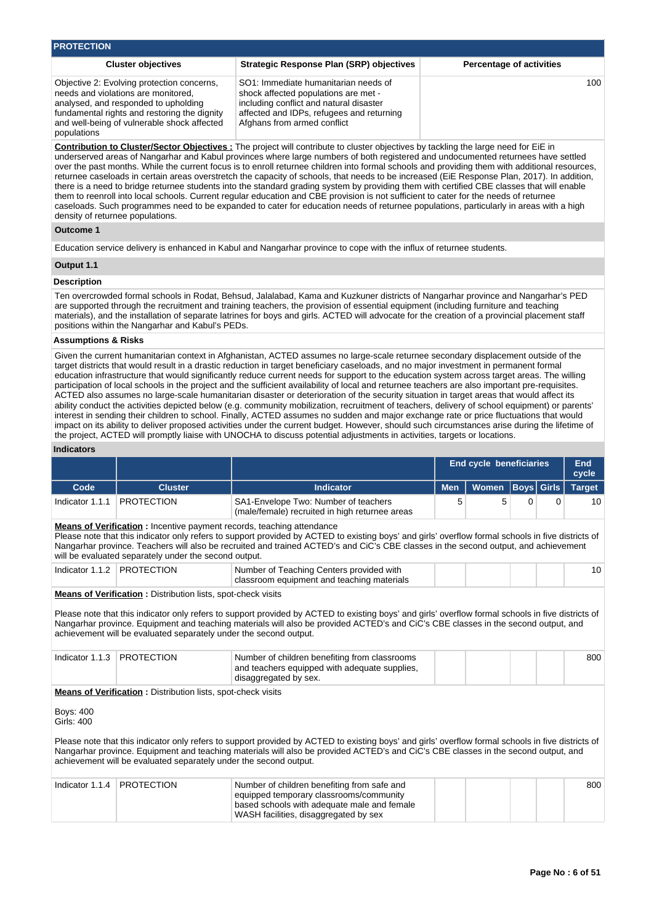| <b>PROTECTION</b>                                                                                                                                                                                                                       |                                                                                                                                                                                                                                                                          |                                 |  |  |  |  |  |  |  |  |
|-----------------------------------------------------------------------------------------------------------------------------------------------------------------------------------------------------------------------------------------|--------------------------------------------------------------------------------------------------------------------------------------------------------------------------------------------------------------------------------------------------------------------------|---------------------------------|--|--|--|--|--|--|--|--|
| <b>Cluster objectives</b>                                                                                                                                                                                                               | <b>Strategic Response Plan (SRP) objectives</b>                                                                                                                                                                                                                          | <b>Percentage of activities</b> |  |  |  |  |  |  |  |  |
| Objective 2: Evolving protection concerns,<br>needs and violations are monitored.<br>analysed, and responded to upholding<br>fundamental rights and restoring the dignity<br>and well-being of vulnerable shock affected<br>populations | SO1: Immediate humanitarian needs of<br>shock affected populations are met -<br>including conflict and natural disaster<br>affected and IDPs, refugees and returning<br>Afghans from armed conflict                                                                      | 100                             |  |  |  |  |  |  |  |  |
|                                                                                                                                                                                                                                         | Contribution to Cluster/Sector Objectives : The project will contribute to cluster objectives by tackling the large need for EiE in<br>underserved areas of Nangarhar and Kabul provinces where large numbers of both registered and undocumented returnees have settled |                                 |  |  |  |  |  |  |  |  |

over the past months. While the current focus is to enroll returnee children into formal schools and providing them with additional resources, returnee caseloads in certain areas overstretch the capacity of schools, that needs to be increased (EiE Response Plan, 2017). In addition, there is a need to bridge returnee students into the standard grading system by providing them with certified CBE classes that will enable them to reenroll into local schools. Current regular education and CBE provision is not sufficient to cater for the needs of returnee caseloads. Such programmes need to be expanded to cater for education needs of returnee populations, particularly in areas with a high density of returnee populations.

# **Outcome 1**

Education service delivery is enhanced in Kabul and Nangarhar province to cope with the influx of returnee students.

# **Output 1.1**

# **Description**

Ten overcrowded formal schools in Rodat, Behsud, Jalalabad, Kama and Kuzkuner districts of Nangarhar province and Nangarhar's PED are supported through the recruitment and training teachers, the provision of essential equipment (including furniture and teaching materials), and the installation of separate latrines for boys and girls. ACTED will advocate for the creation of a provincial placement staff positions within the Nangarhar and Kabul's PEDs.

#### **Assumptions & Risks**

Given the current humanitarian context in Afghanistan, ACTED assumes no large-scale returnee secondary displacement outside of the target districts that would result in a drastic reduction in target beneficiary caseloads, and no major investment in permanent formal education infrastructure that would significantly reduce current needs for support to the education system across target areas. The willing participation of local schools in the project and the sufficient availability of local and returnee teachers are also important pre-requisites. ACTED also assumes no large-scale humanitarian disaster or deterioration of the security situation in target areas that would affect its ability conduct the activities depicted below (e.g. community mobilization, recruitment of teachers, delivery of school equipment) or parents' interest in sending their children to school. Finally, ACTED assumes no sudden and major exchange rate or price fluctuations that would impact on its ability to deliver proposed activities under the current budget. However, should such circumstances arise during the lifetime of the project, ACTED will promptly liaise with UNOCHA to discuss potential adjustments in activities, targets or locations.

#### **Indicators**

|                                                                                                                                                                                                                                                                                                                                                                                                                                                                                                                                      |                                                                                                                                                                                                     |                                                                                                                                                                                                                                                                                          | <b>End cycle beneficiaries</b> |              |                   |   | <b>End</b><br>cycle |  |  |  |  |
|--------------------------------------------------------------------------------------------------------------------------------------------------------------------------------------------------------------------------------------------------------------------------------------------------------------------------------------------------------------------------------------------------------------------------------------------------------------------------------------------------------------------------------------|-----------------------------------------------------------------------------------------------------------------------------------------------------------------------------------------------------|------------------------------------------------------------------------------------------------------------------------------------------------------------------------------------------------------------------------------------------------------------------------------------------|--------------------------------|--------------|-------------------|---|---------------------|--|--|--|--|
| Code                                                                                                                                                                                                                                                                                                                                                                                                                                                                                                                                 | <b>Cluster</b>                                                                                                                                                                                      | <b>Indicator</b>                                                                                                                                                                                                                                                                         | <b>Men</b>                     | <b>Women</b> | <b>Boys</b> Girls |   | <b>Target</b>       |  |  |  |  |
| Indicator 1.1.1                                                                                                                                                                                                                                                                                                                                                                                                                                                                                                                      | <b>PROTECTION</b>                                                                                                                                                                                   | SA1-Envelope Two: Number of teachers<br>(male/female) recruited in high returnee areas                                                                                                                                                                                                   | 5                              | 5            | 0                 | 0 | 10                  |  |  |  |  |
| <b>Means of Verification:</b> Incentive payment records, teaching attendance<br>Please note that this indicator only refers to support provided by ACTED to existing boys' and girls' overflow formal schools in five districts of<br>Nangarhar province. Teachers will also be recruited and trained ACTED's and CiC's CBE classes in the second output, and achievement<br>will be evaluated separately under the second output.                                                                                                   |                                                                                                                                                                                                     |                                                                                                                                                                                                                                                                                          |                                |              |                   |   |                     |  |  |  |  |
|                                                                                                                                                                                                                                                                                                                                                                                                                                                                                                                                      | Indicator 1.1.2   PROTECTION                                                                                                                                                                        | Number of Teaching Centers provided with<br>classroom equipment and teaching materials                                                                                                                                                                                                   |                                |              |                   |   | 10 <sup>°</sup>     |  |  |  |  |
| <b>Means of Verification:</b> Distribution lists, spot-check visits<br>Please note that this indicator only refers to support provided by ACTED to existing boys' and girls' overflow formal schools in five districts of<br>Nangarhar province. Equipment and teaching materials will also be provided ACTED's and CiC's CBE classes in the second output, and<br>achievement will be evaluated separately under the second output.<br>Indicator 1.1.3<br><b>PROTECTION</b><br>Number of children benefiting from classrooms<br>800 |                                                                                                                                                                                                     |                                                                                                                                                                                                                                                                                          |                                |              |                   |   |                     |  |  |  |  |
|                                                                                                                                                                                                                                                                                                                                                                                                                                                                                                                                      | <b>Means of Verification : Distribution lists, spot-check visits</b>                                                                                                                                | and teachers equipped with adequate supplies,<br>disaggregated by sex.                                                                                                                                                                                                                   |                                |              |                   |   |                     |  |  |  |  |
| <b>Boys: 400</b><br>Girls: 400                                                                                                                                                                                                                                                                                                                                                                                                                                                                                                       |                                                                                                                                                                                                     |                                                                                                                                                                                                                                                                                          |                                |              |                   |   |                     |  |  |  |  |
|                                                                                                                                                                                                                                                                                                                                                                                                                                                                                                                                      | achievement will be evaluated separately under the second output.                                                                                                                                   | Please note that this indicator only refers to support provided by ACTED to existing boys' and girls' overflow formal schools in five districts of<br>Nangarhar province. Equipment and teaching materials will also be provided ACTED's and CiC's CBE classes in the second output, and |                                |              |                   |   |                     |  |  |  |  |
| Indicator 1.1.4                                                                                                                                                                                                                                                                                                                                                                                                                                                                                                                      | <b>PROTECTION</b><br>Number of children benefiting from safe and<br>equipped temporary classrooms/community<br>based schools with adequate male and female<br>WASH facilities, disaggregated by sex |                                                                                                                                                                                                                                                                                          |                                |              |                   |   | 800                 |  |  |  |  |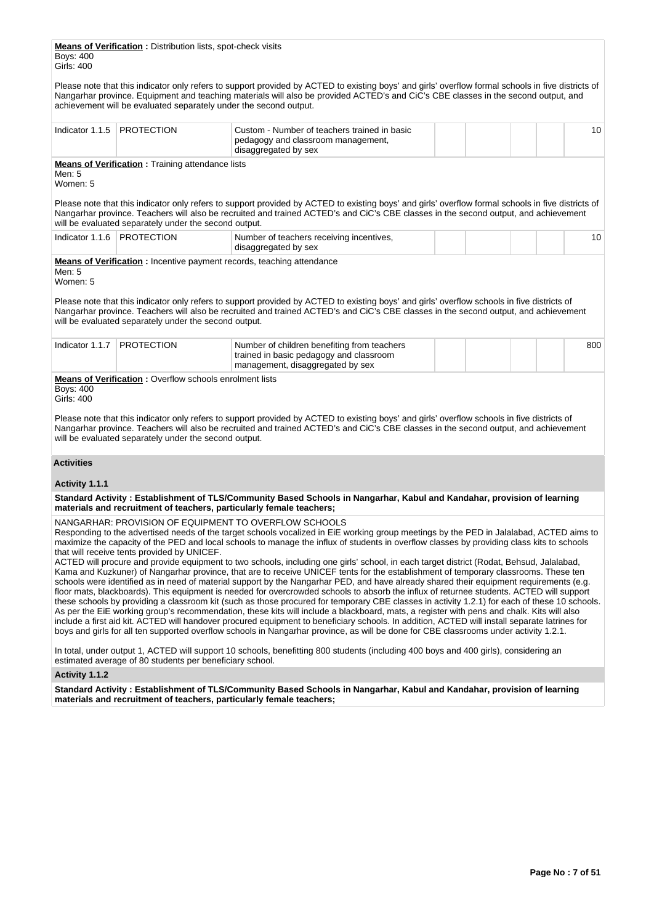**Means of Verification :** Distribution lists, spot-check visits Boys: 400 Girls: 400

Please note that this indicator only refers to support provided by ACTED to existing boys' and girls' overflow formal schools in five districts of Nangarhar province. Equipment and teaching materials will also be provided ACTED's and CiC's CBE classes in the second output, and achievement will be evaluated separately under the second output.

| Indicator $1.1.5$              | <b>PROTECTION</b>                                                                                                                     | Custom - Number of teachers trained in basic<br>pedagogy and classroom management,<br>disaggregated by sex                                                                                                                                                                                                                                                                                                                                                                                                                                                                                                                                                                                                                                                                                                                                                                                                                                                                                                                                                                                                                                                                                                                                                                                                                                                              | 10              |
|--------------------------------|---------------------------------------------------------------------------------------------------------------------------------------|-------------------------------------------------------------------------------------------------------------------------------------------------------------------------------------------------------------------------------------------------------------------------------------------------------------------------------------------------------------------------------------------------------------------------------------------------------------------------------------------------------------------------------------------------------------------------------------------------------------------------------------------------------------------------------------------------------------------------------------------------------------------------------------------------------------------------------------------------------------------------------------------------------------------------------------------------------------------------------------------------------------------------------------------------------------------------------------------------------------------------------------------------------------------------------------------------------------------------------------------------------------------------------------------------------------------------------------------------------------------------|-----------------|
| Men: 5<br>Women: 5             | <b>Means of Verification:</b> Training attendance lists                                                                               |                                                                                                                                                                                                                                                                                                                                                                                                                                                                                                                                                                                                                                                                                                                                                                                                                                                                                                                                                                                                                                                                                                                                                                                                                                                                                                                                                                         |                 |
|                                | will be evaluated separately under the second output.                                                                                 | Please note that this indicator only refers to support provided by ACTED to existing boys' and girls' overflow formal schools in five districts of<br>Nangarhar province. Teachers will also be recruited and trained ACTED's and CiC's CBE classes in the second output, and achievement                                                                                                                                                                                                                                                                                                                                                                                                                                                                                                                                                                                                                                                                                                                                                                                                                                                                                                                                                                                                                                                                               |                 |
|                                | Indicator 1.1.6   PROTECTION                                                                                                          | Number of teachers receiving incentives,<br>disaggregated by sex                                                                                                                                                                                                                                                                                                                                                                                                                                                                                                                                                                                                                                                                                                                                                                                                                                                                                                                                                                                                                                                                                                                                                                                                                                                                                                        | 10 <sup>°</sup> |
| Men: 5<br>Women: 5             | <b>Means of Verification:</b> Incentive payment records, teaching attendance<br>will be evaluated separately under the second output. | Please note that this indicator only refers to support provided by ACTED to existing boys' and girls' overflow schools in five districts of<br>Nangarhar province. Teachers will also be recruited and trained ACTED's and CiC's CBE classes in the second output, and achievement                                                                                                                                                                                                                                                                                                                                                                                                                                                                                                                                                                                                                                                                                                                                                                                                                                                                                                                                                                                                                                                                                      |                 |
| Indicator 1.1.7                | <b>PROTECTION</b>                                                                                                                     | Number of children benefiting from teachers<br>trained in basic pedagogy and classroom<br>management, disaggregated by sex                                                                                                                                                                                                                                                                                                                                                                                                                                                                                                                                                                                                                                                                                                                                                                                                                                                                                                                                                                                                                                                                                                                                                                                                                                              | 800             |
| <b>Boys: 400</b><br>Girls: 400 | <b>Means of Verification: Overflow schools enrolment lists</b><br>will be evaluated separately under the second output.               | Please note that this indicator only refers to support provided by ACTED to existing boys' and girls' overflow schools in five districts of<br>Nangarhar province. Teachers will also be recruited and trained ACTED's and CiC's CBE classes in the second output, and achievement                                                                                                                                                                                                                                                                                                                                                                                                                                                                                                                                                                                                                                                                                                                                                                                                                                                                                                                                                                                                                                                                                      |                 |
| <b>Activities</b>              |                                                                                                                                       |                                                                                                                                                                                                                                                                                                                                                                                                                                                                                                                                                                                                                                                                                                                                                                                                                                                                                                                                                                                                                                                                                                                                                                                                                                                                                                                                                                         |                 |
| Activity 1.1.1                 |                                                                                                                                       | Standard Activity: Establishment of TLS/Community Based Schools in Nangarhar, Kabul and Kandahar, provision of learning                                                                                                                                                                                                                                                                                                                                                                                                                                                                                                                                                                                                                                                                                                                                                                                                                                                                                                                                                                                                                                                                                                                                                                                                                                                 |                 |
|                                | materials and recruitment of teachers, particularly female teachers;                                                                  |                                                                                                                                                                                                                                                                                                                                                                                                                                                                                                                                                                                                                                                                                                                                                                                                                                                                                                                                                                                                                                                                                                                                                                                                                                                                                                                                                                         |                 |
|                                | that will receive tents provided by UNICEF.                                                                                           | NANGARHAR: PROVISION OF EQUIPMENT TO OVERFLOW SCHOOLS<br>Responding to the advertised needs of the target schools vocalized in EiE working group meetings by the PED in Jalalabad, ACTED aims to<br>maximize the capacity of the PED and local schools to manage the influx of students in overflow classes by providing class kits to schools<br>ACTED will procure and provide equipment to two schools, including one girls' school, in each target district (Rodat, Behsud, Jalalabad,<br>Kama and Kuzkuner) of Nangarhar province, that are to receive UNICEF tents for the establishment of temporary classrooms. These ten<br>schools were identified as in need of material support by the Nangarhar PED, and have already shared their equipment requirements (e.g.<br>floor mats, blackboards). This equipment is needed for overcrowded schools to absorb the influx of returnee students. ACTED will support<br>these schools by providing a classroom kit (such as those procured for temporary CBE classes in activity 1.2.1) for each of these 10 schools.<br>As per the EiE working group's recommendation, these kits will include a blackboard, mats, a register with pens and chalk. Kits will also<br>include a first aid kit. ACTED will handover procured equipment to beneficiary schools. In addition, ACTED will install separate latrines for |                 |

In total, under output 1, ACTED will support 10 schools, benefitting 800 students (including 400 boys and 400 girls), considering an estimated average of 80 students per beneficiary school.

**Activity 1.1.2** 

**Standard Activity : Establishment of TLS/Community Based Schools in Nangarhar, Kabul and Kandahar, provision of learning materials and recruitment of teachers, particularly female teachers;**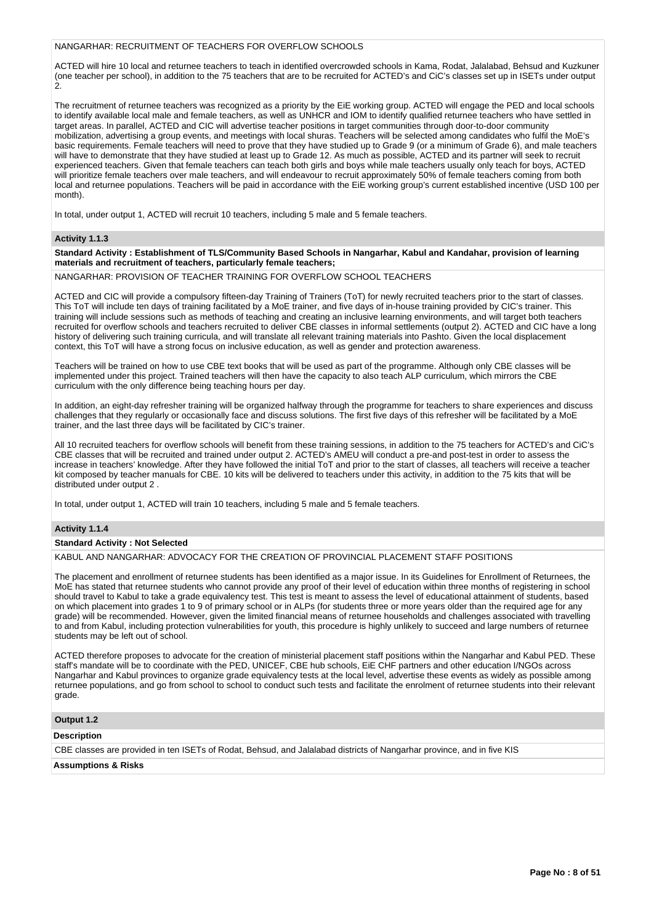## NANGARHAR: RECRUITMENT OF TEACHERS FOR OVERFLOW SCHOOLS

ACTED will hire 10 local and returnee teachers to teach in identified overcrowded schools in Kama, Rodat, Jalalabad, Behsud and Kuzkuner (one teacher per school), in addition to the 75 teachers that are to be recruited for ACTED's and CiC's classes set up in ISETs under output  $\dot{2}$ 

The recruitment of returnee teachers was recognized as a priority by the EiE working group. ACTED will engage the PED and local schools to identify available local male and female teachers, as well as UNHCR and IOM to identify qualified returnee teachers who have settled in target areas. In parallel, ACTED and CIC will advertise teacher positions in target communities through door-to-door community mobilization, advertising a group events, and meetings with local shuras. Teachers will be selected among candidates who fulfil the MoE's basic requirements. Female teachers will need to prove that they have studied up to Grade 9 (or a minimum of Grade 6), and male teachers will have to demonstrate that they have studied at least up to Grade 12. As much as possible, ACTED and its partner will seek to recruit experienced teachers. Given that female teachers can teach both girls and boys while male teachers usually only teach for boys, ACTED will prioritize female teachers over male teachers, and will endeavour to recruit approximately 50% of female teachers coming from both local and returnee populations. Teachers will be paid in accordance with the EiE working group's current established incentive (USD 100 per month).

In total, under output 1, ACTED will recruit 10 teachers, including 5 male and 5 female teachers.

## **Activity 1.1.3**

**Standard Activity : Establishment of TLS/Community Based Schools in Nangarhar, Kabul and Kandahar, provision of learning materials and recruitment of teachers, particularly female teachers;**

NANGARHAR: PROVISION OF TEACHER TRAINING FOR OVERFLOW SCHOOL TEACHERS

ACTED and CIC will provide a compulsory fifteen-day Training of Trainers (ToT) for newly recruited teachers prior to the start of classes. This ToT will include ten days of training facilitated by a MoE trainer, and five days of in-house training provided by CIC's trainer. This training will include sessions such as methods of teaching and creating an inclusive learning environments, and will target both teachers recruited for overflow schools and teachers recruited to deliver CBE classes in informal settlements (output 2). ACTED and CIC have a long history of delivering such training curricula, and will translate all relevant training materials into Pashto. Given the local displacement context, this ToT will have a strong focus on inclusive education, as well as gender and protection awareness.

Teachers will be trained on how to use CBE text books that will be used as part of the programme. Although only CBE classes will be implemented under this project. Trained teachers will then have the capacity to also teach ALP curriculum, which mirrors the CBE curriculum with the only difference being teaching hours per day.

In addition, an eight-day refresher training will be organized halfway through the programme for teachers to share experiences and discuss challenges that they regularly or occasionally face and discuss solutions. The first five days of this refresher will be facilitated by a MoE trainer, and the last three days will be facilitated by CIC's trainer.

All 10 recruited teachers for overflow schools will benefit from these training sessions, in addition to the 75 teachers for ACTED's and CiC's CBE classes that will be recruited and trained under output 2. ACTED's AMEU will conduct a pre-and post-test in order to assess the increase in teachers' knowledge. After they have followed the initial ToT and prior to the start of classes, all teachers will receive a teacher kit composed by teacher manuals for CBE. 10 kits will be delivered to teachers under this activity, in addition to the 75 kits that will be distributed under output 2 .

In total, under output 1, ACTED will train 10 teachers, including 5 male and 5 female teachers.

#### **Activity 1.1.4**

#### **Standard Activity : Not Selected**

KABUL AND NANGARHAR: ADVOCACY FOR THE CREATION OF PROVINCIAL PLACEMENT STAFF POSITIONS

The placement and enrollment of returnee students has been identified as a major issue. In its Guidelines for Enrollment of Returnees, the MoE has stated that returnee students who cannot provide any proof of their level of education within three months of registering in school should travel to Kabul to take a grade equivalency test. This test is meant to assess the level of educational attainment of students, based on which placement into grades 1 to 9 of primary school or in ALPs (for students three or more years older than the required age for any grade) will be recommended. However, given the limited financial means of returnee households and challenges associated with travelling to and from Kabul, including protection vulnerabilities for youth, this procedure is highly unlikely to succeed and large numbers of returnee students may be left out of school.

ACTED therefore proposes to advocate for the creation of ministerial placement staff positions within the Nangarhar and Kabul PED. These staff's mandate will be to coordinate with the PED, UNICEF, CBE hub schools, EiE CHF partners and other education I/NGOs across Nangarhar and Kabul provinces to organize grade equivalency tests at the local level, advertise these events as widely as possible among returnee populations, and go from school to school to conduct such tests and facilitate the enrolment of returnee students into their relevant grade.

# **Output 1.2**

#### **Description**

CBE classes are provided in ten ISETs of Rodat, Behsud, and Jalalabad districts of Nangarhar province, and in five KIS

#### **Assumptions & Risks**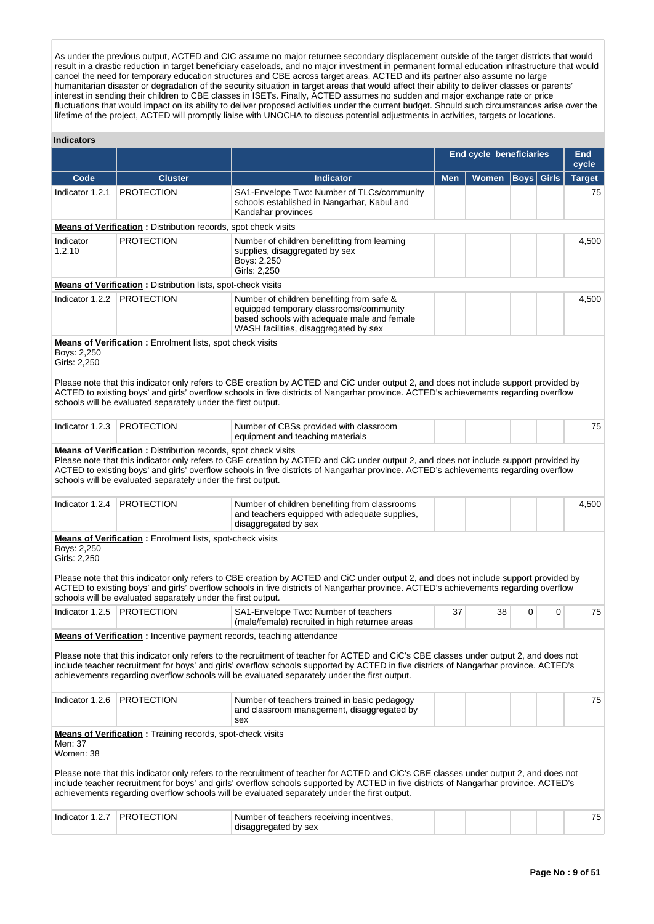As under the previous output, ACTED and CIC assume no major returnee secondary displacement outside of the target districts that would result in a drastic reduction in target beneficiary caseloads, and no major investment in permanent formal education infrastructure that would cancel the need for temporary education structures and CBE across target areas. ACTED and its partner also assume no large humanitarian disaster or degradation of the security situation in target areas that would affect their ability to deliver classes or parents' interest in sending their children to CBE classes in ISETs. Finally, ACTED assumes no sudden and major exchange rate or price fluctuations that would impact on its ability to deliver proposed activities under the current budget. Should such circumstances arise over the lifetime of the project, ACTED will promptly liaise with UNOCHA to discuss potential adjustments in activities, targets or locations.

#### **Indicators**

|                                                                                                                                                                                                                                                                                                                                                                                  |                                                                                                                                       |                                                                                                                                                                                                                                                                                                                                                                                                                             |            |              | <b>End cycle beneficiaries</b> |              |               |  |  |  |  |
|----------------------------------------------------------------------------------------------------------------------------------------------------------------------------------------------------------------------------------------------------------------------------------------------------------------------------------------------------------------------------------|---------------------------------------------------------------------------------------------------------------------------------------|-----------------------------------------------------------------------------------------------------------------------------------------------------------------------------------------------------------------------------------------------------------------------------------------------------------------------------------------------------------------------------------------------------------------------------|------------|--------------|--------------------------------|--------------|---------------|--|--|--|--|
| Code                                                                                                                                                                                                                                                                                                                                                                             | <b>Cluster</b>                                                                                                                        | <b>Indicator</b>                                                                                                                                                                                                                                                                                                                                                                                                            | <b>Men</b> | <b>Women</b> | <b>Boys</b>                    | <b>Girls</b> | <b>Target</b> |  |  |  |  |
| Indicator 1.2.1                                                                                                                                                                                                                                                                                                                                                                  | <b>PROTECTION</b>                                                                                                                     | SA1-Envelope Two: Number of TLCs/community<br>schools established in Nangarhar, Kabul and<br>Kandahar provinces                                                                                                                                                                                                                                                                                                             |            |              |                                |              | 75            |  |  |  |  |
|                                                                                                                                                                                                                                                                                                                                                                                  | <b>Means of Verification:</b> Distribution records, spot check visits                                                                 |                                                                                                                                                                                                                                                                                                                                                                                                                             |            |              |                                |              |               |  |  |  |  |
| Indicator<br>1.2.10                                                                                                                                                                                                                                                                                                                                                              | <b>PROTECTION</b>                                                                                                                     | Number of children benefitting from learning<br>supplies, disaggregated by sex<br>Boys: 2,250<br>Girls: 2,250                                                                                                                                                                                                                                                                                                               |            |              |                                |              | 4,500         |  |  |  |  |
|                                                                                                                                                                                                                                                                                                                                                                                  | Means of Verification: Distribution lists, spot-check visits                                                                          |                                                                                                                                                                                                                                                                                                                                                                                                                             |            |              |                                |              |               |  |  |  |  |
| Indicator 1.2.2                                                                                                                                                                                                                                                                                                                                                                  | <b>PROTECTION</b>                                                                                                                     | Number of children benefiting from safe &<br>equipped temporary classrooms/community<br>based schools with adequate male and female<br>WASH facilities, disaggregated by sex                                                                                                                                                                                                                                                |            |              |                                |              | 4,500         |  |  |  |  |
| Boys: 2,250<br>Girls: 2,250                                                                                                                                                                                                                                                                                                                                                      | <b>Means of Verification:</b> Enrolment lists, spot check visits<br>schools will be evaluated separately under the first output.      | Please note that this indicator only refers to CBE creation by ACTED and CiC under output 2, and does not include support provided by<br>ACTED to existing boys' and girls' overflow schools in five districts of Nangarhar province. ACTED's achievements regarding overflow                                                                                                                                               |            |              |                                |              |               |  |  |  |  |
| Indicator 1.2.3                                                                                                                                                                                                                                                                                                                                                                  | <b>PROTECTION</b>                                                                                                                     | Number of CBSs provided with classroom<br>equipment and teaching materials                                                                                                                                                                                                                                                                                                                                                  |            |              |                                |              | 75            |  |  |  |  |
|                                                                                                                                                                                                                                                                                                                                                                                  | <b>Means of Verification:</b> Distribution records, spot check visits<br>schools will be evaluated separately under the first output. | Please note that this indicator only refers to CBE creation by ACTED and CiC under output 2, and does not include support provided by<br>ACTED to existing boys' and girls' overflow schools in five districts of Nangarhar province. ACTED's achievements regarding overflow                                                                                                                                               |            |              |                                |              |               |  |  |  |  |
| Indicator 1.2.4                                                                                                                                                                                                                                                                                                                                                                  | <b>PROTECTION</b>                                                                                                                     | Number of children benefiting from classrooms<br>and teachers equipped with adequate supplies,<br>disaggregated by sex                                                                                                                                                                                                                                                                                                      |            |              |                                |              | 4,500         |  |  |  |  |
| <b>Means of Verification:</b> Enrolment lists, spot-check visits<br>Boys: 2,250<br>Girls: 2,250<br>Please note that this indicator only refers to CBE creation by ACTED and CiC under output 2, and does not include support provided by<br>ACTED to existing boys' and girls' overflow schools in five districts of Nangarhar province. ACTED's achievements regarding overflow |                                                                                                                                       |                                                                                                                                                                                                                                                                                                                                                                                                                             |            |              |                                |              |               |  |  |  |  |
|                                                                                                                                                                                                                                                                                                                                                                                  | schools will be evaluated separately under the first output.                                                                          |                                                                                                                                                                                                                                                                                                                                                                                                                             |            |              |                                |              |               |  |  |  |  |
| Indicator 1.2.5                                                                                                                                                                                                                                                                                                                                                                  | <b>PROTECTION</b>                                                                                                                     | SA1-Envelope Two: Number of teachers<br>(male/female) recruited in high returnee areas                                                                                                                                                                                                                                                                                                                                      | 37         | 38           | 0                              | 0            | 75            |  |  |  |  |
|                                                                                                                                                                                                                                                                                                                                                                                  | Means of Verification: Incentive payment records, teaching attendance                                                                 | Please note that this indicator only refers to the recruitment of teacher for ACTED and CiC's CBE classes under output 2, and does not<br>include teacher recruitment for boys' and girls' overflow schools supported by ACTED in five districts of Nangarhar province. ACTED's<br>achievements regarding overflow schools will be evaluated separately under the first output.                                             |            |              |                                |              |               |  |  |  |  |
| Indicator 1.2.6                                                                                                                                                                                                                                                                                                                                                                  | PROTECTION                                                                                                                            | Number of teachers trained in basic pedagogy<br>and classroom management, disaggregated by<br>sex                                                                                                                                                                                                                                                                                                                           |            |              |                                |              | 75            |  |  |  |  |
| Men: 37<br>Women: 38<br>Indicator 1.2.7                                                                                                                                                                                                                                                                                                                                          | <b>Means of Verification: Training records, spot-check visits</b><br><b>PROTECTION</b>                                                | Please note that this indicator only refers to the recruitment of teacher for ACTED and CiC's CBE classes under output 2, and does not<br>include teacher recruitment for boys' and girls' overflow schools supported by ACTED in five districts of Nangarhar province. ACTED's<br>achievements regarding overflow schools will be evaluated separately under the first output.<br>Number of teachers receiving incentives, |            |              |                                |              | 75            |  |  |  |  |
|                                                                                                                                                                                                                                                                                                                                                                                  |                                                                                                                                       | disaggregated by sex                                                                                                                                                                                                                                                                                                                                                                                                        |            |              |                                |              |               |  |  |  |  |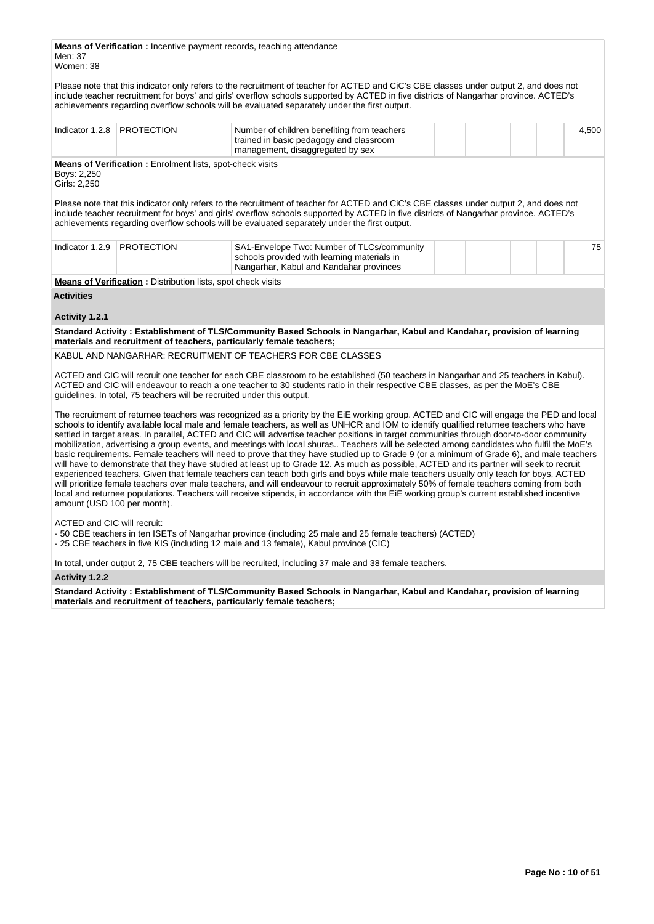**Means of Verification :** Incentive payment records, teaching attendance

Men: 37 Women: 38

Please note that this indicator only refers to the recruitment of teacher for ACTED and CiC's CBE classes under output 2, and does not include teacher recruitment for boys' and girls' overflow schools supported by ACTED in five districts of Nangarhar province. ACTED's achievements regarding overflow schools will be evaluated separately under the first output.

| Indicator 1.2.8                     | <b>PROTECTION</b>                                                      | Number of children benefiting from teachers<br>trained in basic pedagogy and classroom<br>management, disaggregated by sex                                                                                                                                                                                                                                                                                                                                                                                                                                                                                                                                                                                                                                                                                                                                                                                                                                                                                                                                                                                                                                                                                                                                                                          |  | 4,500 |
|-------------------------------------|------------------------------------------------------------------------|-----------------------------------------------------------------------------------------------------------------------------------------------------------------------------------------------------------------------------------------------------------------------------------------------------------------------------------------------------------------------------------------------------------------------------------------------------------------------------------------------------------------------------------------------------------------------------------------------------------------------------------------------------------------------------------------------------------------------------------------------------------------------------------------------------------------------------------------------------------------------------------------------------------------------------------------------------------------------------------------------------------------------------------------------------------------------------------------------------------------------------------------------------------------------------------------------------------------------------------------------------------------------------------------------------|--|-------|
| Boys: 2,250<br>Girls: 2,250         | <b>Means of Verification:</b> Enrolment lists, spot-check visits       |                                                                                                                                                                                                                                                                                                                                                                                                                                                                                                                                                                                                                                                                                                                                                                                                                                                                                                                                                                                                                                                                                                                                                                                                                                                                                                     |  |       |
|                                     |                                                                        | Please note that this indicator only refers to the recruitment of teacher for ACTED and CiC's CBE classes under output 2, and does not<br>include teacher recruitment for boys' and girls' overflow schools supported by ACTED in five districts of Nangarhar province. ACTED's<br>achievements regarding overflow schools will be evaluated separately under the first output.                                                                                                                                                                                                                                                                                                                                                                                                                                                                                                                                                                                                                                                                                                                                                                                                                                                                                                                     |  |       |
| Indicator 1.2.9                     | <b>PROTECTION</b>                                                      | SA1-Envelope Two: Number of TLCs/community<br>schools provided with learning materials in<br>Nangarhar, Kabul and Kandahar provinces                                                                                                                                                                                                                                                                                                                                                                                                                                                                                                                                                                                                                                                                                                                                                                                                                                                                                                                                                                                                                                                                                                                                                                |  | 75    |
|                                     | <b>Means of Verification:</b> Distribution lists, spot check visits    |                                                                                                                                                                                                                                                                                                                                                                                                                                                                                                                                                                                                                                                                                                                                                                                                                                                                                                                                                                                                                                                                                                                                                                                                                                                                                                     |  |       |
| <b>Activities</b><br>Activity 1.2.1 |                                                                        |                                                                                                                                                                                                                                                                                                                                                                                                                                                                                                                                                                                                                                                                                                                                                                                                                                                                                                                                                                                                                                                                                                                                                                                                                                                                                                     |  |       |
|                                     |                                                                        | Standard Activity: Establishment of TLS/Community Based Schools in Nangarhar, Kabul and Kandahar, provision of learning<br>materials and recruitment of teachers, particularly female teachers;                                                                                                                                                                                                                                                                                                                                                                                                                                                                                                                                                                                                                                                                                                                                                                                                                                                                                                                                                                                                                                                                                                     |  |       |
|                                     |                                                                        | KABUL AND NANGARHAR: RECRUITMENT OF TEACHERS FOR CBE CLASSES                                                                                                                                                                                                                                                                                                                                                                                                                                                                                                                                                                                                                                                                                                                                                                                                                                                                                                                                                                                                                                                                                                                                                                                                                                        |  |       |
|                                     | guidelines. In total, 75 teachers will be recruited under this output. | ACTED and CIC will recruit one teacher for each CBE classroom to be established (50 teachers in Nangarhar and 25 teachers in Kabul).<br>ACTED and CIC will endeavour to reach a one teacher to 30 students ratio in their respective CBE classes, as per the MoE's CBE                                                                                                                                                                                                                                                                                                                                                                                                                                                                                                                                                                                                                                                                                                                                                                                                                                                                                                                                                                                                                              |  |       |
| amount (USD 100 per month).         |                                                                        | The recruitment of returnee teachers was recognized as a priority by the EiE working group. ACTED and CIC will engage the PED and local<br>schools to identify available local male and female teachers, as well as UNHCR and IOM to identify qualified returnee teachers who have<br>settled in target areas. In parallel, ACTED and CIC will advertise teacher positions in target communities through door-to-door community<br>mobilization, advertising a group events, and meetings with local shuras Teachers will be selected among candidates who fulfil the MoE's<br>basic requirements. Female teachers will need to prove that they have studied up to Grade 9 (or a minimum of Grade 6), and male teachers<br>will have to demonstrate that they have studied at least up to Grade 12. As much as possible, ACTED and its partner will seek to recruit<br>experienced teachers. Given that female teachers can teach both girls and boys while male teachers usually only teach for boys, ACTED<br>will prioritize female teachers over male teachers, and will endeavour to recruit approximately 50% of female teachers coming from both<br>local and returnee populations. Teachers will receive stipends, in accordance with the EiE working group's current established incentive |  |       |
| ACTED and CIC will recruit:         |                                                                        | -50 CBE teachers in ten ISETs of Nangarhar province (including 25 male and 25 female teachers) (ACTED)                                                                                                                                                                                                                                                                                                                                                                                                                                                                                                                                                                                                                                                                                                                                                                                                                                                                                                                                                                                                                                                                                                                                                                                              |  |       |

- 25 CBE teachers in five KIS (including 12 male and 13 female), Kabul province (CIC)

In total, under output 2, 75 CBE teachers will be recruited, including 37 male and 38 female teachers.

#### **Activity 1.2.2**

**Standard Activity : Establishment of TLS/Community Based Schools in Nangarhar, Kabul and Kandahar, provision of learning materials and recruitment of teachers, particularly female teachers;**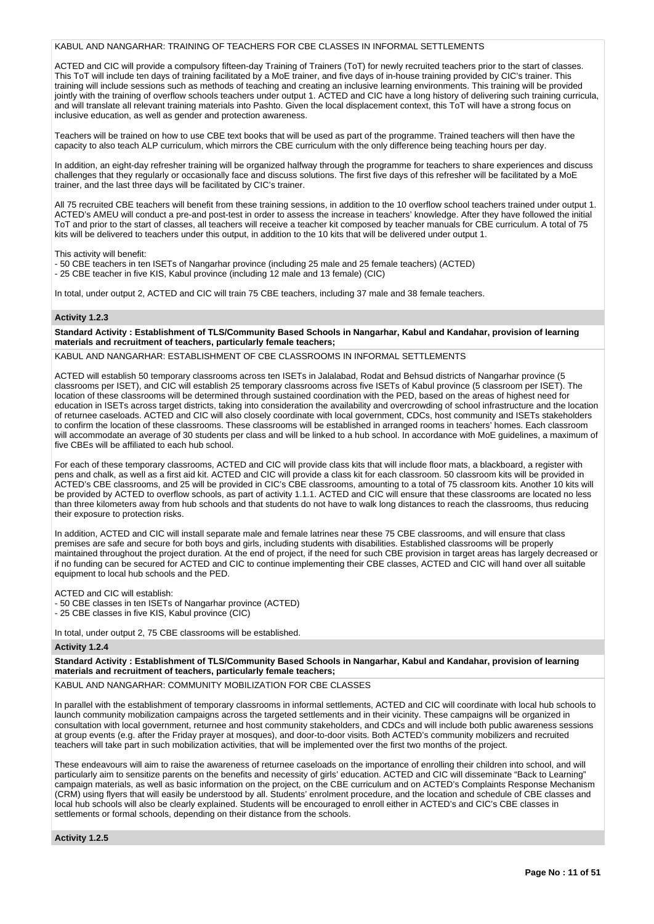#### KABUL AND NANGARHAR: TRAINING OF TEACHERS FOR CBE CLASSES IN INFORMAL SETTLEMENTS

ACTED and CIC will provide a compulsory fifteen-day Training of Trainers (ToT) for newly recruited teachers prior to the start of classes. This ToT will include ten days of training facilitated by a MoE trainer, and five days of in-house training provided by CIC's trainer. This training will include sessions such as methods of teaching and creating an inclusive learning environments. This training will be provided jointly with the training of overflow schools teachers under output 1. ACTED and CIC have a long history of delivering such training curricula, and will translate all relevant training materials into Pashto. Given the local displacement context, this ToT will have a strong focus on inclusive education, as well as gender and protection awareness.

Teachers will be trained on how to use CBE text books that will be used as part of the programme. Trained teachers will then have the capacity to also teach ALP curriculum, which mirrors the CBE curriculum with the only difference being teaching hours per day.

In addition, an eight-day refresher training will be organized halfway through the programme for teachers to share experiences and discuss challenges that they regularly or occasionally face and discuss solutions. The first five days of this refresher will be facilitated by a MoE trainer, and the last three days will be facilitated by CIC's trainer.

All 75 recruited CBE teachers will benefit from these training sessions, in addition to the 10 overflow school teachers trained under output 1. ACTED's AMEU will conduct a pre-and post-test in order to assess the increase in teachers' knowledge. After they have followed the initial ToT and prior to the start of classes, all teachers will receive a teacher kit composed by teacher manuals for CBE curriculum. A total of 75 kits will be delivered to teachers under this output, in addition to the 10 kits that will be delivered under output 1.

This activity will benefit:

- 50 CBE teachers in ten ISETs of Nangarhar province (including 25 male and 25 female teachers) (ACTED)
- 25 CBE teacher in five KIS, Kabul province (including 12 male and 13 female) (CIC)

In total, under output 2, ACTED and CIC will train 75 CBE teachers, including 37 male and 38 female teachers.

# **Activity 1.2.3**

**Standard Activity : Establishment of TLS/Community Based Schools in Nangarhar, Kabul and Kandahar, provision of learning materials and recruitment of teachers, particularly female teachers;**

KABUL AND NANGARHAR: ESTABLISHMENT OF CBE CLASSROOMS IN INFORMAL SETTLEMENTS

ACTED will establish 50 temporary classrooms across ten ISETs in Jalalabad, Rodat and Behsud districts of Nangarhar province (5 classrooms per ISET), and CIC will establish 25 temporary classrooms across five ISETs of Kabul province (5 classroom per ISET). The location of these classrooms will be determined through sustained coordination with the PED, based on the areas of highest need for education in ISETs across target districts, taking into consideration the availability and overcrowding of school infrastructure and the location of returnee caseloads. ACTED and CIC will also closely coordinate with local government, CDCs, host community and ISETs stakeholders to confirm the location of these classrooms. These classrooms will be established in arranged rooms in teachers' homes. Each classroom will accommodate an average of 30 students per class and will be linked to a hub school. In accordance with MoE guidelines, a maximum of five CBEs will be affiliated to each hub school.

For each of these temporary classrooms, ACTED and CIC will provide class kits that will include floor mats, a blackboard, a register with pens and chalk, as well as a first aid kit. ACTED and CIC will provide a class kit for each classroom. 50 classroom kits will be provided in ACTED's CBE classrooms, and 25 will be provided in CIC's CBE classrooms, amounting to a total of 75 classroom kits. Another 10 kits will be provided by ACTED to overflow schools, as part of activity 1.1.1. ACTED and CIC will ensure that these classrooms are located no less than three kilometers away from hub schools and that students do not have to walk long distances to reach the classrooms, thus reducing their exposure to protection risks.

In addition, ACTED and CIC will install separate male and female latrines near these 75 CBE classrooms, and will ensure that class premises are safe and secure for both boys and girls, including students with disabilities. Established classrooms will be properly maintained throughout the project duration. At the end of project, if the need for such CBE provision in target areas has largely decreased or if no funding can be secured for ACTED and CIC to continue implementing their CBE classes, ACTED and CIC will hand over all suitable equipment to local hub schools and the PED.

ACTED and CIC will establish:

- 50 CBE classes in ten ISETs of Nangarhar province (ACTED)

- 25 CBE classes in five KIS, Kabul province (CIC)

In total, under output 2, 75 CBE classrooms will be established.

#### **Activity 1.2.4**

**Standard Activity : Establishment of TLS/Community Based Schools in Nangarhar, Kabul and Kandahar, provision of learning materials and recruitment of teachers, particularly female teachers;**

KABUL AND NANGARHAR: COMMUNITY MOBILIZATION FOR CBE CLASSES

In parallel with the establishment of temporary classrooms in informal settlements, ACTED and CIC will coordinate with local hub schools to launch community mobilization campaigns across the targeted settlements and in their vicinity. These campaigns will be organized in consultation with local government, returnee and host community stakeholders, and CDCs and will include both public awareness sessions at group events (e.g. after the Friday prayer at mosques), and door-to-door visits. Both ACTED's community mobilizers and recruited teachers will take part in such mobilization activities, that will be implemented over the first two months of the project.

These endeavours will aim to raise the awareness of returnee caseloads on the importance of enrolling their children into school, and will particularly aim to sensitize parents on the benefits and necessity of girls' education. ACTED and CIC will disseminate "Back to Learning" campaign materials, as well as basic information on the project, on the CBE curriculum and on ACTED's Complaints Response Mechanism (CRM) using flyers that will easily be understood by all. Students' enrolment procedure, and the location and schedule of CBE classes and local hub schools will also be clearly explained. Students will be encouraged to enroll either in ACTED's and CIC's CBE classes in settlements or formal schools, depending on their distance from the schools.

**Activity 1.2.5**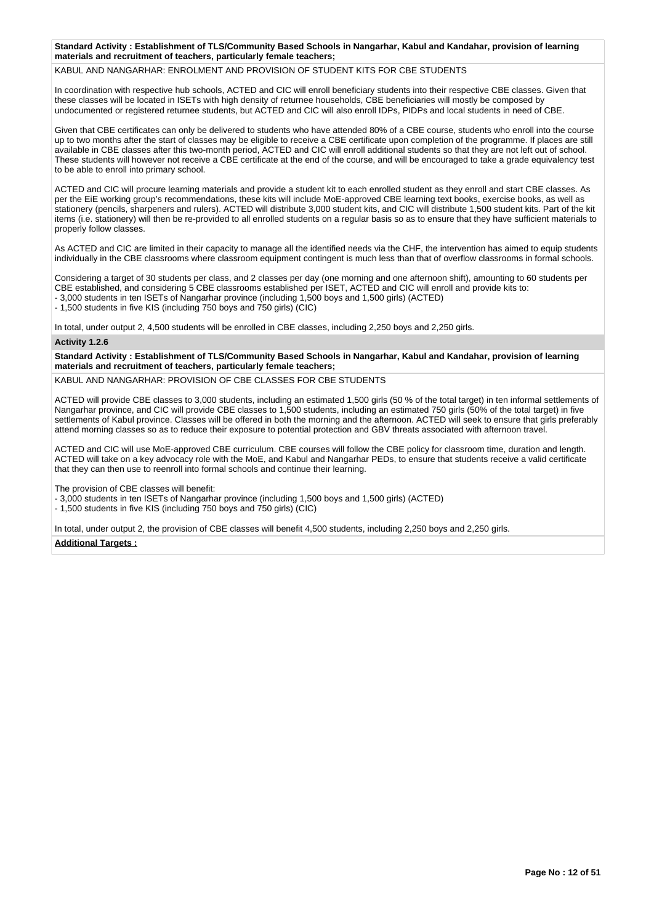#### **Standard Activity : Establishment of TLS/Community Based Schools in Nangarhar, Kabul and Kandahar, provision of learning materials and recruitment of teachers, particularly female teachers;**

#### KABUL AND NANGARHAR: ENROLMENT AND PROVISION OF STUDENT KITS FOR CBE STUDENTS

In coordination with respective hub schools, ACTED and CIC will enroll beneficiary students into their respective CBE classes. Given that these classes will be located in ISETs with high density of returnee households, CBE beneficiaries will mostly be composed by undocumented or registered returnee students, but ACTED and CIC will also enroll IDPs, PIDPs and local students in need of CBE.

Given that CBE certificates can only be delivered to students who have attended 80% of a CBE course, students who enroll into the course up to two months after the start of classes may be eligible to receive a CBE certificate upon completion of the programme. If places are still available in CBE classes after this two-month period, ACTED and CIC will enroll additional students so that they are not left out of school. These students will however not receive a CBE certificate at the end of the course, and will be encouraged to take a grade equivalency test to be able to enroll into primary school.

ACTED and CIC will procure learning materials and provide a student kit to each enrolled student as they enroll and start CBE classes. As per the EiE working group's recommendations, these kits will include MoE-approved CBE learning text books, exercise books, as well as stationery (pencils, sharpeners and rulers). ACTED will distribute 3,000 student kits, and CIC will distribute 1,500 student kits. Part of the kit items (i.e. stationery) will then be re-provided to all enrolled students on a regular basis so as to ensure that they have sufficient materials to properly follow classes.

As ACTED and CIC are limited in their capacity to manage all the identified needs via the CHF, the intervention has aimed to equip students individually in the CBE classrooms where classroom equipment contingent is much less than that of overflow classrooms in formal schools.

Considering a target of 30 students per class, and 2 classes per day (one morning and one afternoon shift), amounting to 60 students per CBE established, and considering 5 CBE classrooms established per ISET, ACTED and CIC will enroll and provide kits to: - 3,000 students in ten ISETs of Nangarhar province (including 1,500 boys and 1,500 girls) (ACTED)

- 1,500 students in five KIS (including 750 boys and 750 girls) (CIC)

In total, under output 2, 4,500 students will be enrolled in CBE classes, including 2,250 boys and 2,250 girls.

# **Activity 1.2.6**

**Standard Activity : Establishment of TLS/Community Based Schools in Nangarhar, Kabul and Kandahar, provision of learning materials and recruitment of teachers, particularly female teachers;**

KABUL AND NANGARHAR: PROVISION OF CBE CLASSES FOR CBE STUDENTS

ACTED will provide CBE classes to 3,000 students, including an estimated 1,500 girls (50 % of the total target) in ten informal settlements of Nangarhar province, and CIC will provide CBE classes to 1,500 students, including an estimated 750 girls (50% of the total target) in five settlements of Kabul province. Classes will be offered in both the morning and the afternoon. ACTED will seek to ensure that girls preferably attend morning classes so as to reduce their exposure to potential protection and GBV threats associated with afternoon travel.

ACTED and CIC will use MoE-approved CBE curriculum. CBE courses will follow the CBE policy for classroom time, duration and length. ACTED will take on a key advocacy role with the MoE, and Kabul and Nangarhar PEDs, to ensure that students receive a valid certificate that they can then use to reenroll into formal schools and continue their learning.

The provision of CBE classes will benefit:

- 3,000 students in ten ISETs of Nangarhar province (including 1,500 boys and 1,500 girls) (ACTED)

- 1,500 students in five KIS (including 750 boys and 750 girls) (CIC)

In total, under output 2, the provision of CBE classes will benefit 4,500 students, including 2,250 boys and 2,250 girls.

#### **Additional Targets :**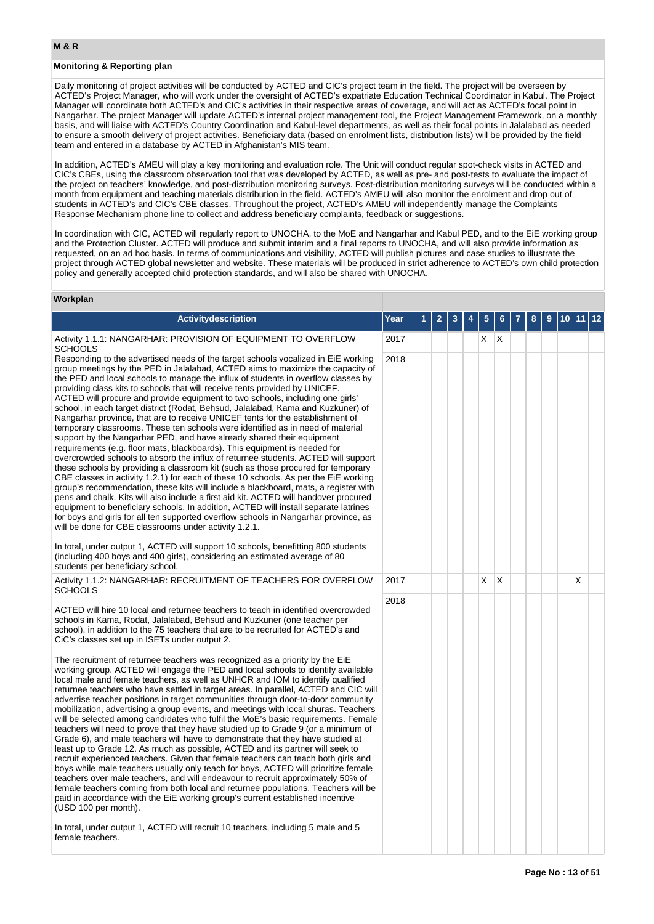# **Monitoring & Reporting plan**

Daily monitoring of project activities will be conducted by ACTED and CIC's project team in the field. The project will be overseen by ACTED's Project Manager, who will work under the oversight of ACTED's expatriate Education Technical Coordinator in Kabul. The Project Manager will coordinate both ACTED's and CIC's activities in their respective areas of coverage, and will act as ACTED's focal point in Nangarhar. The project Manager will update ACTED's internal project management tool, the Project Management Framework, on a monthly basis, and will liaise with ACTED's Country Coordination and Kabul-level departments, as well as their focal points in Jalalabad as needed to ensure a smooth delivery of project activities. Beneficiary data (based on enrolment lists, distribution lists) will be provided by the field team and entered in a database by ACTED in Afghanistan's MIS team.

In addition, ACTED's AMEU will play a key monitoring and evaluation role. The Unit will conduct regular spot-check visits in ACTED and CIC's CBEs, using the classroom observation tool that was developed by ACTED, as well as pre- and post-tests to evaluate the impact of the project on teachers' knowledge, and post-distribution monitoring surveys. Post-distribution monitoring surveys will be conducted within a month from equipment and teaching materials distribution in the field. ACTED's AMEU will also monitor the enrolment and drop out of students in ACTED's and CIC's CBE classes. Throughout the project, ACTED's AMEU will independently manage the Complaints Response Mechanism phone line to collect and address beneficiary complaints, feedback or suggestions.

In coordination with CIC, ACTED will regularly report to UNOCHA, to the MoE and Nangarhar and Kabul PED, and to the EiE working group and the Protection Cluster. ACTED will produce and submit interim and a final reports to UNOCHA, and will also provide information as requested, on an ad hoc basis. In terms of communications and visibility, ACTED will publish pictures and case studies to illustrate the project through ACTED global newsletter and website. These materials will be produced in strict adherence to ACTED's own child protection policy and generally accepted child protection standards, and will also be shared with UNOCHA.

#### **Workplan**

| <b>Activitydescription</b>                                                                                                                                                                                                                                                                                                                                                                                                                                                                                                                                                                                                                                                                                                                                                                                                                                                                                                                                                                                                                                                                                                                                                                                                                                                                                                                                                                                                                                                                                                                                                                                                                                                                                                         | Year |  |  |    |              |  |  |   |  |
|------------------------------------------------------------------------------------------------------------------------------------------------------------------------------------------------------------------------------------------------------------------------------------------------------------------------------------------------------------------------------------------------------------------------------------------------------------------------------------------------------------------------------------------------------------------------------------------------------------------------------------------------------------------------------------------------------------------------------------------------------------------------------------------------------------------------------------------------------------------------------------------------------------------------------------------------------------------------------------------------------------------------------------------------------------------------------------------------------------------------------------------------------------------------------------------------------------------------------------------------------------------------------------------------------------------------------------------------------------------------------------------------------------------------------------------------------------------------------------------------------------------------------------------------------------------------------------------------------------------------------------------------------------------------------------------------------------------------------------|------|--|--|----|--------------|--|--|---|--|
| Activity 1.1.1: NANGARHAR: PROVISION OF EQUIPMENT TO OVERFLOW<br><b>SCHOOLS</b>                                                                                                                                                                                                                                                                                                                                                                                                                                                                                                                                                                                                                                                                                                                                                                                                                                                                                                                                                                                                                                                                                                                                                                                                                                                                                                                                                                                                                                                                                                                                                                                                                                                    | 2017 |  |  | X. | $\mathsf{X}$ |  |  |   |  |
| Responding to the advertised needs of the target schools vocalized in EiE working<br>group meetings by the PED in Jalalabad, ACTED aims to maximize the capacity of<br>the PED and local schools to manage the influx of students in overflow classes by<br>providing class kits to schools that will receive tents provided by UNICEF.<br>ACTED will procure and provide equipment to two schools, including one girls'<br>school, in each target district (Rodat, Behsud, Jalalabad, Kama and Kuzkuner) of<br>Nangarhar province, that are to receive UNICEF tents for the establishment of<br>temporary classrooms. These ten schools were identified as in need of material<br>support by the Nangarhar PED, and have already shared their equipment<br>requirements (e.g. floor mats, blackboards). This equipment is needed for<br>overcrowded schools to absorb the influx of returnee students. ACTED will support<br>these schools by providing a classroom kit (such as those procured for temporary<br>CBE classes in activity 1.2.1) for each of these 10 schools. As per the EiE working<br>group's recommendation, these kits will include a blackboard, mats, a register with<br>pens and chalk. Kits will also include a first aid kit. ACTED will handover procured<br>equipment to beneficiary schools. In addition, ACTED will install separate latrines<br>for boys and girls for all ten supported overflow schools in Nangarhar province, as<br>will be done for CBE classrooms under activity 1.2.1.<br>In total, under output 1, ACTED will support 10 schools, benefitting 800 students<br>(including 400 boys and 400 girls), considering an estimated average of 80<br>students per beneficiary school. | 2018 |  |  |    |              |  |  |   |  |
| Activity 1.1.2: NANGARHAR: RECRUITMENT OF TEACHERS FOR OVERFLOW<br><b>SCHOOLS</b>                                                                                                                                                                                                                                                                                                                                                                                                                                                                                                                                                                                                                                                                                                                                                                                                                                                                                                                                                                                                                                                                                                                                                                                                                                                                                                                                                                                                                                                                                                                                                                                                                                                  | 2017 |  |  | X  | ΙX           |  |  | X |  |
| ACTED will hire 10 local and returnee teachers to teach in identified overcrowded<br>schools in Kama, Rodat, Jalalabad, Behsud and Kuzkuner (one teacher per<br>school), in addition to the 75 teachers that are to be recruited for ACTED's and<br>CiC's classes set up in ISETs under output 2.<br>The recruitment of returnee teachers was recognized as a priority by the EIE<br>working group. ACTED will engage the PED and local schools to identify available<br>local male and female teachers, as well as UNHCR and IOM to identify qualified<br>returnee teachers who have settled in target areas. In parallel, ACTED and CIC will<br>advertise teacher positions in target communities through door-to-door community<br>mobilization, advertising a group events, and meetings with local shuras. Teachers<br>will be selected among candidates who fulfil the MoE's basic requirements. Female<br>teachers will need to prove that they have studied up to Grade 9 (or a minimum of<br>Grade 6), and male teachers will have to demonstrate that they have studied at<br>least up to Grade 12. As much as possible, ACTED and its partner will seek to<br>recruit experienced teachers. Given that female teachers can teach both girls and<br>boys while male teachers usually only teach for boys, ACTED will prioritize female<br>teachers over male teachers, and will endeavour to recruit approximately 50% of<br>female teachers coming from both local and returnee populations. Teachers will be<br>paid in accordance with the EiE working group's current established incentive<br>(USD 100 per month).                                                                                                  | 2018 |  |  |    |              |  |  |   |  |
| In total, under output 1, ACTED will recruit 10 teachers, including 5 male and 5<br>female teachers.                                                                                                                                                                                                                                                                                                                                                                                                                                                                                                                                                                                                                                                                                                                                                                                                                                                                                                                                                                                                                                                                                                                                                                                                                                                                                                                                                                                                                                                                                                                                                                                                                               |      |  |  |    |              |  |  |   |  |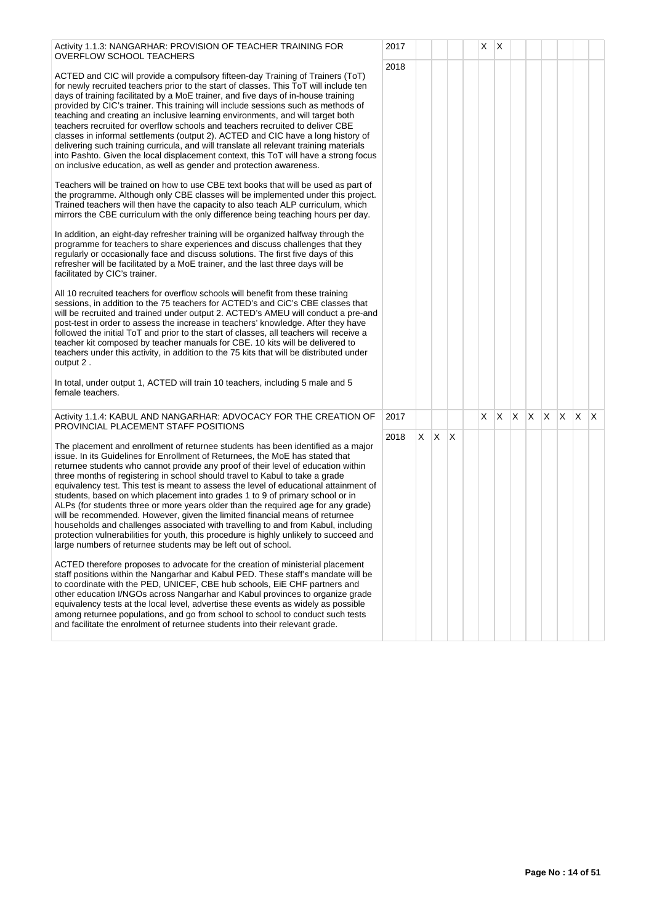Activity 1.1.3: NANGARHAR: PROVISION OF TEACHER TRAINING FOR OVERFLOW SCHOOL TEACHERS

ACTED and CIC will provide a compulsory fifteen-day Training of Trainers (ToT) for newly recruited teachers prior to the start of classes. This ToT will include ten days of training facilitated by a MoE trainer, and five days of in-house training provided by CIC's trainer. This training will include sessions such as methods of teaching and creating an inclusive learning environments, and will target both teachers recruited for overflow schools and teachers recruited to deliver CBE classes in informal settlements (output 2). ACTED and CIC have a long history of delivering such training curricula, and will translate all relevant training materials into Pashto. Given the local displacement context, this ToT will have a strong focu on inclusive education, as well as gender and protection awareness.

Teachers will be trained on how to use CBE text books that will be used as part of the programme. Although only CBE classes will be implemented under this proje Trained teachers will then have the capacity to also teach ALP curriculum, which mirrors the CBE curriculum with the only difference being teaching hours per day.

In addition, an eight-day refresher training will be organized halfway through the programme for teachers to share experiences and discuss challenges that they regularly or occasionally face and discuss solutions. The first five days of this refresher will be facilitated by a MoE trainer, and the last three days will be facilitated by CIC's trainer.

All 10 recruited teachers for overflow schools will benefit from these training sessions, in addition to the 75 teachers for ACTED's and CiC's CBE classes that will be recruited and trained under output 2. ACTED's AMEU will conduct a pre-a post-test in order to assess the increase in teachers' knowledge. After they have followed the initial ToT and prior to the start of classes, all teachers will receive a teacher kit composed by teacher manuals for CBE. 10 kits will be delivered to teachers under this activity, in addition to the 75 kits that will be distributed under output 2 .

In total, under output 1, ACTED will train 10 teachers, including 5 male and 5 female teachers.

#### Activity 1.1.4: KABUL AND NANGARHAR: ADVOCACY FOR THE CREATION O PROVINCIAL PLACEMENT STAFF POSITIONS

The placement and enrollment of returnee students has been identified as a major issue. In its Guidelines for Enrollment of Returnees, the MoE has stated that returnee students who cannot provide any proof of their level of education within three months of registering in school should travel to Kabul to take a grade equivalency test. This test is meant to assess the level of educational attainment students, based on which placement into grades 1 to 9 of primary school or in ALPs (for students three or more years older than the required age for any grade) will be recommended. However, given the limited financial means of returnee households and challenges associated with travelling to and from Kabul, including protection vulnerabilities for youth, this procedure is highly unlikely to succeed an large numbers of returnee students may be left out of school.

ACTED therefore proposes to advocate for the creation of ministerial placement staff positions within the Nangarhar and Kabul PED. These staff's mandate will be to coordinate with the PED, UNICEF, CBE hub schools, EiE CHF partners and other education I/NGOs across Nangarhar and Kabul provinces to organize grad equivalency tests at the local level, advertise these events as widely as possible among returnee populations, and go from school to school to conduct such tests and facilitate the enrolment of returnee students into their relevant grade.

|                | 2017 |                |                         |             | $\overline{\mathsf{x}}$ | $\mathsf X$             |                         |                         |                         |                         |                         |                         |  |
|----------------|------|----------------|-------------------------|-------------|-------------------------|-------------------------|-------------------------|-------------------------|-------------------------|-------------------------|-------------------------|-------------------------|--|
|                | 2018 |                |                         |             |                         |                         |                         |                         |                         |                         |                         |                         |  |
|                |      |                |                         |             |                         |                         |                         |                         |                         |                         |                         |                         |  |
|                |      |                |                         |             |                         |                         |                         |                         |                         |                         |                         |                         |  |
| f              |      |                |                         |             |                         |                         |                         |                         |                         |                         |                         |                         |  |
| us             |      |                |                         |             |                         |                         |                         |                         |                         |                         |                         |                         |  |
|                |      |                |                         |             |                         |                         |                         |                         |                         |                         |                         |                         |  |
| )f<br>ct.      |      |                |                         |             |                         |                         |                         |                         |                         |                         |                         |                         |  |
| $\ddot{\cdot}$ |      |                |                         |             |                         |                         |                         |                         |                         |                         |                         |                         |  |
|                |      |                |                         |             |                         |                         |                         |                         |                         |                         |                         |                         |  |
|                |      |                |                         |             |                         |                         |                         |                         |                         |                         |                         |                         |  |
|                |      |                |                         |             |                         |                         |                         |                         |                         |                         |                         |                         |  |
|                |      |                |                         |             |                         |                         |                         |                         |                         |                         |                         |                         |  |
| nd             |      |                |                         |             |                         |                         |                         |                         |                         |                         |                         |                         |  |
|                |      |                |                         |             |                         |                         |                         |                         |                         |                         |                         |                         |  |
|                |      |                |                         |             |                         |                         |                         |                         |                         |                         |                         |                         |  |
|                |      |                |                         |             |                         |                         |                         |                         |                         |                         |                         |                         |  |
|                |      |                |                         |             |                         |                         |                         |                         |                         |                         |                         |                         |  |
|                |      |                |                         |             |                         |                         |                         |                         |                         |                         |                         |                         |  |
| ÞΕ             | 2017 |                |                         |             | X                       | $\overline{\mathsf{x}}$ | $\overline{\mathsf{X}}$ | $\overline{\mathsf{x}}$ | $\overline{\mathsf{X}}$ | $\overline{\mathsf{x}}$ | $\overline{\mathsf{x}}$ | $\overline{\mathsf{x}}$ |  |
| эr             | 2018 | $\overline{X}$ | $\overline{\mathsf{X}}$ | $\mathsf X$ |                         |                         |                         |                         |                         |                         |                         |                         |  |
|                |      |                |                         |             |                         |                         |                         |                         |                         |                         |                         |                         |  |
| $\circ$ f      |      |                |                         |             |                         |                         |                         |                         |                         |                         |                         |                         |  |
| $\big)$        |      |                |                         |             |                         |                         |                         |                         |                         |                         |                         |                         |  |
| g<br>ıd        |      |                |                         |             |                         |                         |                         |                         |                         |                         |                         |                         |  |
|                |      |                |                         |             |                         |                         |                         |                         |                         |                         |                         |                         |  |
|                |      |                |                         |             |                         |                         |                         |                         |                         |                         |                         |                         |  |
| e              |      |                |                         |             |                         |                         |                         |                         |                         |                         |                         |                         |  |
| e              |      |                |                         |             |                         |                         |                         |                         |                         |                         |                         |                         |  |
|                |      |                |                         |             |                         |                         |                         |                         |                         |                         |                         |                         |  |
|                |      |                |                         |             |                         |                         |                         |                         |                         |                         |                         |                         |  |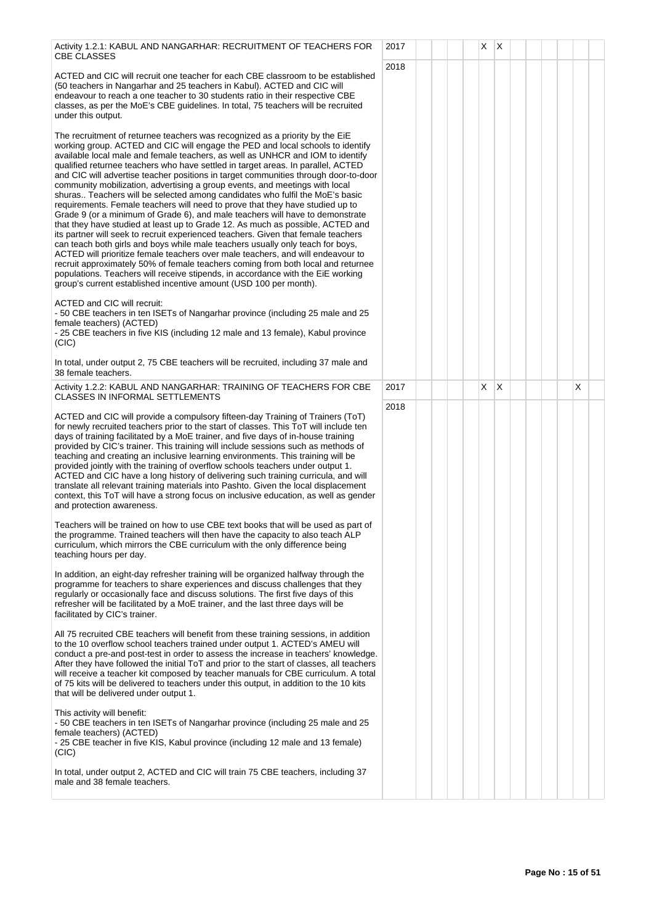| Activity 1.2.1: KABUL AND NANGARHAR: RECRUITMENT OF TEACHERS FOR<br><b>CBE CLASSES</b>                                                                                                                                                                                                                                                                                                                                                                                                                                                                                                                                                                                                                                                                                                                                                                                                                                                                                                                                                                                                                                                                                                                                                                                                                                                               | 2017         |  | X | ΙX |  |          |  |
|------------------------------------------------------------------------------------------------------------------------------------------------------------------------------------------------------------------------------------------------------------------------------------------------------------------------------------------------------------------------------------------------------------------------------------------------------------------------------------------------------------------------------------------------------------------------------------------------------------------------------------------------------------------------------------------------------------------------------------------------------------------------------------------------------------------------------------------------------------------------------------------------------------------------------------------------------------------------------------------------------------------------------------------------------------------------------------------------------------------------------------------------------------------------------------------------------------------------------------------------------------------------------------------------------------------------------------------------------|--------------|--|---|----|--|----------|--|
| ACTED and CIC will recruit one teacher for each CBE classroom to be established<br>(50 teachers in Nangarhar and 25 teachers in Kabul). ACTED and CIC will<br>endeavour to reach a one teacher to 30 students ratio in their respective CBE<br>classes, as per the MoE's CBE guidelines. In total, 75 teachers will be recruited<br>under this output.                                                                                                                                                                                                                                                                                                                                                                                                                                                                                                                                                                                                                                                                                                                                                                                                                                                                                                                                                                                               | 2018         |  |   |    |  |          |  |
| The recruitment of returnee teachers was recognized as a priority by the EiE<br>working group. ACTED and CIC will engage the PED and local schools to identify<br>available local male and female teachers, as well as UNHCR and IOM to identify<br>qualified returnee teachers who have settled in target areas. In parallel, ACTED<br>and CIC will advertise teacher positions in target communities through door-to-door<br>community mobilization, advertising a group events, and meetings with local<br>shuras Teachers will be selected among candidates who fulfil the MoE's basic<br>requirements. Female teachers will need to prove that they have studied up to<br>Grade 9 (or a minimum of Grade 6), and male teachers will have to demonstrate<br>that they have studied at least up to Grade 12. As much as possible, ACTED and<br>its partner will seek to recruit experienced teachers. Given that female teachers<br>can teach both girls and boys while male teachers usually only teach for boys,<br>ACTED will prioritize female teachers over male teachers, and will endeavour to<br>recruit approximately 50% of female teachers coming from both local and returnee<br>populations. Teachers will receive stipends, in accordance with the EiE working<br>group's current established incentive amount (USD 100 per month). |              |  |   |    |  |          |  |
| ACTED and CIC will recruit:<br>-50 CBE teachers in ten ISETs of Nangarhar province (including 25 male and 25<br>female teachers) (ACTED)<br>- 25 CBE teachers in five KIS (including 12 male and 13 female), Kabul province<br>(CIC)                                                                                                                                                                                                                                                                                                                                                                                                                                                                                                                                                                                                                                                                                                                                                                                                                                                                                                                                                                                                                                                                                                                 |              |  |   |    |  |          |  |
| In total, under output 2, 75 CBE teachers will be recruited, including 37 male and<br>38 female teachers.                                                                                                                                                                                                                                                                                                                                                                                                                                                                                                                                                                                                                                                                                                                                                                                                                                                                                                                                                                                                                                                                                                                                                                                                                                            |              |  |   |    |  |          |  |
| Activity 1.2.2: KABUL AND NANGARHAR: TRAINING OF TEACHERS FOR CBE<br><b>CLASSES IN INFORMAL SETTLEMENTS</b>                                                                                                                                                                                                                                                                                                                                                                                                                                                                                                                                                                                                                                                                                                                                                                                                                                                                                                                                                                                                                                                                                                                                                                                                                                          | 2017<br>2018 |  | X | X  |  | $\times$ |  |
| ACTED and CIC will provide a compulsory fifteen-day Training of Trainers (ToT)<br>for newly recruited teachers prior to the start of classes. This ToT will include ten<br>days of training facilitated by a MoE trainer, and five days of in-house training<br>provided by CIC's trainer. This training will include sessions such as methods of<br>teaching and creating an inclusive learning environments. This training will be<br>provided jointly with the training of overflow schools teachers under output 1.<br>ACTED and CIC have a long history of delivering such training curricula, and will<br>translate all relevant training materials into Pashto. Given the local displacement<br>context, this ToT will have a strong focus on inclusive education, as well as gender<br>and protection awareness.                                                                                                                                                                                                                                                                                                                                                                                                                                                                                                                             |              |  |   |    |  |          |  |
| Teachers will be trained on how to use CBE text books that will be used as part of<br>the programme. Trained teachers will then have the capacity to also teach ALP<br>curriculum, which mirrors the CBE curriculum with the only difference being<br>teaching hours per day.                                                                                                                                                                                                                                                                                                                                                                                                                                                                                                                                                                                                                                                                                                                                                                                                                                                                                                                                                                                                                                                                        |              |  |   |    |  |          |  |
| In addition, an eight-day refresher training will be organized halfway through the<br>programme for teachers to share experiences and discuss challenges that they<br>regularly or occasionally face and discuss solutions. The first five days of this<br>refresher will be facilitated by a MoE trainer, and the last three days will be<br>facilitated by CIC's trainer.                                                                                                                                                                                                                                                                                                                                                                                                                                                                                                                                                                                                                                                                                                                                                                                                                                                                                                                                                                          |              |  |   |    |  |          |  |
| All 75 recruited CBE teachers will benefit from these training sessions, in addition<br>to the 10 overflow school teachers trained under output 1. ACTED's AMEU will<br>conduct a pre-and post-test in order to assess the increase in teachers' knowledge.<br>After they have followed the initial ToT and prior to the start of classes, all teachers<br>will receive a teacher kit composed by teacher manuals for CBE curriculum. A total<br>of 75 kits will be delivered to teachers under this output, in addition to the 10 kits<br>that will be delivered under output 1.                                                                                                                                                                                                                                                                                                                                                                                                                                                                                                                                                                                                                                                                                                                                                                    |              |  |   |    |  |          |  |
| This activity will benefit:<br>-50 CBE teachers in ten ISETs of Nangarhar province (including 25 male and 25<br>female teachers) (ACTED)<br>- 25 CBE teacher in five KIS, Kabul province (including 12 male and 13 female)<br>(CIC)                                                                                                                                                                                                                                                                                                                                                                                                                                                                                                                                                                                                                                                                                                                                                                                                                                                                                                                                                                                                                                                                                                                  |              |  |   |    |  |          |  |
| In total, under output 2, ACTED and CIC will train 75 CBE teachers, including 37                                                                                                                                                                                                                                                                                                                                                                                                                                                                                                                                                                                                                                                                                                                                                                                                                                                                                                                                                                                                                                                                                                                                                                                                                                                                     |              |  |   |    |  |          |  |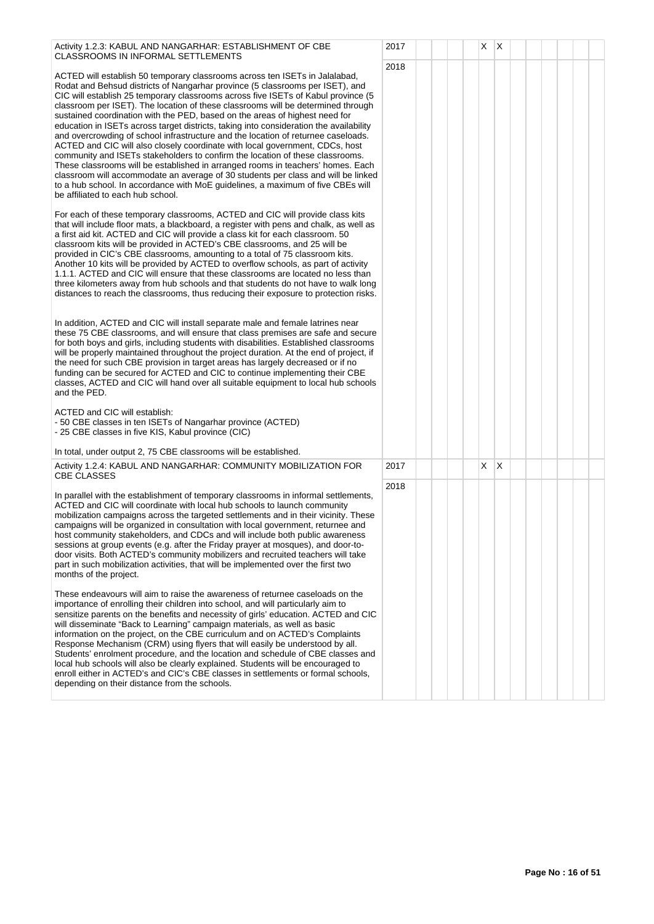| Activity 1.2.3: KABUL AND NANGARHAR: ESTABLISHMENT OF CBE<br>CLASSROOMS IN INFORMAL SETTLEMENTS                                                                                                                                                                                                                                                                                                                                                                                                                                                                                                                                                                                                                                                                                                                                                                                                                                                                                                                                                                      | 2017 |  | X. | $\mathsf{I} \mathsf{X}$ |  |  |  |
|----------------------------------------------------------------------------------------------------------------------------------------------------------------------------------------------------------------------------------------------------------------------------------------------------------------------------------------------------------------------------------------------------------------------------------------------------------------------------------------------------------------------------------------------------------------------------------------------------------------------------------------------------------------------------------------------------------------------------------------------------------------------------------------------------------------------------------------------------------------------------------------------------------------------------------------------------------------------------------------------------------------------------------------------------------------------|------|--|----|-------------------------|--|--|--|
| ACTED will establish 50 temporary classrooms across ten ISETs in Jalalabad,<br>Rodat and Behsud districts of Nangarhar province (5 classrooms per ISET), and<br>CIC will establish 25 temporary classrooms across five ISETs of Kabul province (5<br>classroom per ISET). The location of these classrooms will be determined through<br>sustained coordination with the PED, based on the areas of highest need for<br>education in ISETs across target districts, taking into consideration the availability<br>and overcrowding of school infrastructure and the location of returnee caseloads.<br>ACTED and CIC will also closely coordinate with local government, CDCs, host<br>community and ISETs stakeholders to confirm the location of these classrooms.<br>These classrooms will be established in arranged rooms in teachers' homes. Each<br>classroom will accommodate an average of 30 students per class and will be linked<br>to a hub school. In accordance with MoE guidelines, a maximum of five CBEs will<br>be affiliated to each hub school. | 2018 |  |    |                         |  |  |  |
| For each of these temporary classrooms, ACTED and CIC will provide class kits<br>that will include floor mats, a blackboard, a register with pens and chalk, as well as<br>a first aid kit. ACTED and CIC will provide a class kit for each classroom. 50<br>classroom kits will be provided in ACTED's CBE classrooms, and 25 will be<br>provided in CIC's CBE classrooms, amounting to a total of 75 classroom kits.<br>Another 10 kits will be provided by ACTED to overflow schools, as part of activity<br>1.1.1. ACTED and CIC will ensure that these classrooms are located no less than<br>three kilometers away from hub schools and that students do not have to walk long<br>distances to reach the classrooms, thus reducing their exposure to protection risks.                                                                                                                                                                                                                                                                                         |      |  |    |                         |  |  |  |
| In addition, ACTED and CIC will install separate male and female latrines near<br>these 75 CBE classrooms, and will ensure that class premises are safe and secure<br>for both boys and girls, including students with disabilities. Established classrooms<br>will be properly maintained throughout the project duration. At the end of project, if<br>the need for such CBE provision in target areas has largely decreased or if no<br>funding can be secured for ACTED and CIC to continue implementing their CBE<br>classes, ACTED and CIC will hand over all suitable equipment to local hub schools<br>and the PED.                                                                                                                                                                                                                                                                                                                                                                                                                                          |      |  |    |                         |  |  |  |
| ACTED and CIC will establish:<br>- 50 CBE classes in ten ISETs of Nangarhar province (ACTED)<br>- 25 CBE classes in five KIS, Kabul province (CIC)                                                                                                                                                                                                                                                                                                                                                                                                                                                                                                                                                                                                                                                                                                                                                                                                                                                                                                                   |      |  |    |                         |  |  |  |
| In total, under output 2, 75 CBE classrooms will be established.                                                                                                                                                                                                                                                                                                                                                                                                                                                                                                                                                                                                                                                                                                                                                                                                                                                                                                                                                                                                     |      |  |    |                         |  |  |  |
| Activity 1.2.4: KABUL AND NANGARHAR: COMMUNITY MOBILIZATION FOR<br><b>CBE CLASSES</b>                                                                                                                                                                                                                                                                                                                                                                                                                                                                                                                                                                                                                                                                                                                                                                                                                                                                                                                                                                                | 2017 |  | Χ  | ΙX                      |  |  |  |
| In parallel with the establishment of temporary classrooms in informal settlements,<br>ACTED and CIC will coordinate with local hub schools to launch community<br>mobilization campaigns across the targeted settlements and in their vicinity. These<br>campaigns will be organized in consultation with local government, returnee and<br>host community stakeholders, and CDCs and will include both public awareness<br>sessions at group events (e.g. after the Friday prayer at mosques), and door-to-<br>door visits. Both ACTED's community mobilizers and recruited teachers will take<br>part in such mobilization activities, that will be implemented over the first two<br>months of the project.                                                                                                                                                                                                                                                                                                                                                      | 2018 |  |    |                         |  |  |  |
| These endeavours will aim to raise the awareness of returnee caseloads on the<br>importance of enrolling their children into school, and will particularly aim to<br>sensitize parents on the benefits and necessity of girls' education. ACTED and CIC<br>will disseminate "Back to Learning" campaign materials, as well as basic<br>information on the project, on the CBE curriculum and on ACTED's Complaints<br>Response Mechanism (CRM) using flyers that will easily be understood by all.<br>Students' enrolment procedure, and the location and schedule of CBE classes and<br>local hub schools will also be clearly explained. Students will be encouraged to<br>enroll either in ACTED's and CIC's CBE classes in settlements or formal schools,<br>depending on their distance from the schools.                                                                                                                                                                                                                                                       |      |  |    |                         |  |  |  |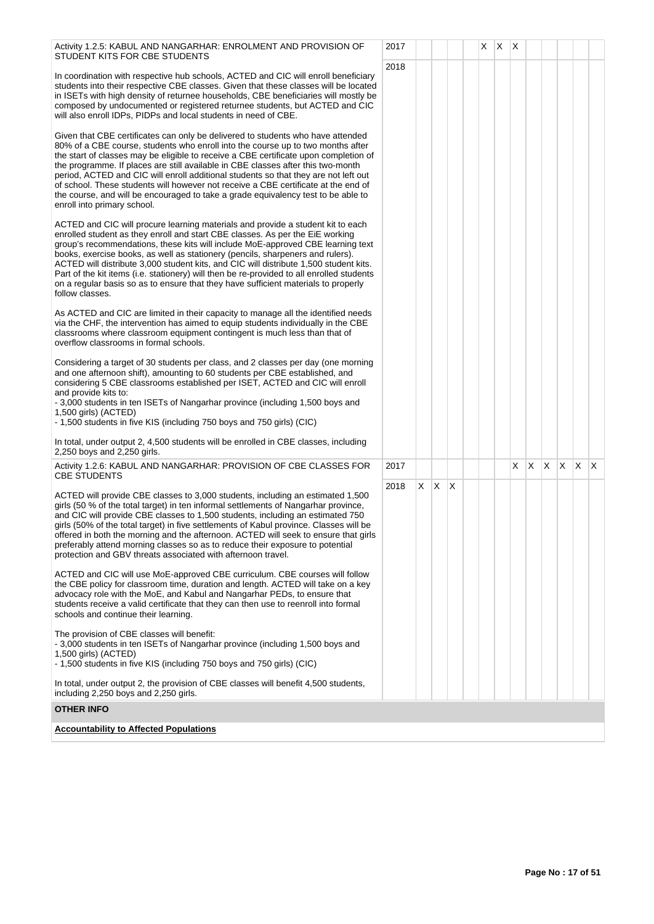| Activity 1.2.5: KABUL AND NANGARHAR: ENROLMENT AND PROVISION OF<br>STUDENT KITS FOR CBE STUDENTS                                                                                                                                                                                                                                                                                                                                                                                                                                                                                                                                                | 2017 |    |          |   | X. | X | X  |              |  |              |
|-------------------------------------------------------------------------------------------------------------------------------------------------------------------------------------------------------------------------------------------------------------------------------------------------------------------------------------------------------------------------------------------------------------------------------------------------------------------------------------------------------------------------------------------------------------------------------------------------------------------------------------------------|------|----|----------|---|----|---|----|--------------|--|--------------|
| In coordination with respective hub schools, ACTED and CIC will enroll beneficiary<br>students into their respective CBE classes. Given that these classes will be located<br>in ISETs with high density of returnee households, CBE beneficiaries will mostly be<br>composed by undocumented or registered returnee students, but ACTED and CIC<br>will also enroll IDPs, PIDPs and local students in need of CBE.                                                                                                                                                                                                                             | 2018 |    |          |   |    |   |    |              |  |              |
| Given that CBE certificates can only be delivered to students who have attended<br>80% of a CBE course, students who enroll into the course up to two months after<br>the start of classes may be eligible to receive a CBE certificate upon completion of<br>the programme. If places are still available in CBE classes after this two-month<br>period, ACTED and CIC will enroll additional students so that they are not left out<br>of school. These students will however not receive a CBE certificate at the end of<br>the course, and will be encouraged to take a grade equivalency test to be able to<br>enroll into primary school. |      |    |          |   |    |   |    |              |  |              |
| ACTED and CIC will procure learning materials and provide a student kit to each<br>enrolled student as they enroll and start CBE classes. As per the EiE working<br>group's recommendations, these kits will include MoE-approved CBE learning text<br>books, exercise books, as well as stationery (pencils, sharpeners and rulers).<br>ACTED will distribute 3,000 student kits, and CIC will distribute 1,500 student kits.<br>Part of the kit items (i.e. stationery) will then be re-provided to all enrolled students<br>on a regular basis so as to ensure that they have sufficient materials to properly<br>follow classes.            |      |    |          |   |    |   |    |              |  |              |
| As ACTED and CIC are limited in their capacity to manage all the identified needs<br>via the CHF, the intervention has aimed to equip students individually in the CBE<br>classrooms where classroom equipment contingent is much less than that of<br>overflow classrooms in formal schools.                                                                                                                                                                                                                                                                                                                                                   |      |    |          |   |    |   |    |              |  |              |
| Considering a target of 30 students per class, and 2 classes per day (one morning<br>and one afternoon shift), amounting to 60 students per CBE established, and<br>considering 5 CBE classrooms established per ISET, ACTED and CIC will enroll<br>and provide kits to:<br>- 3,000 students in ten ISETs of Nangarhar province (including 1,500 boys and<br>1,500 girls) (ACTED)<br>- 1,500 students in five KIS (including 750 boys and 750 girls) (CIC)                                                                                                                                                                                      |      |    |          |   |    |   |    |              |  |              |
| In total, under output 2, 4,500 students will be enrolled in CBE classes, including<br>2,250 boys and 2,250 girls.                                                                                                                                                                                                                                                                                                                                                                                                                                                                                                                              |      |    |          |   |    |   |    |              |  |              |
| Activity 1.2.6: KABUL AND NANGARHAR: PROVISION OF CBE CLASSES FOR<br><b>CBE STUDENTS</b>                                                                                                                                                                                                                                                                                                                                                                                                                                                                                                                                                        | 2017 |    |          |   |    |   | X. | $X \times X$ |  | $\mathsf{X}$ |
| ACTED will provide CBE classes to 3,000 students, including an estimated 1,500<br>girls (50 % of the total target) in ten informal settlements of Nangarhar province,<br>and CIC will provide CBE classes to 1,500 students, including an estimated 750<br>girls (50% of the total target) in five settlements of Kabul province. Classes will be<br>offered in both the morning and the afternoon. ACTED will seek to ensure that girls<br>preferably attend morning classes so as to reduce their exposure to potential<br>protection and GBV threats associated with afternoon travel.                                                       | 2018 | X. | <b>X</b> | X |    |   |    |              |  |              |
| ACTED and CIC will use MoE-approved CBE curriculum. CBE courses will follow<br>the CBE policy for classroom time, duration and length. ACTED will take on a key<br>advocacy role with the MoE, and Kabul and Nangarhar PEDs, to ensure that<br>students receive a valid certificate that they can then use to reenroll into formal<br>schools and continue their learning.                                                                                                                                                                                                                                                                      |      |    |          |   |    |   |    |              |  |              |
| The provision of CBE classes will benefit:<br>- 3,000 students in ten ISETs of Nangarhar province (including 1,500 boys and<br>1,500 girls) (ACTED)<br>- 1,500 students in five KIS (including 750 boys and 750 girls) (CIC)                                                                                                                                                                                                                                                                                                                                                                                                                    |      |    |          |   |    |   |    |              |  |              |
| In total, under output 2, the provision of CBE classes will benefit 4,500 students,<br>including 2,250 boys and 2,250 girls.                                                                                                                                                                                                                                                                                                                                                                                                                                                                                                                    |      |    |          |   |    |   |    |              |  |              |
| <b>OTHER INFO</b>                                                                                                                                                                                                                                                                                                                                                                                                                                                                                                                                                                                                                               |      |    |          |   |    |   |    |              |  |              |
| <b>Accountability to Affected Populations</b>                                                                                                                                                                                                                                                                                                                                                                                                                                                                                                                                                                                                   |      |    |          |   |    |   |    |              |  |              |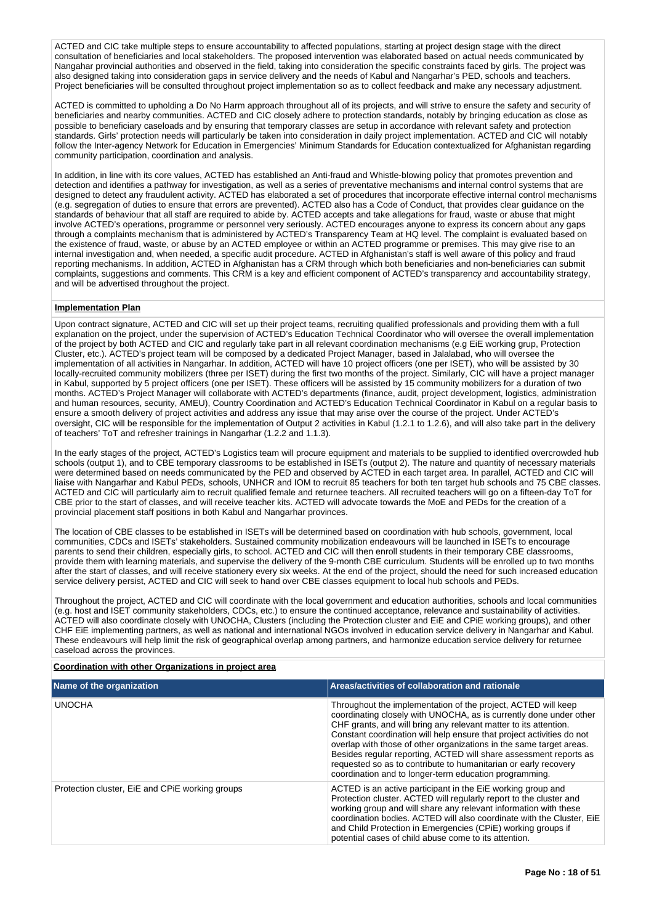ACTED and CIC take multiple steps to ensure accountability to affected populations, starting at project design stage with the direct consultation of beneficiaries and local stakeholders. The proposed intervention was elaborated based on actual needs communicated by Nangahar provincial authorities and observed in the field, taking into consideration the specific constraints faced by girls. The project was also designed taking into consideration gaps in service delivery and the needs of Kabul and Nangarhar's PED, schools and teachers. Project beneficiaries will be consulted throughout project implementation so as to collect feedback and make any necessary adjustment.

ACTED is committed to upholding a Do No Harm approach throughout all of its projects, and will strive to ensure the safety and security of beneficiaries and nearby communities. ACTED and CIC closely adhere to protection standards, notably by bringing education as close as possible to beneficiary caseloads and by ensuring that temporary classes are setup in accordance with relevant safety and protection standards. Girls' protection needs will particularly be taken into consideration in daily project implementation. ACTED and CIC will notably follow the Inter-agency Network for Education in Emergencies' Minimum Standards for Education contextualized for Afghanistan regarding community participation, coordination and analysis.

In addition, in line with its core values, ACTED has established an Anti-fraud and Whistle-blowing policy that promotes prevention and detection and identifies a pathway for investigation, as well as a series of preventative mechanisms and internal control systems that are designed to detect any fraudulent activity. ACTED has elaborated a set of procedures that incorporate effective internal control mechanisms (e.g. segregation of duties to ensure that errors are prevented). ACTED also has a Code of Conduct, that provides clear guidance on the standards of behaviour that all staff are required to abide by. ACTED accepts and take allegations for fraud, waste or abuse that might involve ACTED's operations, programme or personnel very seriously. ACTED encourages anyone to express its concern about any gaps through a complaints mechanism that is administered by ACTED's Transparency Team at HQ level. The complaint is evaluated based on the existence of fraud, waste, or abuse by an ACTED employee or within an ACTED programme or premises. This may give rise to an internal investigation and, when needed, a specific audit procedure. ACTED in Afghanistan's staff is well aware of this policy and fraud reporting mechanisms. In addition, ACTED in Afghanistan has a CRM through which both beneficiaries and non-beneficiaries can submit complaints, suggestions and comments. This CRM is a key and efficient component of ACTED's transparency and accountability strategy, and will be advertised throughout the project.

# **Implementation Plan**

Upon contract signature, ACTED and CIC will set up their project teams, recruiting qualified professionals and providing them with a full explanation on the project, under the supervision of ACTED's Education Technical Coordinator who will oversee the overall implementation of the project by both ACTED and CIC and regularly take part in all relevant coordination mechanisms (e.g EiE working grup, Protection Cluster, etc.). ACTED's project team will be composed by a dedicated Project Manager, based in Jalalabad, who will oversee the implementation of all activities in Nangarhar. In addition, ACTED will have 10 project officers (one per ISET), who will be assisted by 30 locally-recruited community mobilizers (three per ISET) during the first two months of the project. Similarly, CIC will have a project manager in Kabul, supported by 5 project officers (one per ISET). These officers will be assisted by 15 community mobilizers for a duration of two months. ACTED's Project Manager will collaborate with ACTED's departments (finance, audit, project development, logistics, administration and human resources, security, AMEU), Country Coordination and ACTED's Education Technical Coordinator in Kabul on a regular basis to ensure a smooth delivery of project activities and address any issue that may arise over the course of the project. Under ACTED's oversight, CIC will be responsible for the implementation of Output 2 activities in Kabul (1.2.1 to 1.2.6), and will also take part in the delivery of teachers' ToT and refresher trainings in Nangarhar (1.2.2 and 1.1.3).

In the early stages of the project, ACTED's Logistics team will procure equipment and materials to be supplied to identified overcrowded hub schools (output 1), and to CBE temporary classrooms to be established in ISETs (output 2). The nature and quantity of necessary materials were determined based on needs communicated by the PED and observed by ACTED in each target area. In parallel, ACTED and CIC will liaise with Nangarhar and Kabul PEDs, schools, UNHCR and IOM to recruit 85 teachers for both ten target hub schools and 75 CBE classes. ACTED and CIC will particularly aim to recruit qualified female and returnee teachers. All recruited teachers will go on a fifteen-day ToT for CBE prior to the start of classes, and will receive teacher kits. ACTED will advocate towards the MoE and PEDs for the creation of a provincial placement staff positions in both Kabul and Nangarhar provinces.

The location of CBE classes to be established in ISETs will be determined based on coordination with hub schools, government, local communities, CDCs and ISETs' stakeholders. Sustained community mobilization endeavours will be launched in ISETs to encourage parents to send their children, especially girls, to school. ACTED and CIC will then enroll students in their temporary CBE classrooms, provide them with learning materials, and supervise the delivery of the 9-month CBE curriculum. Students will be enrolled up to two months after the start of classes, and will receive stationery every six weeks. At the end of the project, should the need for such increased education service delivery persist, ACTED and CIC will seek to hand over CBE classes equipment to local hub schools and PEDs.

Throughout the project, ACTED and CIC will coordinate with the local government and education authorities, schools and local communities (e.g. host and ISET community stakeholders, CDCs, etc.) to ensure the continued acceptance, relevance and sustainability of activities. ACTED will also coordinate closely with UNOCHA, Clusters (including the Protection cluster and EiE and CPiE working groups), and other CHF EiE implementing partners, as well as national and international NGOs involved in education service delivery in Nangarhar and Kabul. These endeavours will help limit the risk of geographical overlap among partners, and harmonize education service delivery for returnee caseload across the provinces.

#### **Coordination with other Organizations in project area**

| Name of the organization                        | Areas/activities of collaboration and rationale                                                                                                                                                                                                                                                                                                                                                                                                                                                                                                           |
|-------------------------------------------------|-----------------------------------------------------------------------------------------------------------------------------------------------------------------------------------------------------------------------------------------------------------------------------------------------------------------------------------------------------------------------------------------------------------------------------------------------------------------------------------------------------------------------------------------------------------|
| <b>UNOCHA</b>                                   | Throughout the implementation of the project, ACTED will keep<br>coordinating closely with UNOCHA, as is currently done under other<br>CHF grants, and will bring any relevant matter to its attention.<br>Constant coordination will help ensure that project activities do not<br>overlap with those of other organizations in the same target areas.<br>Besides regular reporting, ACTED will share assessment reports as<br>requested so as to contribute to humanitarian or early recovery<br>coordination and to longer-term education programming. |
| Protection cluster, EiE and CPIE working groups | ACTED is an active participant in the EiE working group and<br>Protection cluster. ACTED will regularly report to the cluster and<br>working group and will share any relevant information with these<br>coordination bodies. ACTED will also coordinate with the Cluster, EiE<br>and Child Protection in Emergencies (CPIE) working groups if<br>potential cases of child abuse come to its attention.                                                                                                                                                   |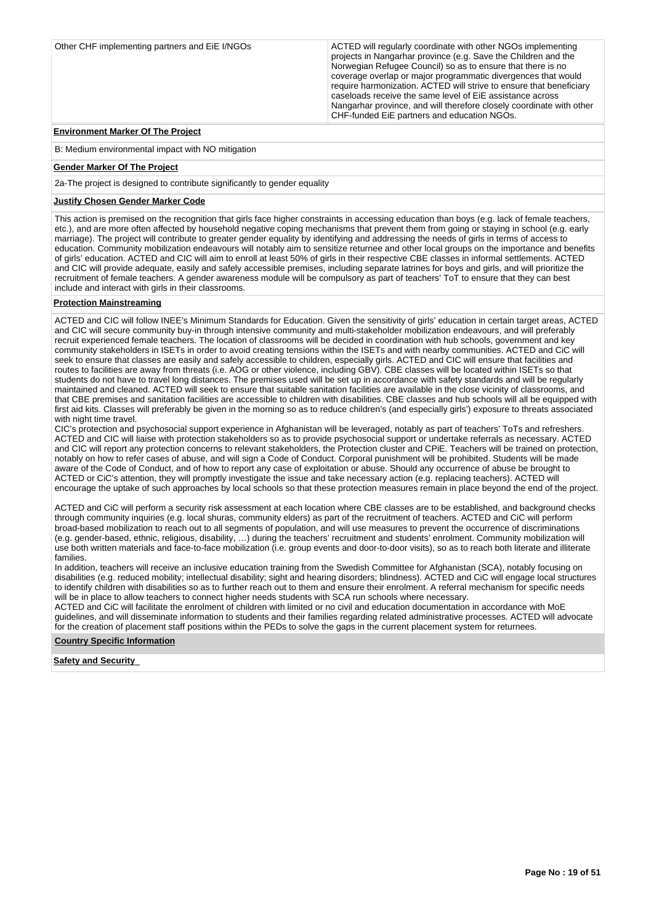| Other CHF implementing partners and EiE I/NGOs | ACTED will regularly coordinate with other NGOs implementing<br>projects in Nangarhar province (e.g. Save the Children and the<br>Norwegian Refugee Council) so as to ensure that there is no<br>coverage overlap or major programmatic divergences that would<br>require harmonization. ACTED will strive to ensure that beneficiary<br>caseloads receive the same level of EiE assistance across<br>Nangarhar province, and will therefore closely coordinate with other<br>CHF-funded EiE partners and education NGOs. |
|------------------------------------------------|---------------------------------------------------------------------------------------------------------------------------------------------------------------------------------------------------------------------------------------------------------------------------------------------------------------------------------------------------------------------------------------------------------------------------------------------------------------------------------------------------------------------------|
| <b>Environment Marker Of The Project</b>       |                                                                                                                                                                                                                                                                                                                                                                                                                                                                                                                           |

#### **Environment Marker Of The Project**

B: Medium environmental impact with NO mitigation

## **Gender Marker Of The Project**

2a-The project is designed to contribute significantly to gender equality

# **Justify Chosen Gender Marker Code**

This action is premised on the recognition that girls face higher constraints in accessing education than boys (e.g. lack of female teachers, etc.), and are more often affected by household negative coping mechanisms that prevent them from going or staying in school (e.g. early marriage). The project will contribute to greater gender equality by identifying and addressing the needs of girls in terms of access to education. Community mobilization endeavours will notably aim to sensitize returnee and other local groups on the importance and benefits of girls' education. ACTED and CIC will aim to enroll at least 50% of girls in their respective CBE classes in informal settlements. ACTED and CIC will provide adequate, easily and safely accessible premises, including separate latrines for boys and girls, and will prioritize the recruitment of female teachers. A gender awareness module will be compulsory as part of teachers' ToT to ensure that they can best include and interact with girls in their classrooms.

# **Protection Mainstreaming**

ACTED and CIC will follow INEE's Minimum Standards for Education. Given the sensitivity of girls' education in certain target areas, ACTED and CIC will secure community buy-in through intensive community and multi-stakeholder mobilization endeavours, and will preferably recruit experienced female teachers. The location of classrooms will be decided in coordination with hub schools, government and key community stakeholders in ISETs in order to avoid creating tensions within the ISETs and with nearby communities. ACTED and CiC will seek to ensure that classes are easily and safely accessible to children, especially girls. ACTED and CIC will ensure that facilities and routes to facilities are away from threats (i.e. AOG or other violence, including GBV). CBE classes will be located within ISETs so that students do not have to travel long distances. The premises used will be set up in accordance with safety standards and will be regularly maintained and cleaned. ACTED will seek to ensure that suitable sanitation facilities are available in the close vicinity of classrooms, and that CBE premises and sanitation facilities are accessible to children with disabilities. CBE classes and hub schools will all be equipped with first aid kits. Classes will preferably be given in the morning so as to reduce children's (and especially girls') exposure to threats associated with night time travel.

CIC's protection and psychosocial support experience in Afghanistan will be leveraged, notably as part of teachers' ToTs and refreshers. ACTED and CIC will liaise with protection stakeholders so as to provide psychosocial support or undertake referrals as necessary. ACTED and CIC will report any protection concerns to relevant stakeholders, the Protection cluster and CPiE. Teachers will be trained on protection, notably on how to refer cases of abuse, and will sign a Code of Conduct. Corporal punishment will be prohibited. Students will be made aware of the Code of Conduct, and of how to report any case of exploitation or abuse. Should any occurrence of abuse be brought to ACTED or CiC's attention, they will promptly investigate the issue and take necessary action (e.g. replacing teachers). ACTED will encourage the uptake of such approaches by local schools so that these protection measures remain in place beyond the end of the project.

ACTED and CiC will perform a security risk assessment at each location where CBE classes are to be established, and background checks through community inquiries (e.g. local shuras, community elders) as part of the recruitment of teachers. ACTED and CiC will perform broad-based mobilization to reach out to all segments of population, and will use measures to prevent the occurrence of discriminations (e.g. gender-based, ethnic, religious, disability, …) during the teachers' recruitment and students' enrolment. Community mobilization will use both written materials and face-to-face mobilization (i.e. group events and door-to-door visits), so as to reach both literate and illiterate families.

In addition, teachers will receive an inclusive education training from the Swedish Committee for Afghanistan (SCA), notably focusing on disabilities (e.g. reduced mobility; intellectual disability; sight and hearing disorders; blindness). ACTED and CiC will engage local structures to identify children with disabilities so as to further reach out to them and ensure their enrolment. A referral mechanism for specific needs will be in place to allow teachers to connect higher needs students with SCA run schools where necessary.

ACTED and CiC will facilitate the enrolment of children with limited or no civil and education documentation in accordance with MoE guidelines, and will disseminate information to students and their families regarding related administrative processes. ACTED will advocate for the creation of placement staff positions within the PEDs to solve the gaps in the current placement system for returnees.

## **Country Specific Information**

# **Safety and Security**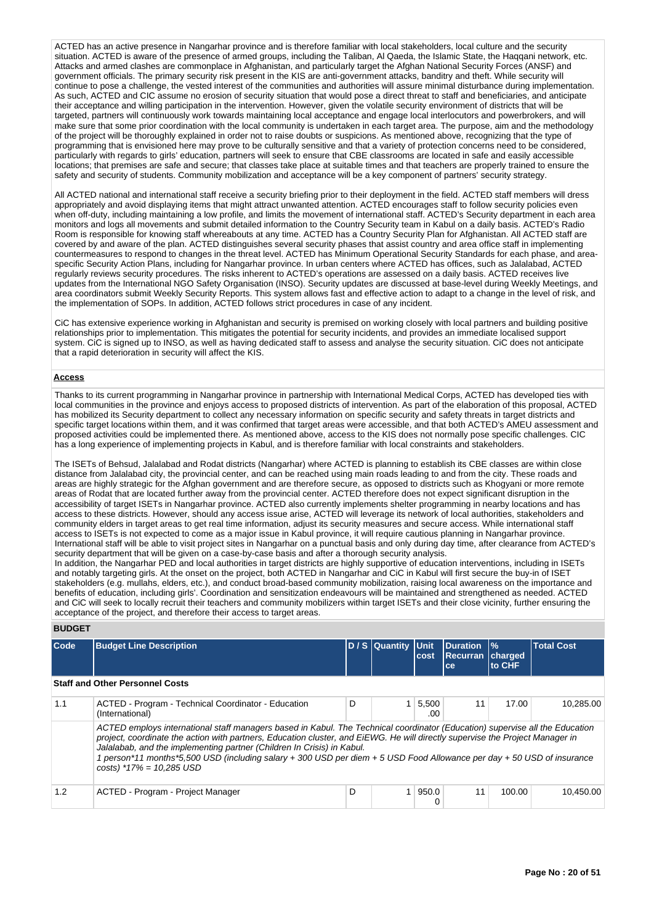ACTED has an active presence in Nangarhar province and is therefore familiar with local stakeholders, local culture and the security situation. ACTED is aware of the presence of armed groups, including the Taliban, Al Qaeda, the Islamic State, the Haggani network, etc. Attacks and armed clashes are commonplace in Afghanistan, and particularly target the Afghan National Security Forces (ANSF) and government officials. The primary security risk present in the KIS are anti-government attacks, banditry and theft. While security will continue to pose a challenge, the vested interest of the communities and authorities will assure minimal disturbance during implementation. As such, ACTED and CIC assume no erosion of security situation that would pose a direct threat to staff and beneficiaries, and anticipate their acceptance and willing participation in the intervention. However, given the volatile security environment of districts that will be targeted, partners will continuously work towards maintaining local acceptance and engage local interlocutors and powerbrokers, and will make sure that some prior coordination with the local community is undertaken in each target area. The purpose, aim and the methodology of the project will be thoroughly explained in order not to raise doubts or suspicions. As mentioned above, recognizing that the type of programming that is envisioned here may prove to be culturally sensitive and that a variety of protection concerns need to be considered, particularly with regards to girls' education, partners will seek to ensure that CBE classrooms are located in safe and easily accessible locations; that premises are safe and secure; that classes take place at suitable times and that teachers are properly trained to ensure the safety and security of students. Community mobilization and acceptance will be a key component of partners' security strategy.

All ACTED national and international staff receive a security briefing prior to their deployment in the field. ACTED staff members will dress appropriately and avoid displaying items that might attract unwanted attention. ACTED encourages staff to follow security policies even when off-duty, including maintaining a low profile, and limits the movement of international staff. ACTED's Security department in each area monitors and logs all movements and submit detailed information to the Country Security team in Kabul on a daily basis. ACTED's Radio Room is responsible for knowing staff whereabouts at any time. ACTED has a Country Security Plan for Afghanistan. All ACTED staff are covered by and aware of the plan. ACTED distinguishes several security phases that assist country and area office staff in implementing countermeasures to respond to changes in the threat level. ACTED has Minimum Operational Security Standards for each phase, and areaspecific Security Action Plans, including for Nangarhar province. In urban centers where ACTED has offices, such as Jalalabad, ACTED regularly reviews security procedures. The risks inherent to ACTED's operations are assessed on a daily basis. ACTED receives live updates from the International NGO Safety Organisation (INSO). Security updates are discussed at base-level during Weekly Meetings, and area coordinators submit Weekly Security Reports. This system allows fast and effective action to adapt to a change in the level of risk, and the implementation of SOPs. In addition, ACTED follows strict procedures in case of any incident.

CiC has extensive experience working in Afghanistan and security is premised on working closely with local partners and building positive relationships prior to implementation. This mitigates the potential for security incidents, and provides an immediate localised support system. CiC is signed up to INSO, as well as having dedicated staff to assess and analyse the security situation. CiC does not anticipate that a rapid deterioration in security will affect the KIS.

# **Access**

Thanks to its current programming in Nangarhar province in partnership with International Medical Corps, ACTED has developed ties with local communities in the province and enjoys access to proposed districts of intervention. As part of the elaboration of this proposal, ACTED has mobilized its Security department to collect any necessary information on specific security and safety threats in target districts and specific target locations within them, and it was confirmed that target areas were accessible, and that both ACTED's AMEU assessment and proposed activities could be implemented there. As mentioned above, access to the KIS does not normally pose specific challenges. CIC has a long experience of implementing projects in Kabul, and is therefore familiar with local constraints and stakeholders.

The ISETs of Behsud, Jalalabad and Rodat districts (Nangarhar) where ACTED is planning to establish its CBE classes are within close distance from Jalalabad city, the provincial center, and can be reached using main roads leading to and from the city. These roads and areas are highly strategic for the Afghan government and are therefore secure, as opposed to districts such as Khogyani or more remote areas of Rodat that are located further away from the provincial center. ACTED therefore does not expect significant disruption in the accessibility of target ISETs in Nangarhar province. ACTED also currently implements shelter programming in nearby locations and has access to these districts. However, should any access issue arise, ACTED will leverage its network of local authorities, stakeholders and community elders in target areas to get real time information, adjust its security measures and secure access. While international staff access to ISETs is not expected to come as a major issue in Kabul province, it will require cautious planning in Nangarhar province. International staff will be able to visit project sites in Nangarhar on a punctual basis and only during day time, after clearance from ACTED's security department that will be given on a case-by-case basis and after a thorough security analysis.

In addition, the Nangarhar PED and local authorities in target districts are highly supportive of education interventions, including in ISETs and notably targeting girls. At the onset on the project, both ACTED in Nangarhar and CiC in Kabul will first secure the buy-in of ISET stakeholders (e.g. mullahs, elders, etc.), and conduct broad-based community mobilization, raising local awareness on the importance and benefits of education, including girls'. Coordination and sensitization endeavours will be maintained and strengthened as needed. ACTED and CiC will seek to locally recruit their teachers and community mobilizers within target ISETs and their close vicinity, further ensuring the acceptance of the project, and therefore their access to target areas.

## **BUDGET**

| Code | <b>Budget Line Description</b>                                                                                                                                                                                                                                                                                                                                                                                                                                                                   |   | D / S Quantity Unit | cost         | <b>IDuration</b><br>Recurran<br>ce. | $\frac{9}{6}$<br>charged<br>to CHF | <b>Total Cost</b> |
|------|--------------------------------------------------------------------------------------------------------------------------------------------------------------------------------------------------------------------------------------------------------------------------------------------------------------------------------------------------------------------------------------------------------------------------------------------------------------------------------------------------|---|---------------------|--------------|-------------------------------------|------------------------------------|-------------------|
|      | <b>Staff and Other Personnel Costs</b>                                                                                                                                                                                                                                                                                                                                                                                                                                                           |   |                     |              |                                     |                                    |                   |
| 1.1  | ACTED - Program - Technical Coordinator - Education<br>(International)                                                                                                                                                                                                                                                                                                                                                                                                                           | D |                     | 5,500<br>.00 | 11                                  | 17.00                              | 10,285.00         |
|      | ACTED employs international staff managers based in Kabul. The Technical coordinator (Education) supervise all the Education<br>project, coordinate the action with partners, Education cluster, and EiEWG. He will directly supervise the Project Manager in<br>Jalalabab, and the implementing partner (Children In Crisis) in Kabul.<br>1 person*11 months*5,500 USD (including salary + 300 USD per diem + 5 USD Food Allowance per day + 50 USD of insurance<br>$costs$ ) *17% = 10,285 USD |   |                     |              |                                     |                                    |                   |
| 1.2  | ACTED - Program - Project Manager                                                                                                                                                                                                                                                                                                                                                                                                                                                                | D |                     | 950.0        | 11                                  | 100.00                             | 10.450.00         |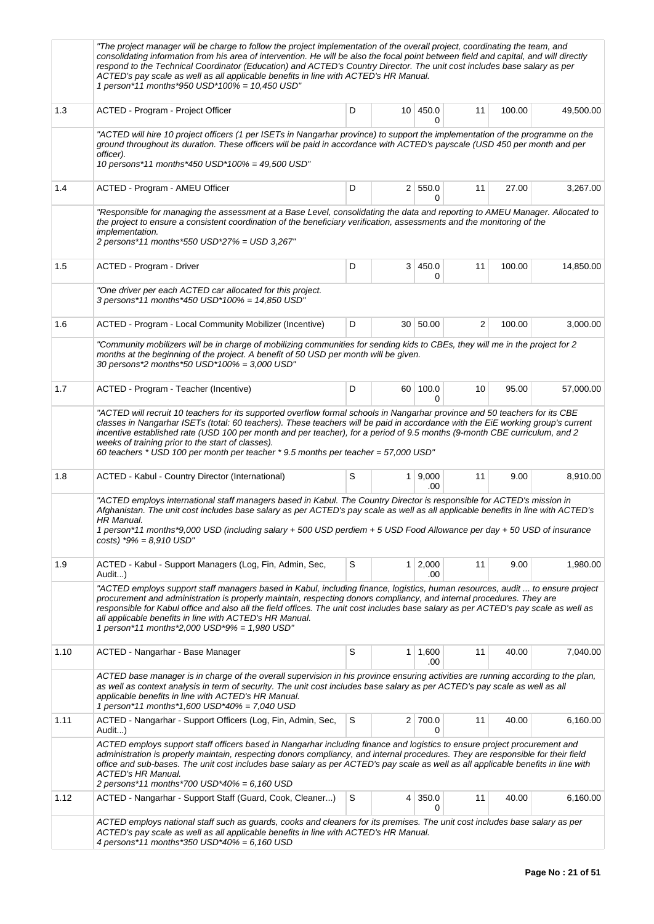|      | "The project manager will be charge to follow the project implementation of the overall project, coordinating the team, and<br>consolidating information from his area of intervention. He will be also the focal point between field and capital, and will directly<br>respond to the Technical Coordinator (Education) and ACTED's Country Director. The unit cost includes base salary as per<br>ACTED's pay scale as well as all applicable benefits in line with ACTED's HR Manual.<br>1 person*11 months*950 USD*100% = 10,450 USD"  |   |                 |                       |    |        |           |
|------|--------------------------------------------------------------------------------------------------------------------------------------------------------------------------------------------------------------------------------------------------------------------------------------------------------------------------------------------------------------------------------------------------------------------------------------------------------------------------------------------------------------------------------------------|---|-----------------|-----------------------|----|--------|-----------|
| 1.3  | ACTED - Program - Project Officer                                                                                                                                                                                                                                                                                                                                                                                                                                                                                                          | D | 10 <sup>1</sup> | 450.0<br>0            | 11 | 100.00 | 49,500.00 |
|      | "ACTED will hire 10 project officers (1 per ISETs in Nangarhar province) to support the implementation of the programme on the<br>ground throughout its duration. These officers will be paid in accordance with ACTED's payscale (USD 450 per month and per<br>officer).<br>10 persons*11 months*450 USD*100% = 49,500 USD"                                                                                                                                                                                                               |   |                 |                       |    |        |           |
| 1.4  | ACTED - Program - AMEU Officer                                                                                                                                                                                                                                                                                                                                                                                                                                                                                                             | D |                 | 2 550.0<br>0          | 11 | 27.00  | 3,267.00  |
|      | "Responsible for managing the assessment at a Base Level, consolidating the data and reporting to AMEU Manager. Allocated to<br>the project to ensure a consistent coordination of the beneficiary verification, assessments and the monitoring of the<br><i>implementation.</i><br>2 persons*11 months*550 USD*27% = USD 3,267"                                                                                                                                                                                                           |   |                 |                       |    |        |           |
| 1.5  | ACTED - Program - Driver                                                                                                                                                                                                                                                                                                                                                                                                                                                                                                                   | D | 3 <sup>1</sup>  | 450.0<br>0            | 11 | 100.00 | 14,850.00 |
|      | "One driver per each ACTED car allocated for this project.<br>3 persons*11 months*450 USD*100% = 14,850 USD"                                                                                                                                                                                                                                                                                                                                                                                                                               |   |                 |                       |    |        |           |
| 1.6  | ACTED - Program - Local Community Mobilizer (Incentive)                                                                                                                                                                                                                                                                                                                                                                                                                                                                                    | D |                 | 30   50.00            | 2  | 100.00 | 3,000.00  |
|      | "Community mobilizers will be in charge of mobilizing communities for sending kids to CBEs, they will me in the project for 2<br>months at the beginning of the project. A benefit of 50 USD per month will be given.<br>30 persons*2 months*50 USD*100% = 3,000 USD"                                                                                                                                                                                                                                                                      |   |                 |                       |    |        |           |
| 1.7  | ACTED - Program - Teacher (Incentive)                                                                                                                                                                                                                                                                                                                                                                                                                                                                                                      | D |                 | 60 100.0<br>0         | 10 | 95.00  | 57,000.00 |
|      | "ACTED will recruit 10 teachers for its supported overflow formal schools in Nangarhar province and 50 teachers for its CBE<br>classes in Nangarhar ISETs (total: 60 teachers). These teachers will be paid in accordance with the EiE working group's current<br>incentive established rate (USD 100 per month and per teacher), for a period of 9.5 months (9-month CBE curriculum, and 2<br>weeks of training prior to the start of classes).<br>60 teachers $*$ USD 100 per month per teacher $*$ 9.5 months per teacher = 57,000 USD" |   |                 |                       |    |        |           |
| 1.8  | ACTED - Kabul - Country Director (International)                                                                                                                                                                                                                                                                                                                                                                                                                                                                                           | S |                 | 1   9,000<br>.00      | 11 | 9.00   | 8,910.00  |
|      | "ACTED employs international staff managers based in Kabul. The Country Director is responsible for ACTED's mission in<br>Afghanistan. The unit cost includes base salary as per ACTED's pay scale as well as all applicable benefits in line with ACTED's<br>HR Manual.<br>1 person*11 months*9,000 USD (including salary + 500 USD perdiem + 5 USD Food Allowance per day + 50 USD of insurance<br>$costs$ ) *9% = 8,910 USD"                                                                                                            |   |                 |                       |    |        |           |
| 1.9  | ACTED - Kabul - Support Managers (Log, Fin, Admin, Sec,<br>Audit)                                                                                                                                                                                                                                                                                                                                                                                                                                                                          | S | 1               | 2,000<br>.00          | 11 | 9.00   | 1,980.00  |
|      | "ACTED employs support staff managers based in Kabul, including finance, logistics, human resources, audit  to ensure project<br>procurement and administration is properly maintain, respecting donors compliancy, and internal procedures. They are<br>responsible for Kabul office and also all the field offices. The unit cost includes base salary as per ACTED's pay scale as well as<br>all applicable benefits in line with ACTED's HR Manual.<br>1 person*11 months*2,000 USD*9% = 1,980 USD"                                    |   |                 |                       |    |        |           |
| 1.10 | ACTED - Nangarhar - Base Manager                                                                                                                                                                                                                                                                                                                                                                                                                                                                                                           | S |                 | $1 \mid 1,600$<br>.00 | 11 | 40.00  | 7,040.00  |
|      | ACTED base manager is in charge of the overall supervision in his province ensuring activities are running according to the plan,<br>as well as context analysis in term of security. The unit cost includes base salary as per ACTED's pay scale as well as all<br>applicable benefits in line with ACTED's HR Manual.<br>1 person*11 months*1,600 USD*40% = 7,040 USD                                                                                                                                                                    |   |                 |                       |    |        |           |
| 1.11 | ACTED - Nangarhar - Support Officers (Log, Fin, Admin, Sec,<br>Audit)                                                                                                                                                                                                                                                                                                                                                                                                                                                                      | S |                 | 2 700.0<br>$\Omega$   | 11 | 40.00  | 6,160.00  |
|      | ACTED employs support staff officers based in Nangarhar including finance and logistics to ensure project procurement and<br>administration is properly maintain, respecting donors compliancy, and internal procedures. They are responsible for their field<br>office and sub-bases. The unit cost includes base salary as per ACTED's pay scale as well as all applicable benefits in line with<br><b>ACTED's HR Manual.</b><br>2 persons*11 months*700 USD*40% = 6,160 USD                                                             |   |                 |                       |    |        |           |
| 1.12 | ACTED - Nangarhar - Support Staff (Guard, Cook, Cleaner)                                                                                                                                                                                                                                                                                                                                                                                                                                                                                   | S | 4               | 350.0<br>0            | 11 | 40.00  | 6,160.00  |
|      | ACTED employs national staff such as guards, cooks and cleaners for its premises. The unit cost includes base salary as per<br>ACTED's pay scale as well as all applicable benefits in line with ACTED's HR Manual.<br>4 persons*11 months*350 USD*40% = 6,160 USD                                                                                                                                                                                                                                                                         |   |                 |                       |    |        |           |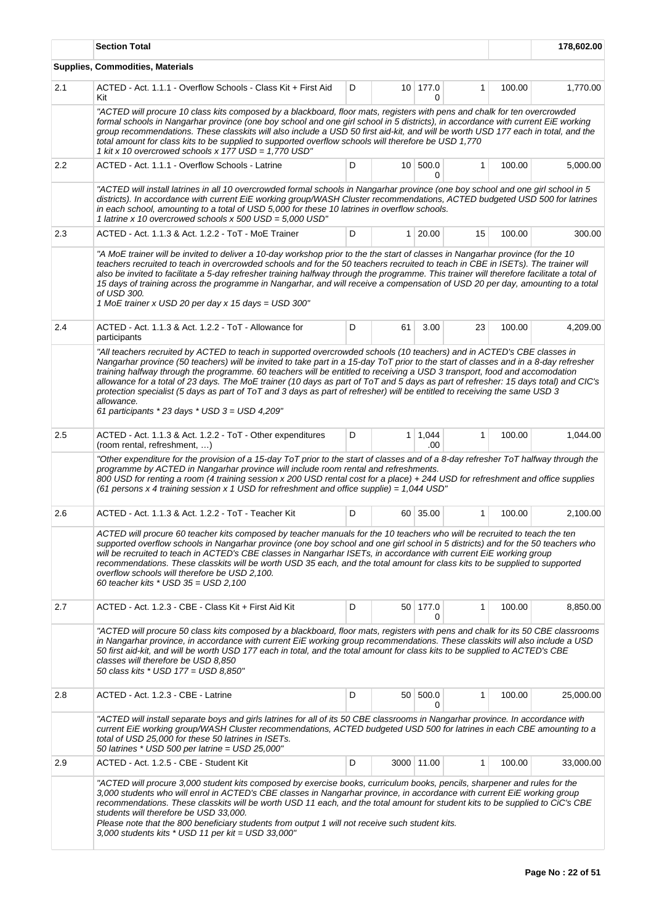|     | <b>Section Total</b>                                                                                                                                                                                                                                                                                                                                                                                                                                                                                                                                                                                                                                                                                                                  |   | 178,602.00 |                   |              |        |           |  |  |  |  |
|-----|---------------------------------------------------------------------------------------------------------------------------------------------------------------------------------------------------------------------------------------------------------------------------------------------------------------------------------------------------------------------------------------------------------------------------------------------------------------------------------------------------------------------------------------------------------------------------------------------------------------------------------------------------------------------------------------------------------------------------------------|---|------------|-------------------|--------------|--------|-----------|--|--|--|--|
|     | <b>Supplies, Commodities, Materials</b>                                                                                                                                                                                                                                                                                                                                                                                                                                                                                                                                                                                                                                                                                               |   |            |                   |              |        |           |  |  |  |  |
| 2.1 | ACTED - Act. 1.1.1 - Overflow Schools - Class Kit + First Aid<br>Kit                                                                                                                                                                                                                                                                                                                                                                                                                                                                                                                                                                                                                                                                  | D |            | $10$ 177.0<br>0   | $\mathbf{1}$ | 100.00 | 1,770.00  |  |  |  |  |
|     | "ACTED will procure 10 class kits composed by a blackboard, floor mats, registers with pens and chalk for ten overcrowded<br>formal schools in Nangarhar province (one boy school and one girl school in 5 districts), in accordance with current EiE working<br>group recommendations. These classkits will also include a USD 50 first aid-kit, and will be worth USD 177 each in total, and the<br>total amount for class kits to be supplied to supported overflow schools will therefore be USD 1,770<br>1 kit x 10 overcrowed schools x 177 USD = 1,770 USD"                                                                                                                                                                    |   |            |                   |              |        |           |  |  |  |  |
| 2.2 | ACTED - Act. 1.1.1 - Overflow Schools - Latrine                                                                                                                                                                                                                                                                                                                                                                                                                                                                                                                                                                                                                                                                                       | D |            | 10 500.0<br>0     | $\mathbf{1}$ | 100.00 | 5,000.00  |  |  |  |  |
|     | "ACTED will install latrines in all 10 overcrowded formal schools in Nangarhar province (one boy school and one girl school in 5<br>districts). In accordance with current EiE working group/WASH Cluster recommendations, ACTED budgeted USD 500 for latrines<br>in each school, amounting to a total of USD 5,000 for these 10 latrines in overflow schools.<br>1 latrine x 10 overcrowed schools x 500 USD = 5,000 USD"                                                                                                                                                                                                                                                                                                            |   |            |                   |              |        |           |  |  |  |  |
| 2.3 | ACTED - Act. 1.1.3 & Act. 1.2.2 - ToT - MoE Trainer                                                                                                                                                                                                                                                                                                                                                                                                                                                                                                                                                                                                                                                                                   | D |            | $1 \,   \, 20.00$ | 15           | 100.00 | 300.00    |  |  |  |  |
|     | "A MoE trainer will be invited to deliver a 10-day workshop prior to the the start of classes in Nangarhar province (for the 10<br>teachers recruited to teach in overcrowded schools and for the 50 teachers recruited to teach in CBE in ISETs). The trainer will<br>also be invited to facilitate a 5-day refresher training halfway through the programme. This trainer will therefore facilitate a total of<br>15 days of training across the programme in Nangarhar, and will receive a compensation of USD 20 per day, amounting to a total<br>of USD 300.<br>1 MoE trainer x USD 20 per day x 15 days = USD 300"                                                                                                              |   |            |                   |              |        |           |  |  |  |  |
| 2.4 | ACTED - Act. 1.1.3 & Act. 1.2.2 - ToT - Allowance for<br>participants                                                                                                                                                                                                                                                                                                                                                                                                                                                                                                                                                                                                                                                                 | D | 61         | 3.00              | 23           | 100.00 | 4,209.00  |  |  |  |  |
|     | "All teachers recruited by ACTED to teach in supported overcrowded schools (10 teachers) and in ACTED's CBE classes in<br>Nangarhar province (50 teachers) will be invited to take part in a 15-day ToT prior to the start of classes and in a 8-day refresher<br>training halfway through the programme. 60 teachers will be entitled to receiving a USD 3 transport, food and accomodation<br>allowance for a total of 23 days. The MoE trainer (10 days as part of ToT and 5 days as part of refresher: 15 days total) and CIC's<br>protection specialist (5 days as part of ToT and 3 days as part of refresher) will be entitled to receiving the same USD 3<br>allowance.<br>61 participants $*$ 23 days $*$ USD 3 = USD 4,209" |   |            |                   |              |        |           |  |  |  |  |
| 2.5 | ACTED - Act. 1.1.3 & Act. 1.2.2 - ToT - Other expenditures<br>(room rental, refreshment, )                                                                                                                                                                                                                                                                                                                                                                                                                                                                                                                                                                                                                                            | D | 1          | 1,044<br>.00      | 1            | 100.00 | 1,044.00  |  |  |  |  |
|     | "Other expenditure for the provision of a 15-day ToT prior to the start of classes and of a 8-day refresher ToT halfway through the<br>programme by ACTED in Nangarhar province will include room rental and refreshments.<br>800 USD for renting a room (4 training session x 200 USD rental cost for a place) + 244 USD for refreshment and office supplies<br>(61 persons x 4 training session x 1 USD for refreshment and office supplie) = $1,044$ USD"                                                                                                                                                                                                                                                                          |   |            |                   |              |        |           |  |  |  |  |
| 2.6 | ACTED - Act. 1.1.3 & Act. 1.2.2 - ToT - Teacher Kit                                                                                                                                                                                                                                                                                                                                                                                                                                                                                                                                                                                                                                                                                   | D |            | 60 35.00          | $\mathbf{1}$ | 100.00 | 2,100.00  |  |  |  |  |
|     | ACTED will procure 60 teacher kits composed by teacher manuals for the 10 teachers who will be recruited to teach the ten<br>supported overflow schools in Nangarhar province (one boy school and one girl school in 5 districts) and for the 50 teachers who<br>will be recruited to teach in ACTED's CBE classes in Nangarhar ISETs, in accordance with current EiE working group<br>recommendations. These classkits will be worth USD 35 each, and the total amount for class kits to be supplied to supported<br>overflow schools will therefore be USD 2,100.<br>60 teacher kits * USD 35 = USD 2,100                                                                                                                           |   |            |                   |              |        |           |  |  |  |  |
| 2.7 | ACTED - Act. 1.2.3 - CBE - Class Kit + First Aid Kit                                                                                                                                                                                                                                                                                                                                                                                                                                                                                                                                                                                                                                                                                  | D | $50-1$     | 177.0<br>0        | 1            | 100.00 | 8,850.00  |  |  |  |  |
|     | "ACTED will procure 50 class kits composed by a blackboard, floor mats, registers with pens and chalk for its 50 CBE classrooms<br>in Nangarhar province, in accordance with current EiE working group recommendations. These classkits will also include a USD<br>50 first aid-kit, and will be worth USD 177 each in total, and the total amount for class kits to be supplied to ACTED's CBE<br>classes will therefore be USD 8,850<br>50 class kits * USD 177 = USD 8,850"                                                                                                                                                                                                                                                        |   |            |                   |              |        |           |  |  |  |  |
| 2.8 | ACTED - Act. 1.2.3 - CBE - Latrine                                                                                                                                                                                                                                                                                                                                                                                                                                                                                                                                                                                                                                                                                                    | D |            | 50 500.0<br>0     | 1            | 100.00 | 25,000.00 |  |  |  |  |
|     | "ACTED will install separate boys and girls latrines for all of its 50 CBE classrooms in Nangarhar province. In accordance with<br>current EiE working group/WASH Cluster recommendations, ACTED budgeted USD 500 for latrines in each CBE amounting to a<br>total of USD 25,000 for these 50 latrines in ISETs.<br>50 latrines * USD 500 per latrine = USD 25,000"                                                                                                                                                                                                                                                                                                                                                                   |   |            |                   |              |        |           |  |  |  |  |
| 2.9 | ACTED - Act. 1.2.5 - CBE - Student Kit                                                                                                                                                                                                                                                                                                                                                                                                                                                                                                                                                                                                                                                                                                | D |            | 3000 11.00        | 1            | 100.00 | 33,000.00 |  |  |  |  |
|     | "ACTED will procure 3,000 student kits composed by exercise books, curriculum books, pencils, sharpener and rules for the<br>3,000 students who will enrol in ACTED's CBE classes in Nangarhar province, in accordance with current EiE working group<br>recommendations. These classkits will be worth USD 11 each, and the total amount for student kits to be supplied to CiC's CBE<br>students will therefore be USD 33,000.<br>Please note that the 800 beneficiary students from output 1 will not receive such student kits.<br>3,000 students kits $*$ USD 11 per kit = USD 33,000"                                                                                                                                           |   |            |                   |              |        |           |  |  |  |  |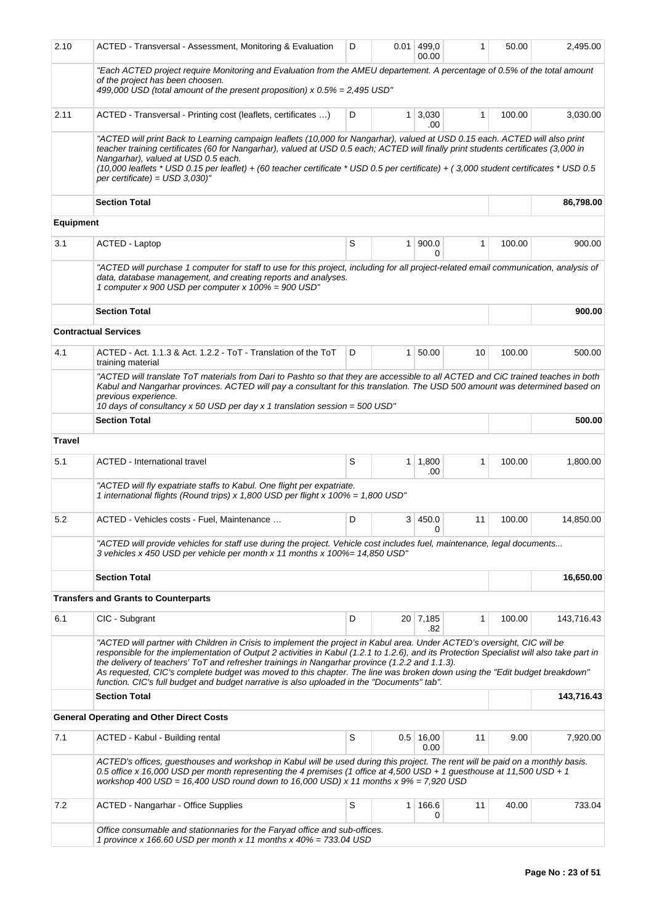| 2.10             | ACTED - Transversal - Assessment, Monitoring & Evaluation                                                                                                                                                                                                                                                                                                                                                                                                                                                                                                                                          | D | 0.01           | 499,0<br>00.00      | 1            | 50.00  | 2,495.00   |
|------------------|----------------------------------------------------------------------------------------------------------------------------------------------------------------------------------------------------------------------------------------------------------------------------------------------------------------------------------------------------------------------------------------------------------------------------------------------------------------------------------------------------------------------------------------------------------------------------------------------------|---|----------------|---------------------|--------------|--------|------------|
|                  | "Each ACTED project require Monitoring and Evaluation from the AMEU departement. A percentage of 0.5% of the total amount<br>of the project has been choosen.<br>499,000 USD (total amount of the present proposition) x $0.5\% = 2,495$ USD"                                                                                                                                                                                                                                                                                                                                                      |   |                |                     |              |        |            |
| 2.11             | ACTED - Transversal - Printing cost (leaflets, certificates )                                                                                                                                                                                                                                                                                                                                                                                                                                                                                                                                      | D | 1 <sup>1</sup> | 3,030<br>.00        | 1            | 100.00 | 3,030.00   |
|                  | "ACTED will print Back to Learning campaign leaflets (10,000 for Nangarhar), valued at USD 0.15 each. ACTED will also print<br>teacher training certificates (60 for Nangarhar), valued at USD 0.5 each; ACTED will finally print students certificates (3,000 in<br>Nangarhar), valued at USD 0.5 each.<br>(10,000 leaflets * USD 0.15 per leaflet) + (60 teacher certificate * USD 0.5 per certificate) + (3,000 student certificates * USD 0.5<br>per certificate) = $USD$ 3,030)"                                                                                                              |   |                |                     |              |        |            |
|                  | <b>Section Total</b>                                                                                                                                                                                                                                                                                                                                                                                                                                                                                                                                                                               |   |                |                     |              |        | 86,798.00  |
| <b>Equipment</b> |                                                                                                                                                                                                                                                                                                                                                                                                                                                                                                                                                                                                    |   |                |                     |              |        |            |
| 3.1              | <b>ACTED - Laptop</b>                                                                                                                                                                                                                                                                                                                                                                                                                                                                                                                                                                              | S | 1              | 900.0<br>0          | $\mathbf{1}$ | 100.00 | 900.00     |
|                  | "ACTED will purchase 1 computer for staff to use for this project, including for all project-related email communication, analysis of<br>data, database management, and creating reports and analyses.<br>1 computer x 900 USD per computer x 100% = 900 USD"                                                                                                                                                                                                                                                                                                                                      |   |                |                     |              |        |            |
|                  | <b>Section Total</b>                                                                                                                                                                                                                                                                                                                                                                                                                                                                                                                                                                               |   |                |                     |              |        | 900.00     |
|                  | <b>Contractual Services</b>                                                                                                                                                                                                                                                                                                                                                                                                                                                                                                                                                                        |   |                |                     |              |        |            |
| 4.1              | ACTED - Act. 1.1.3 & Act. 1.2.2 - ToT - Translation of the ToT<br>training material                                                                                                                                                                                                                                                                                                                                                                                                                                                                                                                | D | $\mathbf{1}$   | 50.00               | 10           | 100.00 | 500.00     |
|                  | "ACTED will translate ToT materials from Dari to Pashto so that they are accessible to all ACTED and CiC trained teaches in both<br>Kabul and Nangarhar provinces. ACTED will pay a consultant for this translation. The USD 500 amount was determined based on<br>previous experience.<br>10 days of consultancy x 50 USD per day x 1 translation session = 500 USD"                                                                                                                                                                                                                              |   |                |                     |              |        |            |
|                  | <b>Section Total</b>                                                                                                                                                                                                                                                                                                                                                                                                                                                                                                                                                                               |   |                |                     |              |        | 500.00     |
| Travel           |                                                                                                                                                                                                                                                                                                                                                                                                                                                                                                                                                                                                    |   |                |                     |              |        |            |
| 5.1              | <b>ACTED - International travel</b>                                                                                                                                                                                                                                                                                                                                                                                                                                                                                                                                                                | S | 1.             | 1,800<br>.00        | 1            | 100.00 | 1,800.00   |
|                  | "ACTED will fly expatriate staffs to Kabul. One flight per expatriate.<br>1 international flights (Round trips) x 1,800 USD per flight x 100% = 1,800 USD"                                                                                                                                                                                                                                                                                                                                                                                                                                         |   |                |                     |              |        |            |
| 5.2              | ACTED - Vehicles costs - Fuel, Maintenance                                                                                                                                                                                                                                                                                                                                                                                                                                                                                                                                                         | D | 3              | 450.0<br>0          | 11           | 100.00 | 14,850.00  |
|                  | "ACTED will provide vehicles for staff use during the project. Vehicle cost includes fuel, maintenance, legal documents<br>3 vehicles x 450 USD per vehicle per month x 11 months x 100%= 14,850 USD"                                                                                                                                                                                                                                                                                                                                                                                              |   |                |                     |              |        |            |
|                  | <b>Section Total</b>                                                                                                                                                                                                                                                                                                                                                                                                                                                                                                                                                                               |   |                |                     |              |        | 16,650.00  |
|                  | <b>Transfers and Grants to Counterparts</b>                                                                                                                                                                                                                                                                                                                                                                                                                                                                                                                                                        |   |                |                     |              |        |            |
| 6.1              | CIC - Subgrant                                                                                                                                                                                                                                                                                                                                                                                                                                                                                                                                                                                     | D |                | $20$ 7,185<br>.82   | 1            | 100.00 | 143,716.43 |
|                  | "ACTED will partner with Children in Crisis to implement the project in Kabul area. Under ACTED's oversight, CIC will be<br>responsible for the implementation of Output 2 activities in Kabul (1.2.1 to 1.2.6), and its Protection Specialist will also take part in<br>the delivery of teachers' ToT and refresher trainings in Nangarhar province (1.2.2 and 1.1.3).<br>As requested. CIC's complete budget was moved to this chapter. The line was broken down using the "Edit budget breakdown"<br>function. CIC's full budget and budget narrative is also uploaded in the "Documents" tab". |   |                |                     |              |        |            |
|                  | <b>Section Total</b>                                                                                                                                                                                                                                                                                                                                                                                                                                                                                                                                                                               |   |                |                     |              |        | 143,716.43 |
|                  | <b>General Operating and Other Direct Costs</b>                                                                                                                                                                                                                                                                                                                                                                                                                                                                                                                                                    |   |                |                     |              |        |            |
| 7.1              | ACTED - Kabul - Building rental                                                                                                                                                                                                                                                                                                                                                                                                                                                                                                                                                                    | S |                | $0.5$ 16,00<br>0.00 | 11           | 9.00   | 7,920.00   |
|                  | ACTED's offices, guesthouses and workshop in Kabul will be used during this project. The rent will be paid on a monthly basis.<br>0.5 office x 16,000 USD per month representing the 4 premises (1 office at 4,500 USD + 1 guesthouse at 11,500 USD + 1<br>workshop 400 USD = 16,400 USD round down to 16,000 USD) x 11 months x $9\%$ = 7,920 USD                                                                                                                                                                                                                                                 |   |                |                     |              |        |            |
| 7.2              | <b>ACTED - Nangarhar - Office Supplies</b>                                                                                                                                                                                                                                                                                                                                                                                                                                                                                                                                                         | S | $\mathbf{1}$   | 166.6<br>0          | 11           | 40.00  | 733.04     |
|                  | Office consumable and stationnaries for the Faryad office and sub-offices.<br>1 province x 166.60 USD per month x 11 months x 40% = 733.04 USD                                                                                                                                                                                                                                                                                                                                                                                                                                                     |   |                |                     |              |        |            |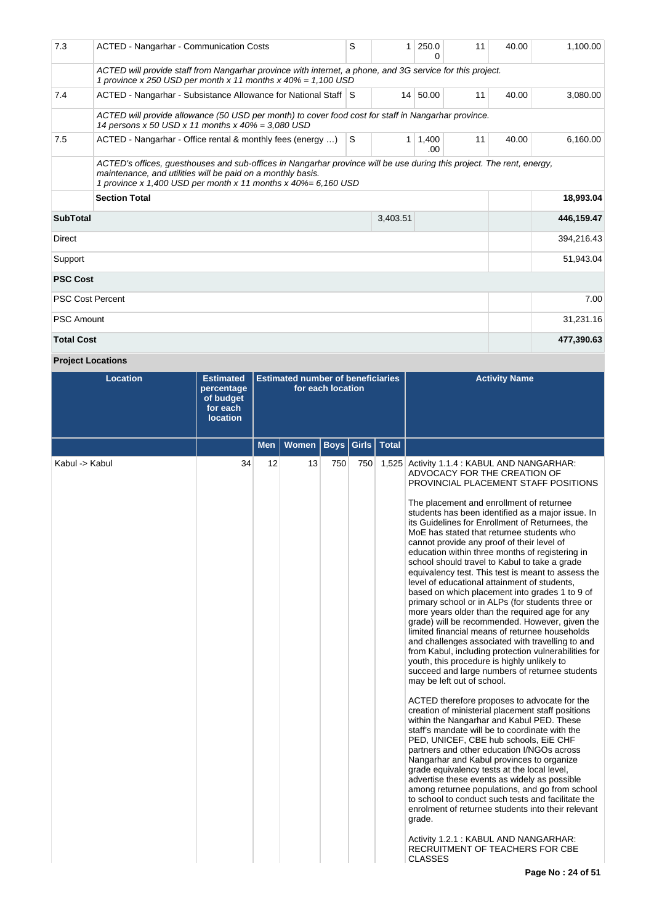| 7.3                                                                                                                                                                                                                                                   | <b>ACTED - Nangarhar - Communication Costs</b>                                                                                                                               | S            | 1            | 250.0<br>0   | 11 | 40.00 | 1,100.00   |  |  |  |
|-------------------------------------------------------------------------------------------------------------------------------------------------------------------------------------------------------------------------------------------------------|------------------------------------------------------------------------------------------------------------------------------------------------------------------------------|--------------|--------------|--------------|----|-------|------------|--|--|--|
|                                                                                                                                                                                                                                                       | ACTED will provide staff from Nangarhar province with internet, a phone, and 3G service for this project.<br>1 province x 250 USD per month x 11 months x $40\% = 1,100$ USD |              |              |              |    |       |            |  |  |  |
| 7.4                                                                                                                                                                                                                                                   | ACTED - Nangarhar - Subsistance Allowance for National Staff S                                                                                                               |              |              | 14 50.00     | 11 | 40.00 | 3,080.00   |  |  |  |
|                                                                                                                                                                                                                                                       | ACTED will provide allowance (50 USD per month) to cover food cost for staff in Nangarhar province.<br>14 persons x 50 USD x 11 months x 40% = 3,080 USD                     |              |              |              |    |       |            |  |  |  |
| 7.5                                                                                                                                                                                                                                                   | ACTED - Nangarhar - Office rental & monthly fees (energy )                                                                                                                   | <sub>S</sub> | $\mathbf{1}$ | 1,400<br>.00 | 11 | 40.00 | 6,160.00   |  |  |  |
| ACTED's offices, guesthouses and sub-offices in Nangarhar province will be use during this project. The rent, energy,<br>maintenance, and utilities will be paid on a monthly basis.<br>1 province x 1,400 USD per month x 11 months x 40%= 6,160 USD |                                                                                                                                                                              |              |              |              |    |       |            |  |  |  |
|                                                                                                                                                                                                                                                       | <b>Section Total</b>                                                                                                                                                         |              |              | 18,993.04    |    |       |            |  |  |  |
| <b>SubTotal</b>                                                                                                                                                                                                                                       |                                                                                                                                                                              |              | 3,403.51     |              |    |       | 446,159.47 |  |  |  |
| Direct                                                                                                                                                                                                                                                |                                                                                                                                                                              |              |              |              |    |       | 394,216.43 |  |  |  |
| Support                                                                                                                                                                                                                                               |                                                                                                                                                                              |              |              |              |    |       | 51,943.04  |  |  |  |
| <b>PSC Cost</b>                                                                                                                                                                                                                                       |                                                                                                                                                                              |              |              |              |    |       |            |  |  |  |
| <b>PSC Cost Percent</b>                                                                                                                                                                                                                               |                                                                                                                                                                              |              |              |              |    |       | 7.00       |  |  |  |
| <b>PSC Amount</b>                                                                                                                                                                                                                                     |                                                                                                                                                                              |              |              |              |    |       | 31,231.16  |  |  |  |
| <b>Total Cost</b>                                                                                                                                                                                                                                     |                                                                                                                                                                              |              | 477,390.63   |              |    |       |            |  |  |  |

**Project Locations**

| <b>Location</b> | <b>Estimated</b><br>percentage<br>of budget<br>for each<br><b>location</b> |            | <b>Estimated number of beneficiaries</b> | for each location       |     | <b>Activity Name</b>                                                                                                                                                                                                                                                                                                                                                                                                                                                                                                                                                                                                                                                                                                                                                                                                                                                                                                                                                                                                                                                                                                                                                                                                                                                                                                                                                                                                                                                                                                                                                                                                                                                                                                                                                                            |
|-----------------|----------------------------------------------------------------------------|------------|------------------------------------------|-------------------------|-----|-------------------------------------------------------------------------------------------------------------------------------------------------------------------------------------------------------------------------------------------------------------------------------------------------------------------------------------------------------------------------------------------------------------------------------------------------------------------------------------------------------------------------------------------------------------------------------------------------------------------------------------------------------------------------------------------------------------------------------------------------------------------------------------------------------------------------------------------------------------------------------------------------------------------------------------------------------------------------------------------------------------------------------------------------------------------------------------------------------------------------------------------------------------------------------------------------------------------------------------------------------------------------------------------------------------------------------------------------------------------------------------------------------------------------------------------------------------------------------------------------------------------------------------------------------------------------------------------------------------------------------------------------------------------------------------------------------------------------------------------------------------------------------------------------|
|                 |                                                                            | <b>Men</b> | Women                                    | <b>Boys Girls Total</b> |     |                                                                                                                                                                                                                                                                                                                                                                                                                                                                                                                                                                                                                                                                                                                                                                                                                                                                                                                                                                                                                                                                                                                                                                                                                                                                                                                                                                                                                                                                                                                                                                                                                                                                                                                                                                                                 |
| Kabul -> Kabul  | 34                                                                         | 12         | 13                                       | 750                     | 750 | 1,525 Activity 1.1.4 : KABUL AND NANGARHAR:<br>ADVOCACY FOR THE CREATION OF<br>PROVINCIAL PLACEMENT STAFF POSITIONS<br>The placement and enrollment of returnee<br>students has been identified as a major issue. In<br>its Guidelines for Enrollment of Returnees, the<br>MoE has stated that returnee students who<br>cannot provide any proof of their level of<br>education within three months of registering in<br>school should travel to Kabul to take a grade<br>equivalency test. This test is meant to assess the<br>level of educational attainment of students,<br>based on which placement into grades 1 to 9 of<br>primary school or in ALPs (for students three or<br>more years older than the required age for any<br>grade) will be recommended. However, given the<br>limited financial means of returnee households<br>and challenges associated with travelling to and<br>from Kabul, including protection vulnerabilities for<br>youth, this procedure is highly unlikely to<br>succeed and large numbers of returnee students<br>may be left out of school.<br>ACTED therefore proposes to advocate for the<br>creation of ministerial placement staff positions<br>within the Nangarhar and Kabul PED. These<br>staff's mandate will be to coordinate with the<br>PED, UNICEF, CBE hub schools, EiE CHF<br>partners and other education I/NGOs across<br>Nangarhar and Kabul provinces to organize<br>grade equivalency tests at the local level,<br>advertise these events as widely as possible<br>among returnee populations, and go from school<br>to school to conduct such tests and facilitate the<br>enrolment of returnee students into their relevant<br>grade.<br>Activity 1.2.1: KABUL AND NANGARHAR:<br>RECRUITMENT OF TEACHERS FOR CBE<br><b>CLASSES</b> |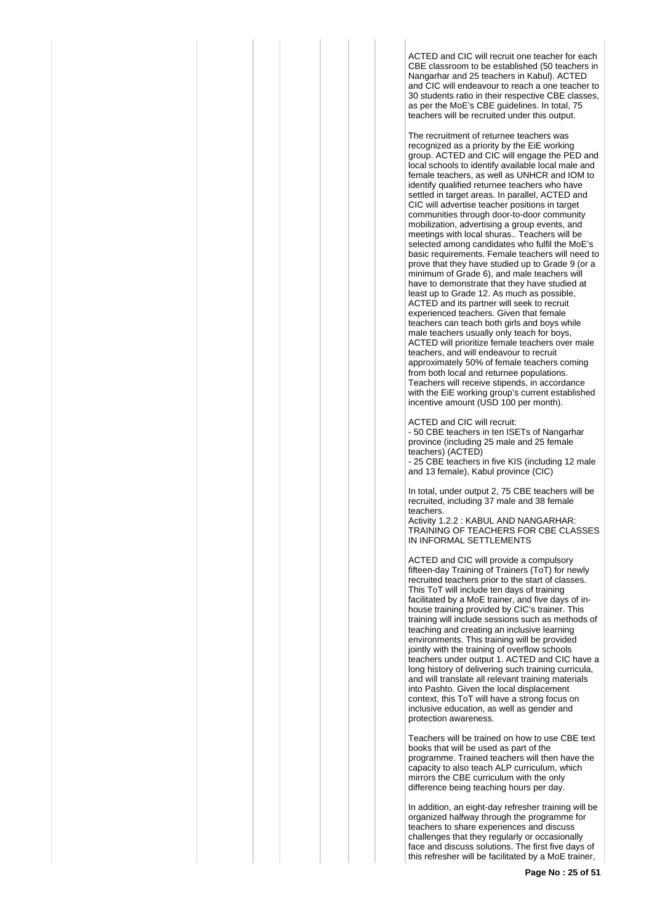ACTED and CIC will recruit one teacher for each CBE classroom to be established (50 teachers in Nangarhar and 25 teachers in Kabul). ACTED and CIC will endeavour to reach a one teacher to 30 students ratio in their respective CBE classes, as per the MoE's CBE guidelines. In total, 75 teachers will be recruited under this output.

The recruitment of returnee teachers was recognized as a priority by the EiE working group. ACTED and CIC will engage the PED and local schools to identify available local male and female teachers, as well as UNHCR and IOM to identify qualified returnee teachers who have settled in target areas. In parallel, ACTED and CIC will advertise teacher positions in target communities through door-to-door community mobilization, advertising a group events, and meetings with local shuras.. Teachers will be selected among candidates who fulfil the MoE's basic requirements. Female teachers will need to prove that they have studied up to Grade 9 (or a minimum of Grade 6), and male teachers will have to demonstrate that they have studied at least up to Grade 12. As much as possible, ACTED and its partner will seek to recruit experienced teachers. Given that female teachers can teach both girls and boys while male teachers usually only teach for boys, ACTED will prioritize female teachers over male teachers, and will endeavour to recruit approximately 50% of female teachers coming from both local and returnee populations. Teachers will receive stipends, in accordance with the EiE working group's current established incentive amount (USD 100 per month).

ACTED and CIC will recruit:

- 50 CBE teachers in ten ISETs of Nangarhar province (including 25 male and 25 female teachers) (ACTED)

- 25 CBE teachers in five KIS (including 12 male and 13 female), Kabul province (CIC)

In total, under output 2, 75 CBE teachers will be recruited, including 37 male and 38 female teachers.

Activity 1.2.2 : KABUL AND NANGARHAR: TRAINING OF TEACHERS FOR CBE CLASSES IN INFORMAL SETTLEMENTS

ACTED and CIC will provide a compulsory fifteen-day Training of Trainers (ToT) for newly recruited teachers prior to the start of classes. This ToT will include ten days of training facilitated by a MoE trainer, and five days of inhouse training provided by CIC's trainer. This training will include sessions such as methods of teaching and creating an inclusive learning environments. This training will be provided jointly with the training of overflow schools teachers under output 1. ACTED and CIC have a long history of delivering such training curricula, and will translate all relevant training materials into Pashto. Given the local displacement context, this ToT will have a strong focus on inclusive education, as well as gender and protection awareness.

Teachers will be trained on how to use CBE text books that will be used as part of the programme. Trained teachers will then have the capacity to also teach ALP curriculum, which mirrors the CBE curriculum with the only difference being teaching hours per day.

In addition, an eight-day refresher training will be organized halfway through the programme for teachers to share experiences and discuss challenges that they regularly or occasionally face and discuss solutions. The first five days of this refresher will be facilitated by a MoE trainer,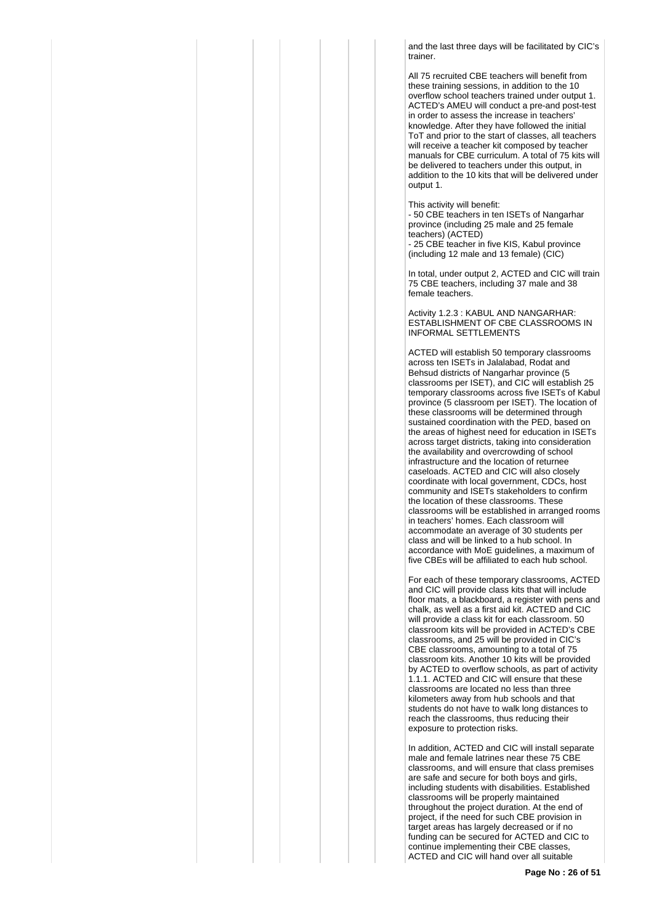and the last three days will be facilitated by CIC's trainer.

All 75 recruited CBE teachers will benefit from these training sessions, in addition to the 10 overflow school teachers trained under output 1. ACTED's AMEU will conduct a pre-and post-test in order to assess the increase in teachers' knowledge. After they have followed the initial ToT and prior to the start of classes, all teachers will receive a teacher kit composed by teacher manuals for CBE curriculum. A total of 75 kits will be delivered to teachers under this output, in addition to the 10 kits that will be delivered under output 1.

This activity will benefit:

- 50 CBE teachers in ten ISETs of Nangarhar province (including 25 male and 25 female teachers) (ACTED)

- 25 CBE teacher in five KIS, Kabul province (including 12 male and 13 female) (CIC)

In total, under output 2, ACTED and CIC will train 75 CBE teachers, including 37 male and 38 female teachers.

Activity 1.2.3 : KABUL AND NANGARHAR: ESTABLISHMENT OF CBE CLASSROOMS IN INFORMAL SETTLEMENTS

ACTED will establish 50 temporary classrooms across ten ISETs in Jalalabad, Rodat and Behsud districts of Nangarhar province (5 classrooms per ISET), and CIC will establish 25 temporary classrooms across five ISETs of Kabul province (5 classroom per ISET). The location of these classrooms will be determined through sustained coordination with the PED, based on the areas of highest need for education in ISETs across target districts, taking into consideration the availability and overcrowding of school infrastructure and the location of returnee caseloads. ACTED and CIC will also closely coordinate with local government, CDCs, host community and ISETs stakeholders to confirm the location of these classrooms. These classrooms will be established in arranged rooms in teachers' homes. Each classroom will accommodate an average of 30 students per class and will be linked to a hub school. In accordance with MoE guidelines, a maximum of five CBEs will be affiliated to each hub school.

For each of these temporary classrooms, ACTED and CIC will provide class kits that will include floor mats, a blackboard, a register with pens and chalk, as well as a first aid kit. ACTED and CIC will provide a class kit for each classroom. 50 classroom kits will be provided in ACTED's CBE classrooms, and 25 will be provided in CIC's CBE classrooms, amounting to a total of 75 classroom kits. Another 10 kits will be provided by ACTED to overflow schools, as part of activity 1.1.1. ACTED and CIC will ensure that these classrooms are located no less than three kilometers away from hub schools and that students do not have to walk long distances to reach the classrooms, thus reducing their exposure to protection risks.

In addition, ACTED and CIC will install separate male and female latrines near these 75 CBE classrooms, and will ensure that class premises are safe and secure for both boys and girls, including students with disabilities. Established classrooms will be properly maintained throughout the project duration. At the end of project, if the need for such CBE provision in target areas has largely decreased or if no funding can be secured for ACTED and CIC to continue implementing their CBE classes, ACTED and CIC will hand over all suitable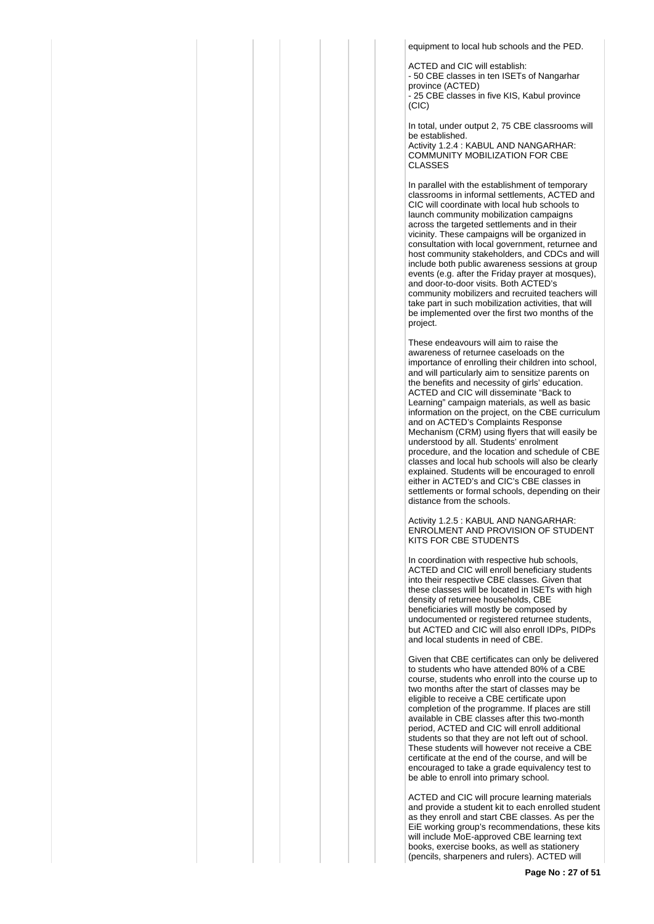equipment to local hub schools and the PED.

ACTED and CIC will establish: - 50 CBE classes in ten ISETs of Nangarhar province (ACTED) - 25 CBE classes in five KIS, Kabul province (CIC)

In total, under output 2, 75 CBE classrooms will be established.

Activity 1.2.4 : KABUL AND NANGARHAR: COMMUNITY MOBILIZATION FOR CBE CLASSES

In parallel with the establishment of temporary classrooms in informal settlements, ACTED and CIC will coordinate with local hub schools to launch community mobilization campaigns across the targeted settlements and in their vicinity. These campaigns will be organized in consultation with local government, returnee and host community stakeholders, and CDCs and will include both public awareness sessions at group events (e.g. after the Friday prayer at mosques), and door-to-door visits. Both ACTED's community mobilizers and recruited teachers will take part in such mobilization activities, that will be implemented over the first two months of the project.

These endeavours will aim to raise the awareness of returnee caseloads on the importance of enrolling their children into school, and will particularly aim to sensitize parents on the benefits and necessity of girls' education. ACTED and CIC will disseminate "Back to Learning" campaign materials, as well as basic information on the project, on the CBE curriculum and on ACTED's Complaints Response Mechanism (CRM) using flyers that will easily be understood by all. Students' enrolment procedure, and the location and schedule of CBE classes and local hub schools will also be clearly explained. Students will be encouraged to enroll either in ACTED's and CIC's CBE classes in settlements or formal schools, depending on their distance from the schools.

Activity 1.2.5 : KABUL AND NANGARHAR: ENROLMENT AND PROVISION OF STUDENT KITS FOR CBE STUDENTS

In coordination with respective hub schools, ACTED and CIC will enroll beneficiary students into their respective CBE classes. Given that these classes will be located in ISETs with high density of returnee households, CBE beneficiaries will mostly be composed by undocumented or registered returnee students, but ACTED and CIC will also enroll IDPs, PIDPs and local students in need of CBE.

Given that CBE certificates can only be delivered to students who have attended 80% of a CBE course, students who enroll into the course up to two months after the start of classes may be eligible to receive a CBE certificate upon completion of the programme. If places are still available in CBE classes after this two-month period, ACTED and CIC will enroll additional students so that they are not left out of school. These students will however not receive a CBE certificate at the end of the course, and will be encouraged to take a grade equivalency test to be able to enroll into primary school.

ACTED and CIC will procure learning materials and provide a student kit to each enrolled student as they enroll and start CBE classes. As per the EiE working group's recommendations, these kits will include MoE-approved CBE learning text books, exercise books, as well as stationery (pencils, sharpeners and rulers). ACTED will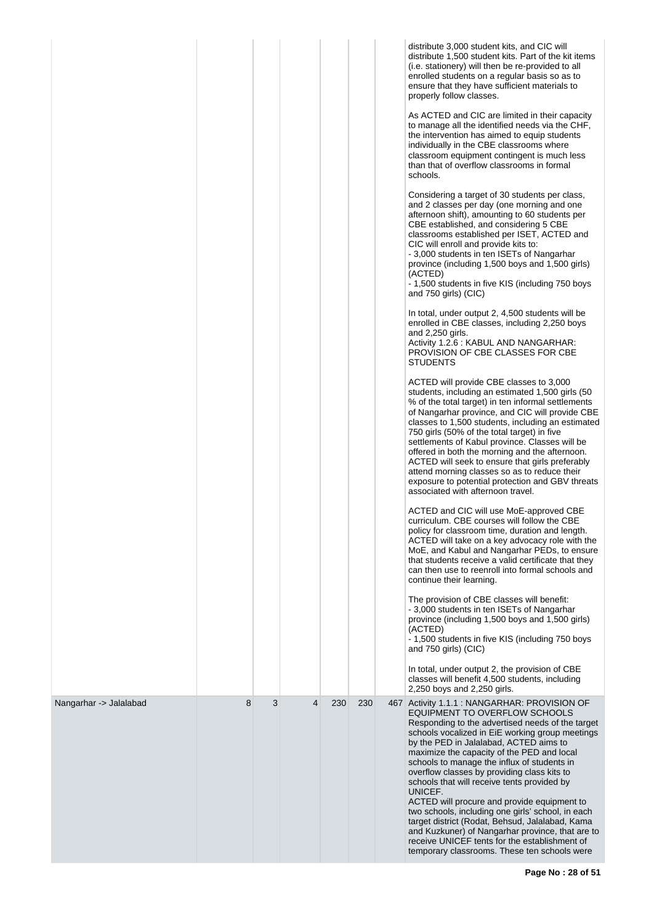|                        |   |   |   |     |     | distribute 3,000 student kits, and CIC will<br>distribute 1,500 student kits. Part of the kit items<br>(i.e. stationery) will then be re-provided to all<br>enrolled students on a regular basis so as to<br>ensure that they have sufficient materials to<br>properly follow classes.                                                                                                                                                                                                                                                                                                                   |
|------------------------|---|---|---|-----|-----|----------------------------------------------------------------------------------------------------------------------------------------------------------------------------------------------------------------------------------------------------------------------------------------------------------------------------------------------------------------------------------------------------------------------------------------------------------------------------------------------------------------------------------------------------------------------------------------------------------|
|                        |   |   |   |     |     | As ACTED and CIC are limited in their capacity<br>to manage all the identified needs via the CHF,<br>the intervention has aimed to equip students<br>individually in the CBE classrooms where<br>classroom equipment contingent is much less<br>than that of overflow classrooms in formal<br>schools.                                                                                                                                                                                                                                                                                                   |
|                        |   |   |   |     |     | Considering a target of 30 students per class,<br>and 2 classes per day (one morning and one<br>afternoon shift), amounting to 60 students per<br>CBE established, and considering 5 CBE<br>classrooms established per ISET, ACTED and<br>CIC will enroll and provide kits to:<br>- 3,000 students in ten ISETs of Nangarhar<br>province (including 1,500 boys and 1,500 girls)<br>(ACTED)<br>- 1,500 students in five KIS (including 750 boys<br>and 750 girls) (CIC)                                                                                                                                   |
|                        |   |   |   |     |     | In total, under output 2, 4,500 students will be<br>enrolled in CBE classes, including 2,250 boys<br>and 2,250 girls.<br>Activity 1.2.6 : KABUL AND NANGARHAR:<br>PROVISION OF CBE CLASSES FOR CBE<br><b>STUDENTS</b>                                                                                                                                                                                                                                                                                                                                                                                    |
|                        |   |   |   |     |     | ACTED will provide CBE classes to 3,000<br>students, including an estimated 1,500 girls (50<br>% of the total target) in ten informal settlements<br>of Nangarhar province, and CIC will provide CBE<br>classes to 1,500 students, including an estimated<br>750 girls (50% of the total target) in five<br>settlements of Kabul province. Classes will be<br>offered in both the morning and the afternoon.<br>ACTED will seek to ensure that girls preferably<br>attend morning classes so as to reduce their<br>exposure to potential protection and GBV threats<br>associated with afternoon travel. |
|                        |   |   |   |     |     | ACTED and CIC will use MoE-approved CBE<br>curriculum. CBE courses will follow the CBE<br>policy for classroom time, duration and length.<br>ACTED will take on a key advocacy role with the<br>MoE, and Kabul and Nangarhar PEDs, to ensure<br>that students receive a valid certificate that they<br>can then use to reenroll into formal schools and<br>continue their learning.                                                                                                                                                                                                                      |
|                        |   |   |   |     |     | The provision of CBE classes will benefit:<br>- 3,000 students in ten ISETs of Nangarhar<br>province (including 1,500 boys and 1,500 girls)<br>(ACTED)<br>- 1,500 students in five KIS (including 750 boys<br>and 750 girls) (CIC)                                                                                                                                                                                                                                                                                                                                                                       |
|                        |   |   |   |     |     | In total, under output 2, the provision of CBE<br>classes will benefit 4,500 students, including<br>2,250 boys and 2,250 girls.                                                                                                                                                                                                                                                                                                                                                                                                                                                                          |
| Nangarhar -> Jalalabad | 8 | 3 | 4 | 230 | 230 | 467 Activity 1.1.1 : NANGARHAR: PROVISION OF<br>EQUIPMENT TO OVERFLOW SCHOOLS<br>Responding to the advertised needs of the target<br>schools vocalized in EiE working group meetings<br>by the PED in Jalalabad, ACTED aims to<br>maximize the capacity of the PED and local<br>schools to manage the influx of students in<br>overflow classes by providing class kits to<br>schools that will receive tents provided by<br>UNICEF.<br>ACTED will procure and provide equipment to                                                                                                                      |
|                        |   |   |   |     |     | two schools, including one girls' school, in each<br>target district (Rodat, Behsud, Jalalabad, Kama<br>and Kuzkuner) of Nangarhar province, that are to<br>receive UNICEF tents for the establishment of<br>temporary classrooms. These ten schools were                                                                                                                                                                                                                                                                                                                                                |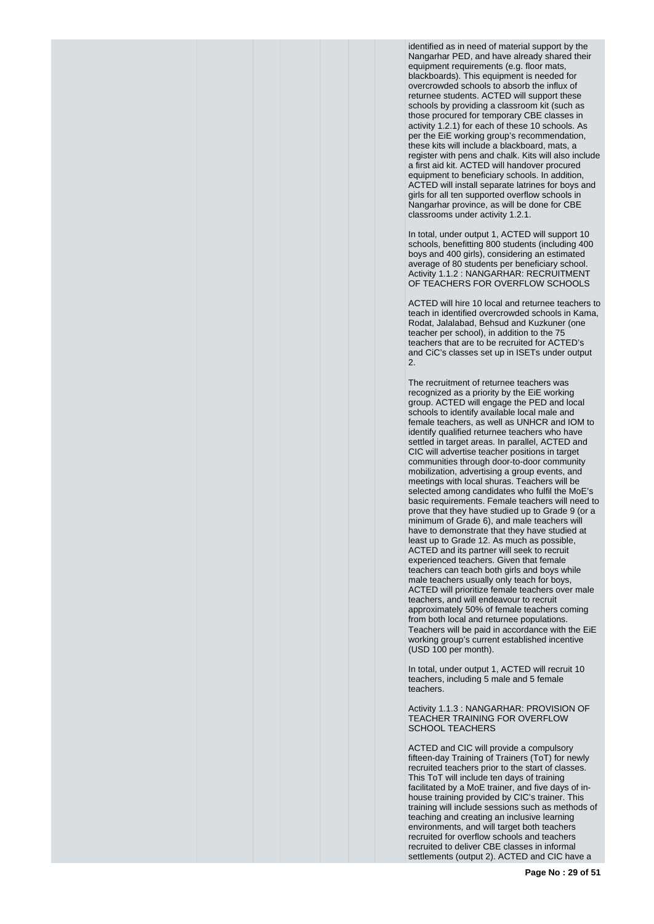identified as in need of material support by the Nangarhar PED, and have already shared their equipment requirements (e.g. floor mats, blackboards). This equipment is needed for overcrowded schools to absorb the influx of returnee students. ACTED will support these schools by providing a classroom kit (such as those procured for temporary CBE classes in activity 1.2.1) for each of these 10 schools. As per the EiE working group's recommendation, these kits will include a blackboard, mats, a register with pens and chalk. Kits will also include a first aid kit. ACTED will handover procured equipment to beneficiary schools. In addition, ACTED will install separate latrines for boys and girls for all ten supported overflow schools in Nangarhar province, as will be done for CBE classrooms under activity 1.2.1.

In total, under output 1, ACTED will support 10 schools, benefitting 800 students (including 400 boys and 400 girls), considering an estimated average of 80 students per beneficiary school. Activity 1.1.2 : NANGARHAR: RECRUITMENT OF TEACHERS FOR OVERFLOW SCHOOLS

ACTED will hire 10 local and returnee teachers to teach in identified overcrowded schools in Kama, Rodat, Jalalabad, Behsud and Kuzkuner (one teacher per school), in addition to the 75 teachers that are to be recruited for ACTED's and CiC's classes set up in ISETs under output 2.

The recruitment of returnee teachers was recognized as a priority by the EiE working group. ACTED will engage the PED and local schools to identify available local male and female teachers, as well as UNHCR and IOM to identify qualified returnee teachers who have settled in target areas. In parallel, ACTED and CIC will advertise teacher positions in target communities through door-to-door community mobilization, advertising a group events, and meetings with local shuras. Teachers will be selected among candidates who fulfil the MoE's basic requirements. Female teachers will need to prove that they have studied up to Grade 9 (or a minimum of Grade 6), and male teachers will have to demonstrate that they have studied at least up to Grade 12. As much as possible, ACTED and its partner will seek to recruit experienced teachers. Given that female teachers can teach both girls and boys while male teachers usually only teach for boys, ACTED will prioritize female teachers over male teachers, and will endeavour to recruit approximately 50% of female teachers coming from both local and returnee populations. Teachers will be paid in accordance with the EiE working group's current established incentive (USD 100 per month).

In total, under output 1, ACTED will recruit 10 teachers, including 5 male and 5 female teachers.

Activity 1.1.3 : NANGARHAR: PROVISION OF TEACHER TRAINING FOR OVERFLOW SCHOOL TEACHERS

ACTED and CIC will provide a compulsory fifteen-day Training of Trainers (ToT) for newly recruited teachers prior to the start of classes. This ToT will include ten days of training facilitated by a MoE trainer, and five days of inhouse training provided by CIC's trainer. This training will include sessions such as methods of teaching and creating an inclusive learning environments, and will target both teachers recruited for overflow schools and teachers recruited to deliver CBE classes in informal settlements (output 2). ACTED and CIC have a

**Page No : 29 of 51**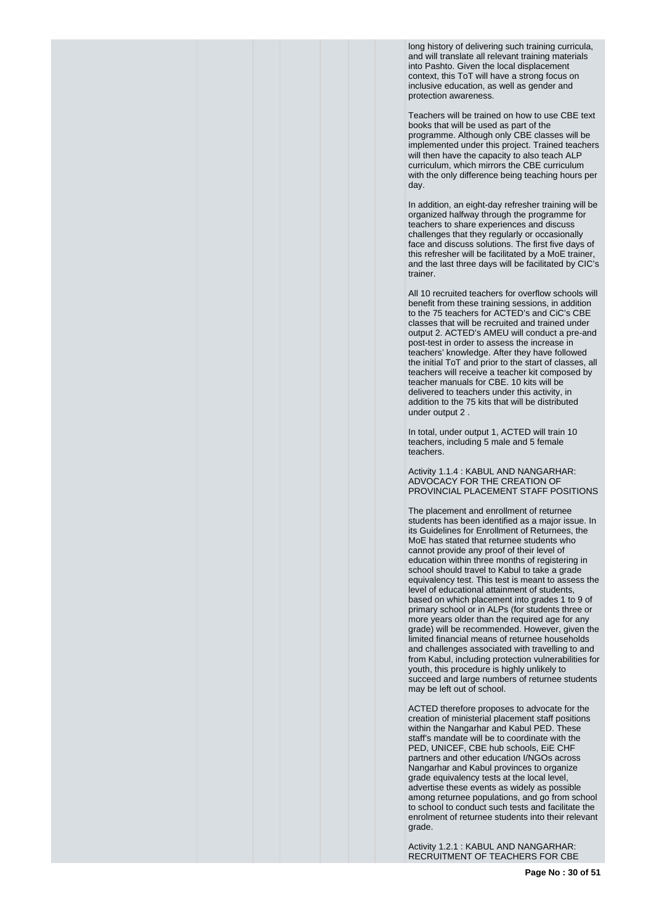long history of delivering such training curricula, and will translate all relevant training materials into Pashto. Given the local displacement context, this ToT will have a strong focus on inclusive education, as well as gender and protection awareness.

Teachers will be trained on how to use CBE text books that will be used as part of the programme. Although only CBE classes will be implemented under this project. Trained teachers will then have the capacity to also teach ALP curriculum, which mirrors the CBE curriculum with the only difference being teaching hours per day.

In addition, an eight-day refresher training will be organized halfway through the programme for teachers to share experiences and discuss challenges that they regularly or occasionally face and discuss solutions. The first five days of this refresher will be facilitated by a MoE trainer, and the last three days will be facilitated by CIC's trainer.

All 10 recruited teachers for overflow schools will benefit from these training sessions, in addition to the 75 teachers for ACTED's and CiC's CBE classes that will be recruited and trained under output 2. ACTED's AMEU will conduct a pre-and post-test in order to assess the increase in teachers' knowledge. After they have followed the initial ToT and prior to the start of classes, all teachers will receive a teacher kit composed by teacher manuals for CBE. 10 kits will be delivered to teachers under this activity, in addition to the 75 kits that will be distributed under output 2 .

In total, under output 1, ACTED will train 10 teachers, including 5 male and 5 female teachers.

Activity 1.1.4 : KABUL AND NANGARHAR: ADVOCACY FOR THE CREATION OF PROVINCIAL PLACEMENT STAFF POSITIONS

The placement and enrollment of returnee students has been identified as a major issue. In its Guidelines for Enrollment of Returnees, the MoE has stated that returnee students who cannot provide any proof of their level of education within three months of registering in school should travel to Kabul to take a grade equivalency test. This test is meant to assess the level of educational attainment of students, based on which placement into grades 1 to 9 of primary school or in ALPs (for students three or more years older than the required age for any grade) will be recommended. However, given the limited financial means of returnee households and challenges associated with travelling to and from Kabul, including protection vulnerabilities for youth, this procedure is highly unlikely to succeed and large numbers of returnee students may be left out of school.

ACTED therefore proposes to advocate for the creation of ministerial placement staff positions within the Nangarhar and Kabul PED. These staff's mandate will be to coordinate with the PED, UNICEF, CBE hub schools, EiE CHF partners and other education I/NGOs across Nangarhar and Kabul provinces to organize grade equivalency tests at the local level, advertise these events as widely as possible among returnee populations, and go from school to school to conduct such tests and facilitate the enrolment of returnee students into their relevant grade.

Activity 1.2.1 : KABUL AND NANGARHAR: RECRUITMENT OF TEACHERS FOR CBE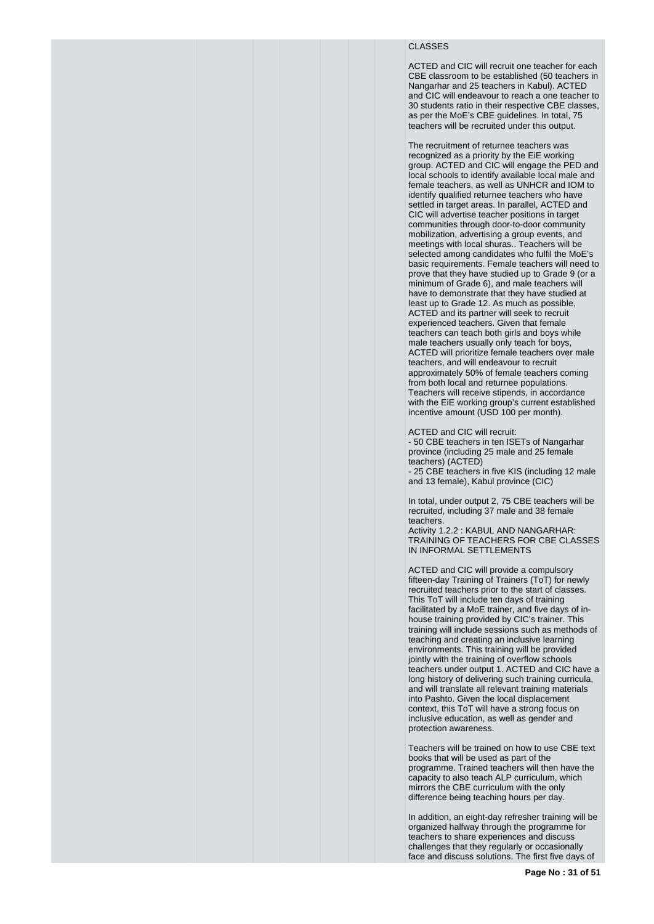# CLASSES

ACTED and CIC will recruit one teacher for each CBE classroom to be established (50 teachers in Nangarhar and 25 teachers in Kabul). ACTED and CIC will endeavour to reach a one teacher to 30 students ratio in their respective CBE classes, as per the MoE's CBE guidelines. In total, 75 teachers will be recruited under this output.

The recruitment of returnee teachers was recognized as a priority by the EiE working group. ACTED and CIC will engage the PED and local schools to identify available local male and female teachers, as well as UNHCR and IOM to identify qualified returnee teachers who have settled in target areas. In parallel, ACTED and CIC will advertise teacher positions in target communities through door-to-door community mobilization, advertising a group events, and meetings with local shuras.. Teachers will be selected among candidates who fulfil the MoE's basic requirements. Female teachers will need to prove that they have studied up to Grade 9 (or a minimum of Grade 6), and male teachers will have to demonstrate that they have studied at least up to Grade 12. As much as possible, ACTED and its partner will seek to recruit experienced teachers. Given that female teachers can teach both girls and boys while male teachers usually only teach for boys, ACTED will prioritize female teachers over male teachers, and will endeavour to recruit approximately 50% of female teachers coming from both local and returnee populations. Teachers will receive stipends, in accordance with the EiE working group's current established incentive amount (USD 100 per month).

ACTED and CIC will recruit:

- 50 CBE teachers in ten ISETs of Nangarhar province (including 25 male and 25 female teachers) (ACTED)

- 25 CBE teachers in five KIS (including 12 male and 13 female), Kabul province (CIC)

In total, under output 2, 75 CBE teachers will be recruited, including 37 male and 38 female teachers.

Activity 1.2.2 : KABUL AND NANGARHAR: TRAINING OF TEACHERS FOR CBE CLASSES IN INFORMAL SETTLEMENTS

ACTED and CIC will provide a compulsory fifteen-day Training of Trainers (ToT) for newly recruited teachers prior to the start of classes. This ToT will include ten days of training facilitated by a MoE trainer, and five days of inhouse training provided by CIC's trainer. This training will include sessions such as methods of teaching and creating an inclusive learning environments. This training will be provided jointly with the training of overflow schools teachers under output 1. ACTED and CIC have a long history of delivering such training curricula, and will translate all relevant training materials into Pashto. Given the local displacement context, this ToT will have a strong focus on inclusive education, as well as gender and protection awareness.

Teachers will be trained on how to use CBE text books that will be used as part of the programme. Trained teachers will then have the capacity to also teach ALP curriculum, which mirrors the CBE curriculum with the only difference being teaching hours per day.

In addition, an eight-day refresher training will be organized halfway through the programme for teachers to share experiences and discuss challenges that they regularly or occasionally face and discuss solutions. The first five days of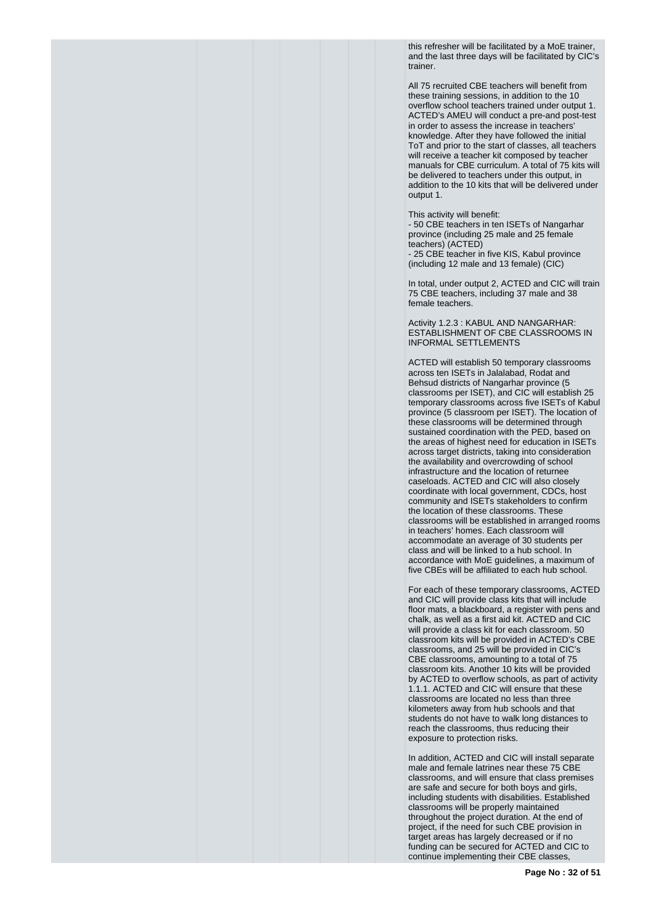this refresher will be facilitated by a MoE trainer, and the last three days will be facilitated by CIC's trainer.

All 75 recruited CBE teachers will benefit from these training sessions, in addition to the 10 overflow school teachers trained under output 1. ACTED's AMEU will conduct a pre-and post-test in order to assess the increase in teachers' knowledge. After they have followed the initial ToT and prior to the start of classes, all teachers will receive a teacher kit composed by teacher manuals for CBE curriculum. A total of 75 kits will be delivered to teachers under this output, in addition to the 10 kits that will be delivered under output 1.

This activity will benefit:

- 50 CBE teachers in ten ISETs of Nangarhar province (including 25 male and 25 female teachers) (ACTED) - 25 CBE teacher in five KIS, Kabul province (including 12 male and 13 female) (CIC)

In total, under output 2, ACTED and CIC will train 75 CBE teachers, including 37 male and 38 female teachers.

Activity 1.2.3 : KABUL AND NANGARHAR: ESTABLISHMENT OF CBE CLASSROOMS IN INFORMAL SETTLEMENTS

ACTED will establish 50 temporary classrooms across ten ISETs in Jalalabad, Rodat and Behsud districts of Nangarhar province (5 classrooms per ISET), and CIC will establish 25 temporary classrooms across five ISETs of Kabul province (5 classroom per ISET). The location of these classrooms will be determined through sustained coordination with the PED, based on the areas of highest need for education in ISETs across target districts, taking into consideration the availability and overcrowding of school infrastructure and the location of returnee caseloads. ACTED and CIC will also closely coordinate with local government, CDCs, host community and ISETs stakeholders to confirm the location of these classrooms. These classrooms will be established in arranged rooms in teachers' homes. Each classroom will accommodate an average of 30 students per class and will be linked to a hub school. In accordance with MoE guidelines, a maximum of five CBEs will be affiliated to each hub school.

For each of these temporary classrooms, ACTED and CIC will provide class kits that will include floor mats, a blackboard, a register with pens and chalk, as well as a first aid kit. ACTED and CIC will provide a class kit for each classroom. 50 classroom kits will be provided in ACTED's CBE classrooms, and 25 will be provided in CIC's CBE classrooms, amounting to a total of 75 classroom kits. Another 10 kits will be provided by ACTED to overflow schools, as part of activity 1.1.1. ACTED and CIC will ensure that these classrooms are located no less than three kilometers away from hub schools and that students do not have to walk long distances to reach the classrooms, thus reducing their exposure to protection risks.

In addition, ACTED and CIC will install separate male and female latrines near these 75 CBE classrooms, and will ensure that class premises are safe and secure for both boys and girls, including students with disabilities. Established classrooms will be properly maintained throughout the project duration. At the end of project, if the need for such CBE provision in target areas has largely decreased or if no funding can be secured for ACTED and CIC to continue implementing their CBE classes,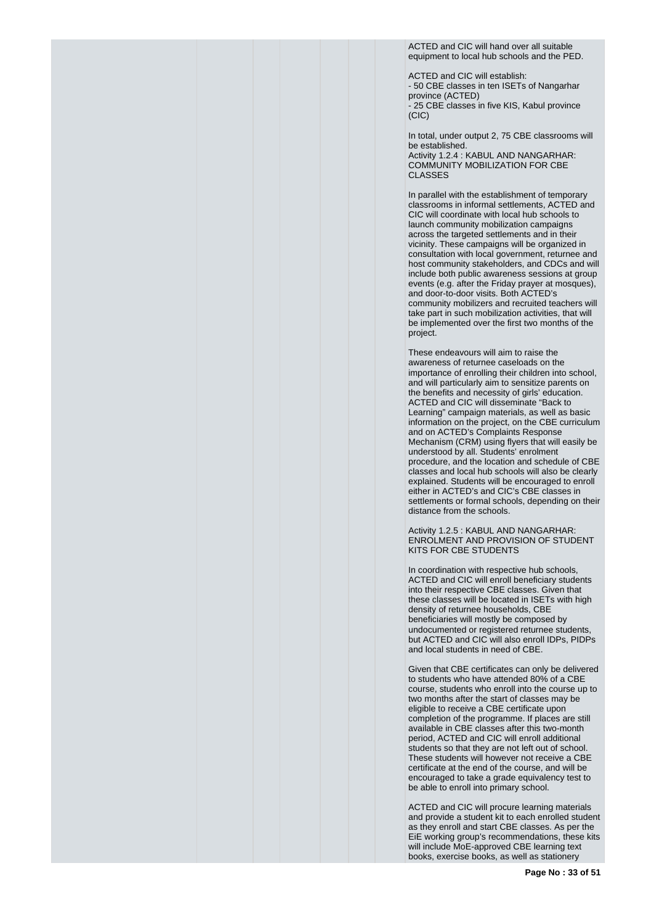ACTED and CIC will hand over all suitable equipment to local hub schools and the PED.

ACTED and CIC will establish: - 50 CBE classes in ten ISETs of Nangarhar province (ACTED) - 25 CBE classes in five KIS, Kabul province  $(C|C)$ 

In total, under output 2, 75 CBE classrooms will be established.

Activity 1.2.4 : KABUL AND NANGARHAR: COMMUNITY MOBILIZATION FOR CBE CLASSES

In parallel with the establishment of temporary classrooms in informal settlements, ACTED and CIC will coordinate with local hub schools to launch community mobilization campaigns across the targeted settlements and in their vicinity. These campaigns will be organized in consultation with local government, returnee and host community stakeholders, and CDCs and will include both public awareness sessions at group events (e.g. after the Friday prayer at mosques), and door-to-door visits. Both ACTED's community mobilizers and recruited teachers will take part in such mobilization activities, that will be implemented over the first two months of the project.

These endeavours will aim to raise the awareness of returnee caseloads on the importance of enrolling their children into school, and will particularly aim to sensitize parents on the benefits and necessity of girls' education. ACTED and CIC will disseminate "Back to Learning" campaign materials, as well as basic information on the project, on the CBE curriculum and on ACTED's Complaints Response Mechanism (CRM) using flyers that will easily be understood by all. Students' enrolment procedure, and the location and schedule of CBE classes and local hub schools will also be clearly explained. Students will be encouraged to enroll either in ACTED's and CIC's CBE classes in settlements or formal schools, depending on their distance from the schools.

Activity 1.2.5 : KABUL AND NANGARHAR: ENROLMENT AND PROVISION OF STUDENT KITS FOR CBE STUDENTS

In coordination with respective hub schools, ACTED and CIC will enroll beneficiary students into their respective CBE classes. Given that these classes will be located in ISETs with high density of returnee households, CBE beneficiaries will mostly be composed by undocumented or registered returnee students, but ACTED and CIC will also enroll IDPs, PIDPs and local students in need of CBE.

Given that CBE certificates can only be delivered to students who have attended 80% of a CBE course, students who enroll into the course up to two months after the start of classes may be eligible to receive a CBE certificate upon completion of the programme. If places are still available in CBE classes after this two-month period, ACTED and CIC will enroll additional students so that they are not left out of school. These students will however not receive a CBE certificate at the end of the course, and will be encouraged to take a grade equivalency test to be able to enroll into primary school.

ACTED and CIC will procure learning materials and provide a student kit to each enrolled student as they enroll and start CBE classes. As per the EiE working group's recommendations, these kits will include MoE-approved CBE learning text books, exercise books, as well as stationery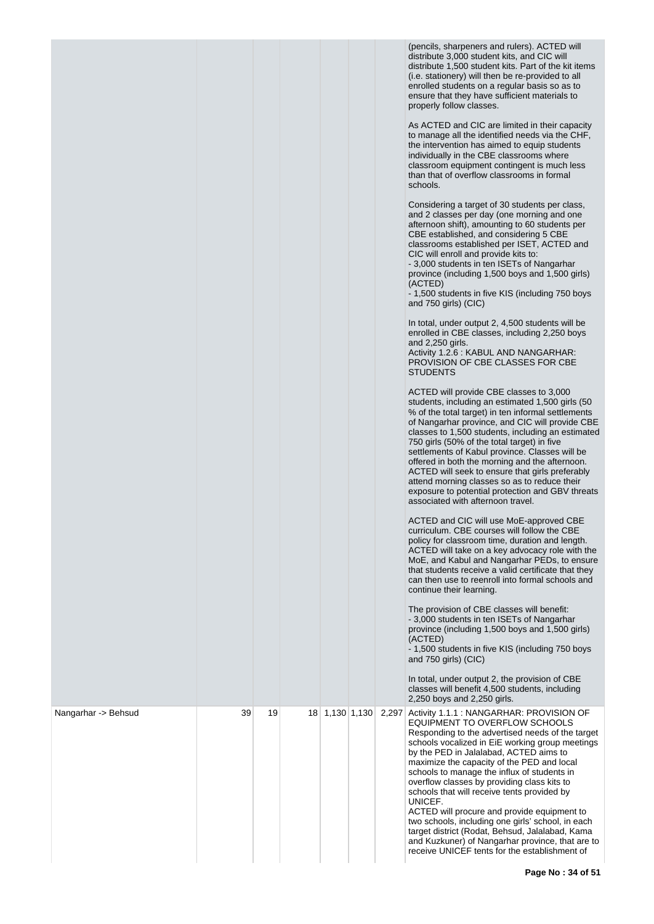| (pencils, sharpeners and rulers). ACTED will         |
|------------------------------------------------------|
| distribute 3,000 student kits, and CIC will          |
| distribute 1,500 student kits. Part of the kit items |
| (i.e. stationery) will then be re-provided to all    |
| enrolled students on a regular basis so as to        |
| ensure that they have sufficient materials to        |
| properly follow classes.                             |

As ACTED and CIC are limited in their capacity to manage all the identified needs via the CHF, the intervention has aimed to equip students individually in the CBE classrooms where classroom equipment contingent is much less than that of overflow classrooms in formal

|                     |    |    |                |       | <b>Individually In the ODE classrooms where</b><br>classroom equipment contingent is much less<br>than that of overflow classrooms in formal<br>schools.<br>Considering a target of 30 students per class,<br>and 2 classes per day (one morning and one<br>afternoon shift), amounting to 60 students per<br>CBE established, and considering 5 CBE<br>classrooms established per ISET, ACTED and<br>CIC will enroll and provide kits to:<br>- 3,000 students in ten ISETs of Nangarhar<br>province (including 1,500 boys and 1,500 girls)<br>(ACTED)<br>- 1,500 students in five KIS (including 750 boys<br>and 750 girls) (CIC)<br>In total, under output 2, 4,500 students will be<br>enrolled in CBE classes, including 2,250 boys<br>and 2,250 girls.<br>Activity 1.2.6 : KABUL AND NANGARHAR:<br>PROVISION OF CBE CLASSES FOR CBE<br><b>STUDENTS</b><br>ACTED will provide CBE classes to 3,000<br>students, including an estimated 1,500 girls (50)<br>% of the total target) in ten informal settlements<br>of Nangarhar province, and CIC will provide CBE<br>classes to 1,500 students, including an estimated<br>750 girls (50% of the total target) in five<br>settlements of Kabul province. Classes will be<br>offered in both the morning and the afternoon.<br>ACTED will seek to ensure that girls preferably<br>attend morning classes so as to reduce their<br>exposure to potential protection and GBV threats<br>associated with afternoon travel.<br>ACTED and CIC will use MoE-approved CBE<br>curriculum. CBE courses will follow the CBE<br>policy for classroom time, duration and length.<br>ACTED will take on a key advocacy role with the<br>MoE, and Kabul and Nangarhar PEDs, to ensure<br>that students receive a valid certificate that they<br>can then use to reenroll into formal schools and<br>continue their learning.<br>The provision of CBE classes will benefit:<br>- 3,000 students in ten ISETs of Nangarhar<br>province (including 1,500 boys and 1,500 girls)<br>(ACTED)<br>- 1,500 students in five KIS (including 750 boys<br>and 750 girls) (CIC)<br>In total, under output 2, the provision of CBE |
|---------------------|----|----|----------------|-------|---------------------------------------------------------------------------------------------------------------------------------------------------------------------------------------------------------------------------------------------------------------------------------------------------------------------------------------------------------------------------------------------------------------------------------------------------------------------------------------------------------------------------------------------------------------------------------------------------------------------------------------------------------------------------------------------------------------------------------------------------------------------------------------------------------------------------------------------------------------------------------------------------------------------------------------------------------------------------------------------------------------------------------------------------------------------------------------------------------------------------------------------------------------------------------------------------------------------------------------------------------------------------------------------------------------------------------------------------------------------------------------------------------------------------------------------------------------------------------------------------------------------------------------------------------------------------------------------------------------------------------------------------------------------------------------------------------------------------------------------------------------------------------------------------------------------------------------------------------------------------------------------------------------------------------------------------------------------------------------------------------------------------------------------------------------------------------------------------------------------------------------------------------|
|                     |    |    |                |       | classes will benefit 4,500 students, including<br>2,250 boys and 2,250 girls.                                                                                                                                                                                                                                                                                                                                                                                                                                                                                                                                                                                                                                                                                                                                                                                                                                                                                                                                                                                                                                                                                                                                                                                                                                                                                                                                                                                                                                                                                                                                                                                                                                                                                                                                                                                                                                                                                                                                                                                                                                                                           |
| Nangarhar -> Behsud | 39 | 19 | 18 1,130 1,130 | 2,297 | Activity 1.1.1 : NANGARHAR: PROVISION OF<br>EQUIPMENT TO OVERFLOW SCHOOLS<br>Responding to the advertised needs of the target<br>schools vocalized in EiE working group meetings<br>by the PED in Jalalabad, ACTED aims to<br>maximize the capacity of the PED and local<br>schools to manage the influx of students in<br>overflow classes by providing class kits to<br>schools that will receive tents provided by<br>UNICEF.<br>ACTED will procure and provide equipment to<br>two schools, including one girls' school, in each<br>target district (Rodat, Behsud, Jalalabad, Kama<br>and Kuzkuner) of Nangarhar province, that are to<br>receive UNICEF tents for the establishment of                                                                                                                                                                                                                                                                                                                                                                                                                                                                                                                                                                                                                                                                                                                                                                                                                                                                                                                                                                                                                                                                                                                                                                                                                                                                                                                                                                                                                                                            |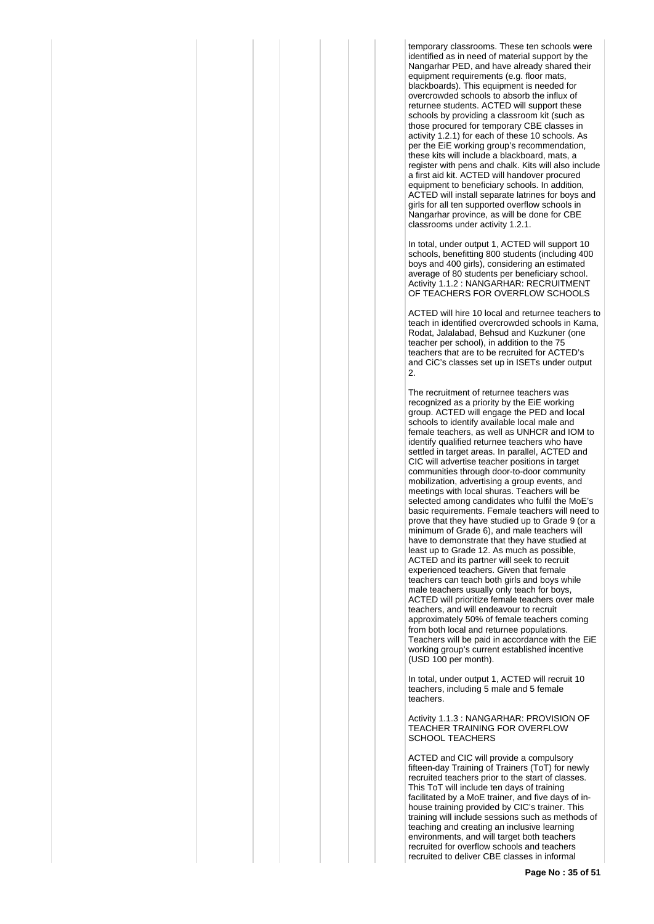temporary classrooms. These ten schools were identified as in need of material support by the Nangarhar PED, and have already shared their equipment requirements (e.g. floor mats, blackboards). This equipment is needed for overcrowded schools to absorb the influx of returnee students. ACTED will support these schools by providing a classroom kit (such as those procured for temporary CBE classes in activity 1.2.1) for each of these 10 schools. As per the EiE working group's recommendation, these kits will include a blackboard, mats, a register with pens and chalk. Kits will also include a first aid kit. ACTED will handover procured equipment to beneficiary schools. In addition, ACTED will install separate latrines for boys and girls for all ten supported overflow schools in Nangarhar province, as will be done for CBE classrooms under activity 1.2.1.

In total, under output 1, ACTED will support 10 schools, benefitting 800 students (including 400 boys and 400 girls), considering an estimated average of 80 students per beneficiary school. Activity 1.1.2 : NANGARHAR: RECRUITMENT OF TEACHERS FOR OVERFLOW SCHOOLS

ACTED will hire 10 local and returnee teachers to teach in identified overcrowded schools in Kama, Rodat, Jalalabad, Behsud and Kuzkuner (one teacher per school), in addition to the 75 teachers that are to be recruited for ACTED's and CiC's classes set up in ISETs under output 2.

The recruitment of returnee teachers was recognized as a priority by the EiE working group. ACTED will engage the PED and local schools to identify available local male and female teachers, as well as UNHCR and IOM to identify qualified returnee teachers who have settled in target areas. In parallel, ACTED and CIC will advertise teacher positions in target communities through door-to-door community mobilization, advertising a group events, and meetings with local shuras. Teachers will be selected among candidates who fulfil the MoE's basic requirements. Female teachers will need to prove that they have studied up to Grade 9 (or a minimum of Grade 6), and male teachers will have to demonstrate that they have studied at least up to Grade 12. As much as possible, ACTED and its partner will seek to recruit experienced teachers. Given that female teachers can teach both girls and boys while male teachers usually only teach for boys, ACTED will prioritize female teachers over male teachers, and will endeavour to recruit approximately 50% of female teachers coming from both local and returnee populations. Teachers will be paid in accordance with the EiE working group's current established incentive (USD 100 per month).

In total, under output 1, ACTED will recruit 10 teachers, including 5 male and 5 female teachers.

Activity 1.1.3 : NANGARHAR: PROVISION OF TEACHER TRAINING FOR OVERFLOW SCHOOL TEACHERS

ACTED and CIC will provide a compulsory fifteen-day Training of Trainers (ToT) for newly recruited teachers prior to the start of classes. This ToT will include ten days of training facilitated by a MoE trainer, and five days of inhouse training provided by CIC's trainer. This training will include sessions such as methods of teaching and creating an inclusive learning environments, and will target both teachers recruited for overflow schools and teachers recruited to deliver CBE classes in informal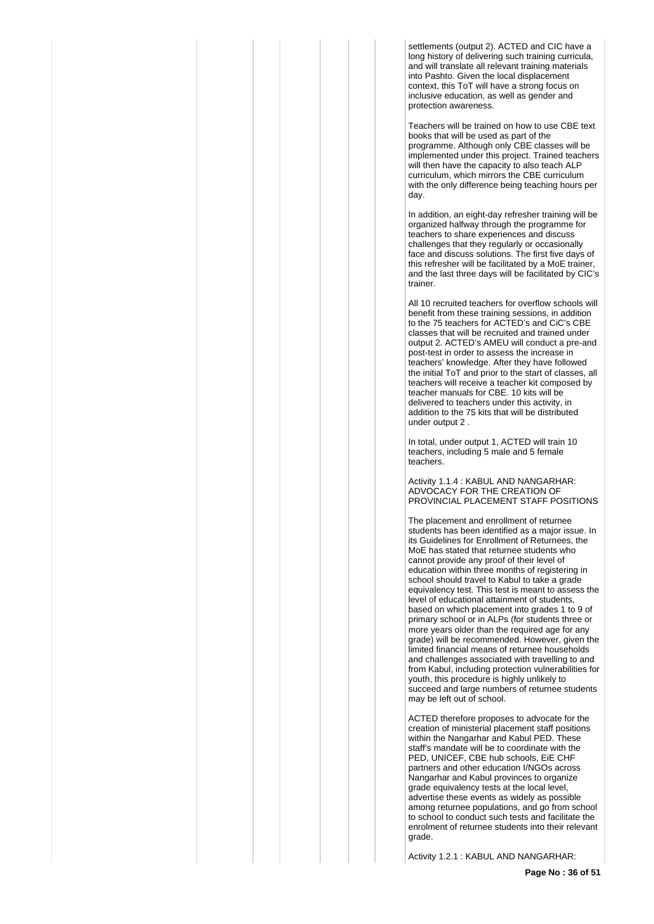settlements (output 2). ACTED and CIC have a long history of delivering such training curricula, and will translate all relevant training materials into Pashto. Given the local displacement context, this ToT will have a strong focus on inclusive education, as well as gender and protection awareness.

Teachers will be trained on how to use CBE text books that will be used as part of the programme. Although only CBE classes will be implemented under this project. Trained teachers will then have the capacity to also teach ALP curriculum, which mirrors the CBE curriculum with the only difference being teaching hours per day.

In addition, an eight-day refresher training will be organized halfway through the programme for teachers to share experiences and discuss challenges that they regularly or occasionally face and discuss solutions. The first five days of this refresher will be facilitated by a MoE trainer, and the last three days will be facilitated by CIC's trainer.

All 10 recruited teachers for overflow schools will benefit from these training sessions, in addition to the 75 teachers for ACTED's and CiC's CBE classes that will be recruited and trained under output 2. ACTED's AMEU will conduct a pre-and post-test in order to assess the increase in teachers' knowledge. After they have followed the initial ToT and prior to the start of classes, all teachers will receive a teacher kit composed by teacher manuals for CBE. 10 kits will be delivered to teachers under this activity, in addition to the 75 kits that will be distributed under output 2 .

In total, under output 1, ACTED will train 10 teachers, including 5 male and 5 female teachers.

Activity 1.1.4 : KABUL AND NANGARHAR: ADVOCACY FOR THE CREATION OF PROVINCIAL PLACEMENT STAFF POSITIONS

The placement and enrollment of returnee students has been identified as a major issue. In its Guidelines for Enrollment of Returnees, the MoE has stated that returnee students who cannot provide any proof of their level of education within three months of registering in school should travel to Kabul to take a grade equivalency test. This test is meant to assess the level of educational attainment of students, based on which placement into grades 1 to 9 of primary school or in ALPs (for students three or more years older than the required age for any grade) will be recommended. However, given the limited financial means of returnee households and challenges associated with travelling to and from Kabul, including protection vulnerabilities for youth, this procedure is highly unlikely to succeed and large numbers of returnee students may be left out of school.

ACTED therefore proposes to advocate for the creation of ministerial placement staff positions within the Nangarhar and Kabul PED. These staff's mandate will be to coordinate with the PED, UNICEF, CBE hub schools, EiE CHF partners and other education I/NGOs across Nangarhar and Kabul provinces to organize grade equivalency tests at the local level, advertise these events as widely as possible among returnee populations, and go from school to school to conduct such tests and facilitate the enrolment of returnee students into their relevant grade.

Activity 1.2.1 : KABUL AND NANGARHAR: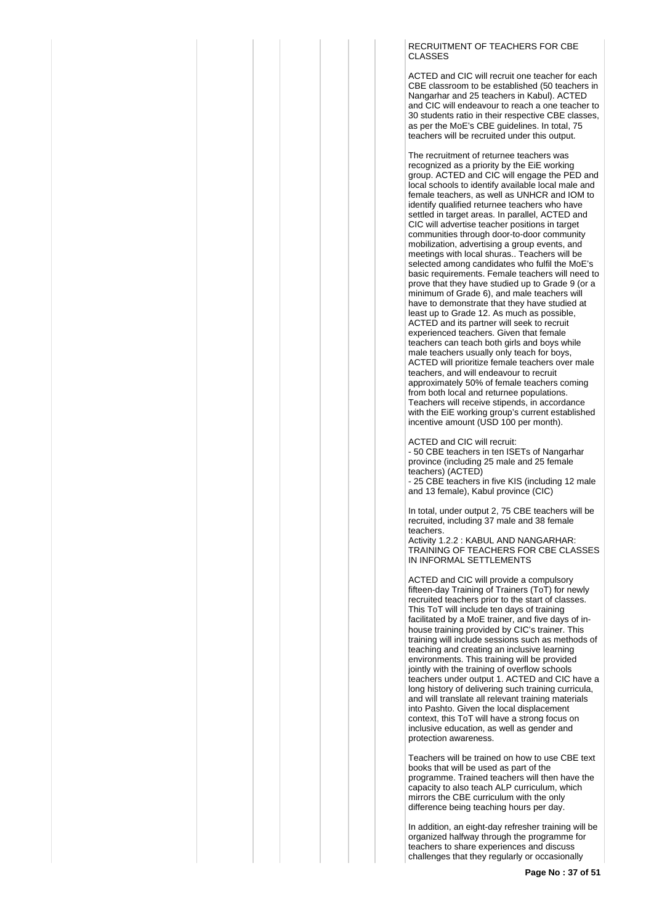#### RECRUITMENT OF TEACHERS FOR CBE CLASSES

ACTED and CIC will recruit one teacher for each CBE classroom to be established (50 teachers in Nangarhar and 25 teachers in Kabul). ACTED and CIC will endeavour to reach a one teacher to 30 students ratio in their respective CBE classes, as per the MoE's CBE guidelines. In total, 75 teachers will be recruited under this output.

The recruitment of returnee teachers was recognized as a priority by the EiE working group. ACTED and CIC will engage the PED and local schools to identify available local male and female teachers, as well as UNHCR and IOM to identify qualified returnee teachers who have settled in target areas. In parallel, ACTED and CIC will advertise teacher positions in target communities through door-to-door community mobilization, advertising a group events, and meetings with local shuras.. Teachers will be selected among candidates who fulfil the MoE's basic requirements. Female teachers will need to prove that they have studied up to Grade 9 (or a minimum of Grade 6), and male teachers will have to demonstrate that they have studied at least up to Grade 12. As much as possible, ACTED and its partner will seek to recruit experienced teachers. Given that female teachers can teach both girls and boys while male teachers usually only teach for boys, ACTED will prioritize female teachers over male teachers, and will endeavour to recruit approximately 50% of female teachers coming from both local and returnee populations. Teachers will receive stipends, in accordance with the EiE working group's current established incentive amount (USD 100 per month).

ACTED and CIC will recruit:

- 50 CBE teachers in ten ISETs of Nangarhar province (including 25 male and 25 female teachers) (ACTED) - 25 CBE teachers in five KIS (including 12 male and 13 female), Kabul province (CIC)

In total, under output 2, 75 CBE teachers will be recruited, including 37 male and 38 female teachers.

Activity 1.2.2 : KABUL AND NANGARHAR: TRAINING OF TEACHERS FOR CBE CLASSES IN INFORMAL SETTLEMENTS

ACTED and CIC will provide a compulsory fifteen-day Training of Trainers (ToT) for newly recruited teachers prior to the start of classes. This ToT will include ten days of training facilitated by a MoE trainer, and five days of inhouse training provided by CIC's trainer. This training will include sessions such as methods of teaching and creating an inclusive learning environments. This training will be provided jointly with the training of overflow schools teachers under output 1. ACTED and CIC have a long history of delivering such training curricula, and will translate all relevant training materials into Pashto. Given the local displacement context, this ToT will have a strong focus on inclusive education, as well as gender and protection awareness.

Teachers will be trained on how to use CBE text books that will be used as part of the programme. Trained teachers will then have the capacity to also teach ALP curriculum, which mirrors the CBE curriculum with the only difference being teaching hours per day.

In addition, an eight-day refresher training will be organized halfway through the programme for teachers to share experiences and discuss challenges that they regularly or occasionally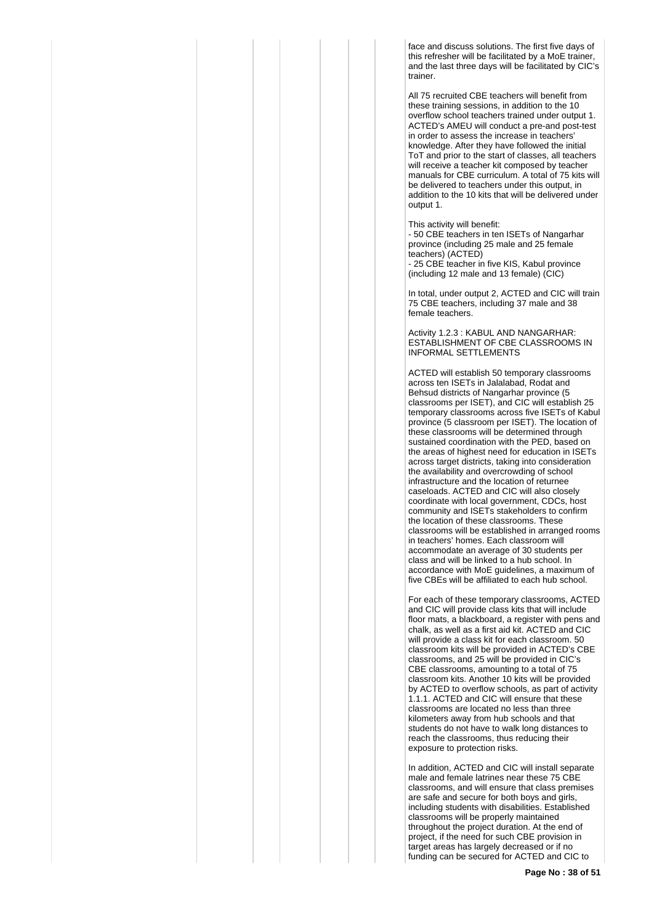face and discuss solutions. The first five days of this refresher will be facilitated by a MoE trainer, and the last three days will be facilitated by CIC's trainer.

All 75 recruited CBE teachers will benefit from these training sessions, in addition to the 10 overflow school teachers trained under output 1. ACTED's AMEU will conduct a pre-and post-test in order to assess the increase in teachers' knowledge. After they have followed the initial ToT and prior to the start of classes, all teachers will receive a teacher kit composed by teacher manuals for CBE curriculum. A total of 75 kits will be delivered to teachers under this output, in addition to the 10 kits that will be delivered under output 1.

This activity will benefit:

- 50 CBE teachers in ten ISETs of Nangarhar province (including 25 male and 25 female teachers) (ACTED)

- 25 CBE teacher in five KIS, Kabul province (including 12 male and 13 female) (CIC)

In total, under output 2, ACTED and CIC will train 75 CBE teachers, including 37 male and 38 female teachers.

Activity 1.2.3 : KABUL AND NANGARHAR: ESTABLISHMENT OF CBE CLASSROOMS IN INFORMAL SETTLEMENTS

ACTED will establish 50 temporary classrooms across ten ISETs in Jalalabad, Rodat and Behsud districts of Nangarhar province (5 classrooms per ISET), and CIC will establish 25 temporary classrooms across five ISETs of Kabul province (5 classroom per ISET). The location of these classrooms will be determined through sustained coordination with the PED, based on the areas of highest need for education in ISETs across target districts, taking into consideration the availability and overcrowding of school infrastructure and the location of returnee caseloads. ACTED and CIC will also closely coordinate with local government, CDCs, host community and ISETs stakeholders to confirm the location of these classrooms. These classrooms will be established in arranged rooms in teachers' homes. Each classroom will accommodate an average of 30 students per class and will be linked to a hub school. In accordance with MoE guidelines, a maximum of five CBEs will be affiliated to each hub school.

For each of these temporary classrooms, ACTED and CIC will provide class kits that will include floor mats, a blackboard, a register with pens and chalk, as well as a first aid kit. ACTED and CIC will provide a class kit for each classroom. 50 classroom kits will be provided in ACTED's CBE classrooms, and 25 will be provided in CIC's CBE classrooms, amounting to a total of 75 classroom kits. Another 10 kits will be provided by ACTED to overflow schools, as part of activity 1.1.1. ACTED and CIC will ensure that these classrooms are located no less than three kilometers away from hub schools and that students do not have to walk long distances to reach the classrooms, thus reducing their exposure to protection risks.

In addition, ACTED and CIC will install separate male and female latrines near these 75 CBE classrooms, and will ensure that class premises are safe and secure for both boys and girls, including students with disabilities. Established classrooms will be properly maintained throughout the project duration. At the end of project, if the need for such CBE provision in target areas has largely decreased or if no funding can be secured for ACTED and CIC to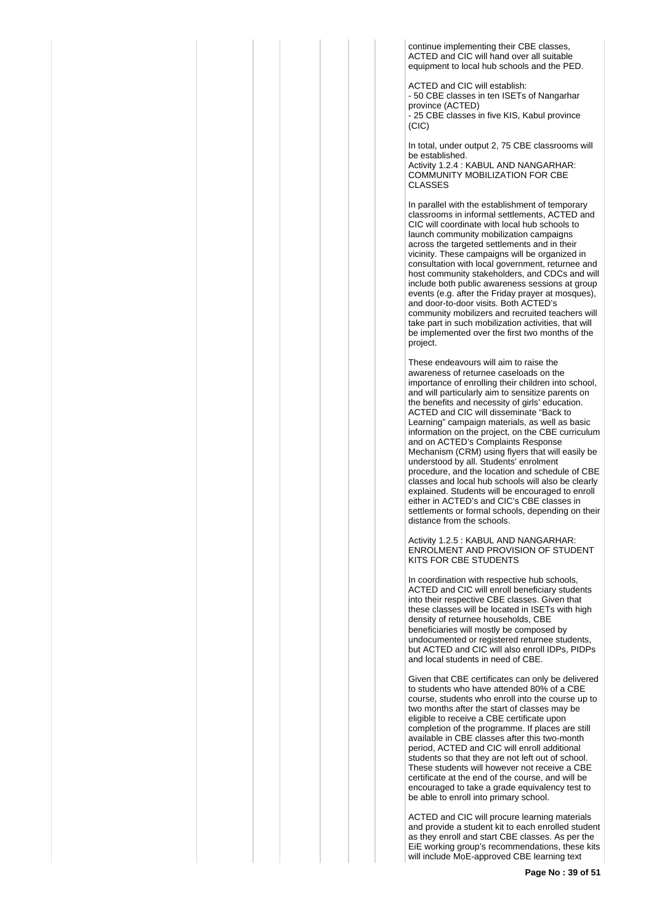continue implementing their CBE classes, ACTED and CIC will hand over all suitable equipment to local hub schools and the PED.

ACTED and CIC will establish: - 50 CBE classes in ten ISETs of Nangarhar province (ACTED) - 25 CBE classes in five KIS, Kabul province  $(C<sub>1</sub>C)$ 

In total, under output 2, 75 CBE classrooms will be established. Activity 1.2.4 : KABUL AND NANGARHAR: COMMUNITY MOBILIZATION FOR CBE CLASSES

In parallel with the establishment of temporary classrooms in informal settlements, ACTED and CIC will coordinate with local hub schools to launch community mobilization campaigns across the targeted settlements and in their vicinity. These campaigns will be organized in consultation with local government, returnee and host community stakeholders, and CDCs and will include both public awareness sessions at group events (e.g. after the Friday prayer at mosques), and door-to-door visits. Both ACTED's community mobilizers and recruited teachers will take part in such mobilization activities, that will be implemented over the first two months of the project.

These endeavours will aim to raise the awareness of returnee caseloads on the importance of enrolling their children into school, and will particularly aim to sensitize parents on the benefits and necessity of girls' education. ACTED and CIC will disseminate "Back to Learning" campaign materials, as well as basic information on the project, on the CBE curriculum and on ACTED's Complaints Response Mechanism (CRM) using flyers that will easily be understood by all. Students' enrolment procedure, and the location and schedule of CBE classes and local hub schools will also be clearly explained. Students will be encouraged to enroll either in ACTED's and CIC's CBE classes in settlements or formal schools, depending on their distance from the schools.

Activity 1.2.5 : KABUL AND NANGARHAR: ENROLMENT AND PROVISION OF STUDENT KITS FOR CBE STUDENTS

In coordination with respective hub schools, ACTED and CIC will enroll beneficiary students into their respective CBE classes. Given that these classes will be located in ISETs with high density of returnee households, CBE beneficiaries will mostly be composed by undocumented or registered returnee students, but ACTED and CIC will also enroll IDPs, PIDPs and local students in need of CBE.

Given that CBE certificates can only be delivered to students who have attended 80% of a CBE course, students who enroll into the course up to two months after the start of classes may be eligible to receive a CBE certificate upon completion of the programme. If places are still available in CBE classes after this two-month period, ACTED and CIC will enroll additional students so that they are not left out of school. These students will however not receive a CBE certificate at the end of the course, and will be encouraged to take a grade equivalency test to be able to enroll into primary school.

ACTED and CIC will procure learning materials and provide a student kit to each enrolled student as they enroll and start CBE classes. As per the EiE working group's recommendations, these kits will include MoE-approved CBE learning text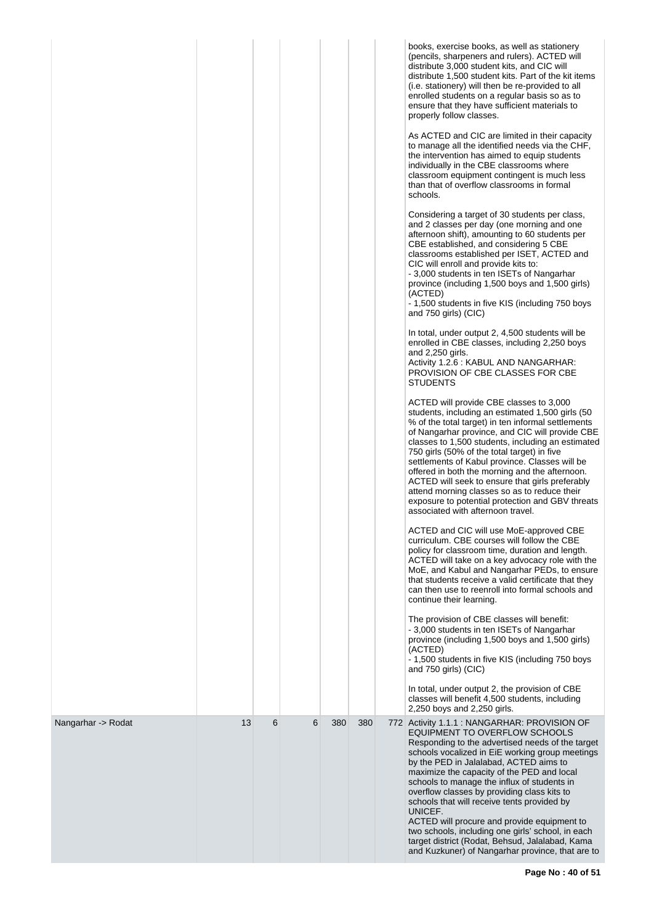|                    |    |   |   |     |     | books, exercise books, as well as stationery<br>(pencils, sharpeners and rulers). ACTED will<br>distribute 3,000 student kits, and CIC will<br>distribute 1,500 student kits. Part of the kit items<br>(i.e. stationery) will then be re-provided to all<br>enrolled students on a regular basis so as to<br>ensure that they have sufficient materials to<br>properly follow classes.<br>As ACTED and CIC are limited in their capacity<br>to manage all the identified needs via the CHF,<br>the intervention has aimed to equip students<br>individually in the CBE classrooms where<br>classroom equipment contingent is much less<br>than that of overflow classrooms in formal<br>schools.<br>Considering a target of 30 students per class,<br>and 2 classes per day (one morning and one<br>afternoon shift), amounting to 60 students per<br>CBE established, and considering 5 CBE<br>classrooms established per ISET, ACTED and<br>CIC will enroll and provide kits to:<br>- 3,000 students in ten ISETs of Nangarhar<br>province (including 1,500 boys and 1,500 girls)<br>(ACTED)<br>- 1,500 students in five KIS (including 750 boys<br>and 750 girls) (CIC)<br>In total, under output 2, 4,500 students will be<br>enrolled in CBE classes, including 2,250 boys<br>and 2,250 girls.<br>Activity 1.2.6 : KABUL AND NANGARHAR:<br>PROVISION OF CBE CLASSES FOR CBE<br><b>STUDENTS</b><br>ACTED will provide CBE classes to 3,000<br>students, including an estimated 1,500 girls (50<br>% of the total target) in ten informal settlements<br>of Nangarhar province, and CIC will provide CBE<br>classes to 1,500 students, including an estimated<br>750 girls (50% of the total target) in five<br>settlements of Kabul province. Classes will be<br>offered in both the morning and the afternoon.<br>ACTED will seek to ensure that girls preferably<br>attend morning classes so as to reduce their<br>exposure to potential protection and GBV threats<br>associated with afternoon travel.<br>ACTED and CIC will use MoE-approved CBE<br>curriculum. CBE courses will follow the CBE<br>policy for classroom time, duration and length.<br>ACTED will take on a key advocacy role with the<br>MoE, and Kabul and Nangarhar PEDs, to ensure<br>that students receive a valid certificate that they<br>can then use to reenroll into formal schools and<br>continue their learning.<br>The provision of CBE classes will benefit:<br>- 3,000 students in ten ISETs of Nangarhar<br>province (including 1,500 boys and 1,500 girls)<br>(ACTED)<br>- 1,500 students in five KIS (including 750 boys<br>and 750 girls) (CIC)<br>In total, under output 2, the provision of CBE<br>classes will benefit 4,500 students, including<br>2,250 boys and 2,250 girls. |
|--------------------|----|---|---|-----|-----|---------------------------------------------------------------------------------------------------------------------------------------------------------------------------------------------------------------------------------------------------------------------------------------------------------------------------------------------------------------------------------------------------------------------------------------------------------------------------------------------------------------------------------------------------------------------------------------------------------------------------------------------------------------------------------------------------------------------------------------------------------------------------------------------------------------------------------------------------------------------------------------------------------------------------------------------------------------------------------------------------------------------------------------------------------------------------------------------------------------------------------------------------------------------------------------------------------------------------------------------------------------------------------------------------------------------------------------------------------------------------------------------------------------------------------------------------------------------------------------------------------------------------------------------------------------------------------------------------------------------------------------------------------------------------------------------------------------------------------------------------------------------------------------------------------------------------------------------------------------------------------------------------------------------------------------------------------------------------------------------------------------------------------------------------------------------------------------------------------------------------------------------------------------------------------------------------------------------------------------------------------------------------------------------------------------------------------------------------------------------------------------------------------------------------------------------------------------------------------------------------------------------------------------------------------------------------------------------------------------------------------------------------------------------------------------------------------------------------------------------------------------------------------|
| Nangarhar -> Rodat | 13 | 6 | 6 | 380 | 380 | 772 Activity 1.1.1 : NANGARHAR: PROVISION OF<br>EQUIPMENT TO OVERFLOW SCHOOLS<br>Responding to the advertised needs of the target<br>schools vocalized in EiE working group meetings<br>by the PED in Jalalabad, ACTED aims to<br>maximize the capacity of the PED and local<br>schools to manage the influx of students in<br>overflow classes by providing class kits to<br>schools that will receive tents provided by<br>UNICEF.<br>ACTED will procure and provide equipment to<br>two schools, including one girls' school, in each<br>target district (Rodat, Behsud, Jalalabad, Kama<br>and Kuzkuner) of Nangarhar province, that are to                                                                                                                                                                                                                                                                                                                                                                                                                                                                                                                                                                                                                                                                                                                                                                                                                                                                                                                                                                                                                                                                                                                                                                                                                                                                                                                                                                                                                                                                                                                                                                                                                                                                                                                                                                                                                                                                                                                                                                                                                                                                                                                                 |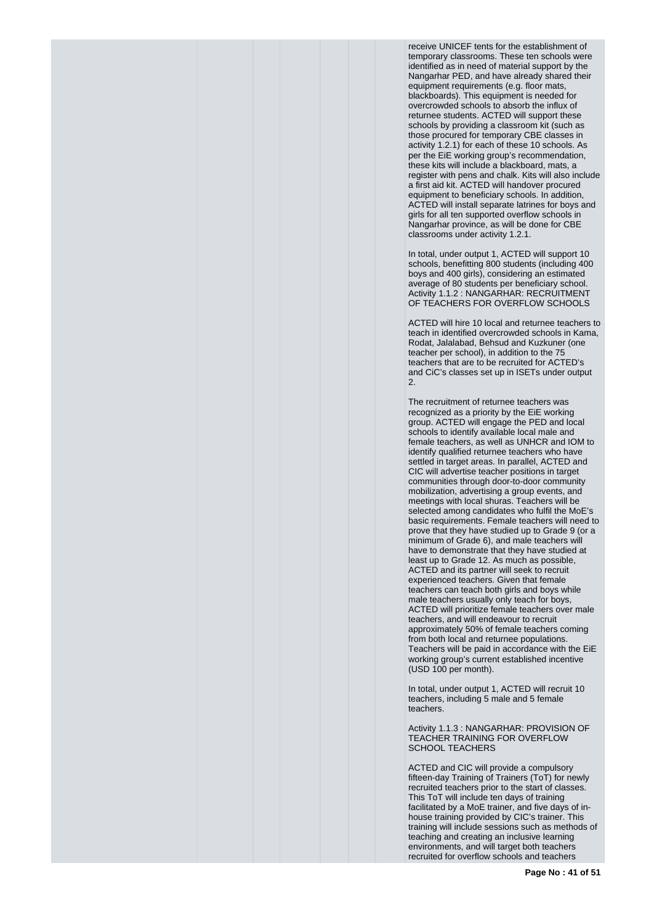receive UNICEF tents for the establishment of temporary classrooms. These ten schools were identified as in need of material support by the Nangarhar PED, and have already shared their equipment requirements (e.g. floor mats, blackboards). This equipment is needed for overcrowded schools to absorb the influx of returnee students. ACTED will support these schools by providing a classroom kit (such as those procured for temporary CBE classes in activity 1.2.1) for each of these 10 schools. As per the EiE working group's recommendation, these kits will include a blackboard, mats, a register with pens and chalk. Kits will also include a first aid kit. ACTED will handover procured equipment to beneficiary schools. In addition, ACTED will install separate latrines for boys and girls for all ten supported overflow schools in Nangarhar province, as will be done for CBE classrooms under activity 1.2.1.

In total, under output 1, ACTED will support 10 schools, benefitting 800 students (including 400 boys and 400 girls), considering an estimated average of 80 students per beneficiary school. Activity 1.1.2 : NANGARHAR: RECRUITMENT OF TEACHERS FOR OVERFLOW SCHOOLS

ACTED will hire 10 local and returnee teachers to teach in identified overcrowded schools in Kama, Rodat, Jalalabad, Behsud and Kuzkuner (one teacher per school), in addition to the 75 teachers that are to be recruited for ACTED's and CiC's classes set up in ISETs under output 2.

The recruitment of returnee teachers was recognized as a priority by the EiE working group. ACTED will engage the PED and local schools to identify available local male and female teachers, as well as UNHCR and IOM to identify qualified returnee teachers who have settled in target areas. In parallel, ACTED and CIC will advertise teacher positions in target communities through door-to-door community mobilization, advertising a group events, and meetings with local shuras. Teachers will be selected among candidates who fulfil the MoE's basic requirements. Female teachers will need to prove that they have studied up to Grade 9 (or a minimum of Grade 6), and male teachers will have to demonstrate that they have studied at least up to Grade 12. As much as possible, ACTED and its partner will seek to recruit experienced teachers. Given that female teachers can teach both girls and boys while male teachers usually only teach for boys, ACTED will prioritize female teachers over male teachers, and will endeavour to recruit approximately 50% of female teachers coming from both local and returnee populations. Teachers will be paid in accordance with the EiE working group's current established incentive (USD 100 per month).

In total, under output 1, ACTED will recruit 10 teachers, including 5 male and 5 female teachers.

Activity 1.1.3 : NANGARHAR: PROVISION OF TEACHER TRAINING FOR OVERFLOW SCHOOL TEACHERS

ACTED and CIC will provide a compulsory fifteen-day Training of Trainers (ToT) for newly recruited teachers prior to the start of classes. This ToT will include ten days of training facilitated by a MoE trainer, and five days of inhouse training provided by CIC's trainer. This training will include sessions such as methods of teaching and creating an inclusive learning environments, and will target both teachers recruited for overflow schools and teachers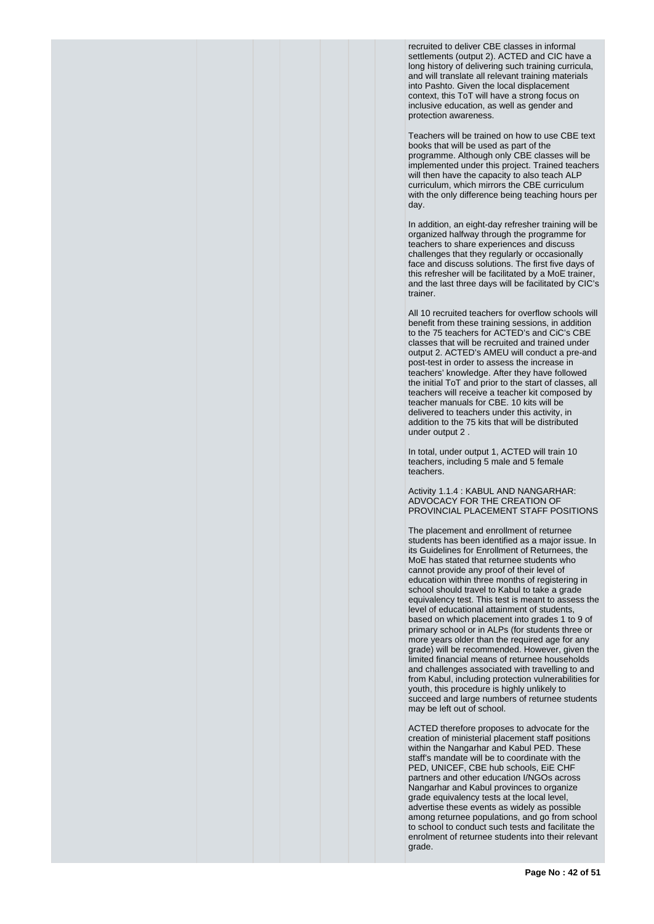recruited to deliver CBE classes in informal settlements (output 2). ACTED and CIC have a long history of delivering such training curricula, and will translate all relevant training materials into Pashto. Given the local displacement context, this ToT will have a strong focus on inclusive education, as well as gender and protection awareness.

Teachers will be trained on how to use CBE text books that will be used as part of the programme. Although only CBE classes will be implemented under this project. Trained teachers will then have the capacity to also teach ALP curriculum, which mirrors the CBE curriculum with the only difference being teaching hours per day.

In addition, an eight-day refresher training will be organized halfway through the programme for teachers to share experiences and discuss challenges that they regularly or occasionally face and discuss solutions. The first five days of this refresher will be facilitated by a MoE trainer, and the last three days will be facilitated by CIC's trainer.

All 10 recruited teachers for overflow schools will benefit from these training sessions, in addition to the 75 teachers for ACTED's and CiC's CBE classes that will be recruited and trained under output 2. ACTED's AMEU will conduct a pre-and post-test in order to assess the increase in teachers' knowledge. After they have followed the initial ToT and prior to the start of classes, all teachers will receive a teacher kit composed by teacher manuals for CBE. 10 kits will be delivered to teachers under this activity, in addition to the 75 kits that will be distributed under output 2 .

In total, under output 1, ACTED will train 10 teachers, including 5 male and 5 female teachers.

Activity 1.1.4 : KABUL AND NANGARHAR: ADVOCACY FOR THE CREATION OF PROVINCIAL PLACEMENT STAFF POSITIONS

The placement and enrollment of returnee students has been identified as a major issue. In its Guidelines for Enrollment of Returnees, the MoE has stated that returnee students who cannot provide any proof of their level of education within three months of registering in school should travel to Kabul to take a grade equivalency test. This test is meant to assess the level of educational attainment of students, based on which placement into grades 1 to 9 of primary school or in ALPs (for students three or more years older than the required age for any grade) will be recommended. However, given the limited financial means of returnee households and challenges associated with travelling to and from Kabul, including protection vulnerabilities for youth, this procedure is highly unlikely to succeed and large numbers of returnee students may be left out of school.

ACTED therefore proposes to advocate for the creation of ministerial placement staff positions within the Nangarhar and Kabul PED. These staff's mandate will be to coordinate with the PED, UNICEF, CBE hub schools, EiE CHF partners and other education I/NGOs across Nangarhar and Kabul provinces to organize grade equivalency tests at the local level, advertise these events as widely as possible among returnee populations, and go from school to school to conduct such tests and facilitate the enrolment of returnee students into their relevant grade.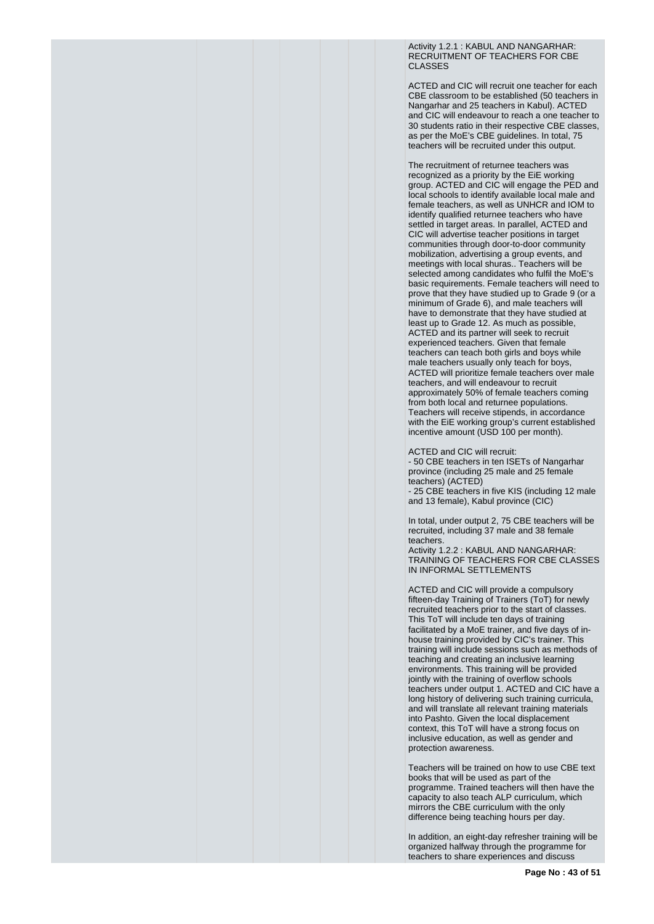Activity 1.2.1 : KABUL AND NANGARHAR: RECRUITMENT OF TEACHERS FOR CBE CLASSES

ACTED and CIC will recruit one teacher for each CBE classroom to be established (50 teachers in Nangarhar and 25 teachers in Kabul). ACTED and CIC will endeavour to reach a one teacher to 30 students ratio in their respective CBE classes, as per the MoE's CBE guidelines. In total, 75 teachers will be recruited under this output.

The recruitment of returnee teachers was recognized as a priority by the EiE working group. ACTED and CIC will engage the PED and local schools to identify available local male and female teachers, as well as UNHCR and IOM to identify qualified returnee teachers who have settled in target areas. In parallel, ACTED and CIC will advertise teacher positions in target communities through door-to-door community mobilization, advertising a group events, and meetings with local shuras.. Teachers will be selected among candidates who fulfil the MoE's basic requirements. Female teachers will need to prove that they have studied up to Grade 9 (or a minimum of Grade 6), and male teachers will have to demonstrate that they have studied at least up to Grade 12. As much as possible, ACTED and its partner will seek to recruit experienced teachers. Given that female teachers can teach both girls and boys while male teachers usually only teach for boys, ACTED will prioritize female teachers over male teachers, and will endeavour to recruit approximately 50% of female teachers coming from both local and returnee populations. Teachers will receive stipends, in accordance with the EiE working group's current established incentive amount (USD 100 per month).

ACTED and CIC will recruit:

- 50 CBE teachers in ten ISETs of Nangarhar province (including 25 male and 25 female teachers) (ACTED)

- 25 CBE teachers in five KIS (including 12 male and 13 female), Kabul province (CIC)

In total, under output 2, 75 CBE teachers will be recruited, including 37 male and 38 female teachers.

Activity 1.2.2 : KABUL AND NANGARHAR: TRAINING OF TEACHERS FOR CBE CLASSES IN INFORMAL SETTLEMENTS

ACTED and CIC will provide a compulsory fifteen-day Training of Trainers (ToT) for newly recruited teachers prior to the start of classes. This ToT will include ten days of training facilitated by a MoE trainer, and five days of inhouse training provided by CIC's trainer. This training will include sessions such as methods of teaching and creating an inclusive learning environments. This training will be provided jointly with the training of overflow schools teachers under output 1. ACTED and CIC have a long history of delivering such training curricula, and will translate all relevant training materials into Pashto. Given the local displacement context, this ToT will have a strong focus on inclusive education, as well as gender and protection awareness.

Teachers will be trained on how to use CBE text books that will be used as part of the programme. Trained teachers will then have the capacity to also teach ALP curriculum, which mirrors the CBE curriculum with the only difference being teaching hours per day.

In addition, an eight-day refresher training will be organized halfway through the programme for teachers to share experiences and discuss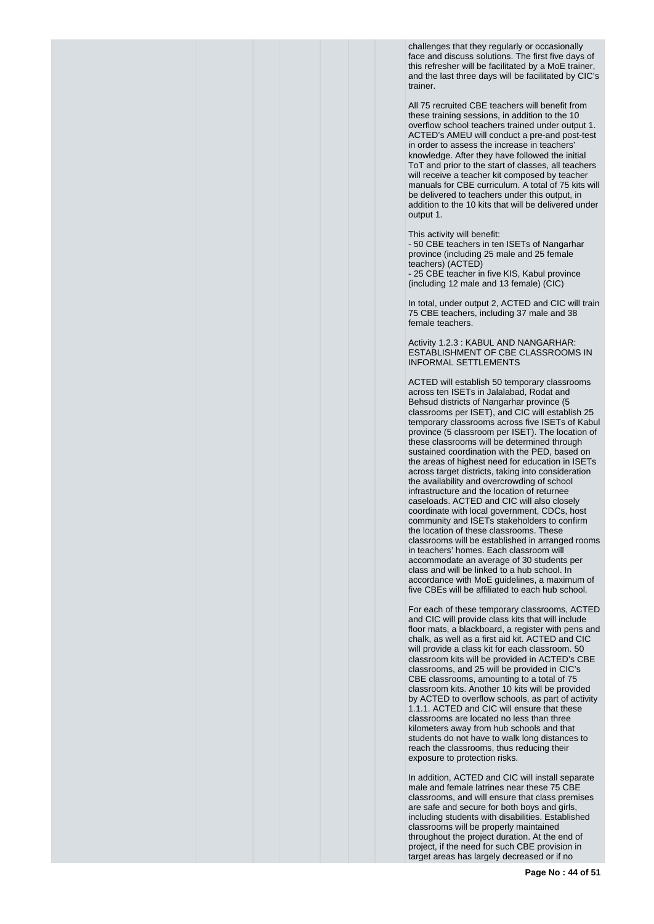challenges that they regularly or occasionally face and discuss solutions. The first five days of this refresher will be facilitated by a MoE trainer, and the last three days will be facilitated by CIC's trainer.

All 75 recruited CBE teachers will benefit from these training sessions, in addition to the 10 overflow school teachers trained under output 1. ACTED's AMEU will conduct a pre-and post-test in order to assess the increase in teachers' knowledge. After they have followed the initial ToT and prior to the start of classes, all teachers will receive a teacher kit composed by teacher manuals for CBE curriculum. A total of 75 kits will be delivered to teachers under this output, in addition to the 10 kits that will be delivered under output 1.

This activity will benefit:

- 50 CBE teachers in ten ISETs of Nangarhar province (including 25 male and 25 female teachers) (ACTED) - 25 CBE teacher in five KIS, Kabul province (including 12 male and 13 female) (CIC)

In total, under output 2, ACTED and CIC will train 75 CBE teachers, including 37 male and 38 female teachers.

Activity 1.2.3 : KABUL AND NANGARHAR: ESTABLISHMENT OF CBE CLASSROOMS IN INFORMAL SETTLEMENTS

ACTED will establish 50 temporary classrooms across ten ISETs in Jalalabad, Rodat and Behsud districts of Nangarhar province (5 classrooms per ISET), and CIC will establish 25 temporary classrooms across five ISETs of Kabul province (5 classroom per ISET). The location of these classrooms will be determined through sustained coordination with the PED, based on the areas of highest need for education in ISETs across target districts, taking into consideration the availability and overcrowding of school infrastructure and the location of returnee caseloads. ACTED and CIC will also closely coordinate with local government, CDCs, host community and ISETs stakeholders to confirm the location of these classrooms. These classrooms will be established in arranged rooms in teachers' homes. Each classroom will accommodate an average of 30 students per class and will be linked to a hub school. In accordance with MoE guidelines, a maximum of five CBEs will be affiliated to each hub school.

For each of these temporary classrooms, ACTED and CIC will provide class kits that will include floor mats, a blackboard, a register with pens and chalk, as well as a first aid kit. ACTED and CIC will provide a class kit for each classroom. 50 classroom kits will be provided in ACTED's CBE classrooms, and 25 will be provided in CIC's CBE classrooms, amounting to a total of 75 classroom kits. Another 10 kits will be provided by ACTED to overflow schools, as part of activity 1.1.1. ACTED and CIC will ensure that these classrooms are located no less than three kilometers away from hub schools and that students do not have to walk long distances to reach the classrooms, thus reducing their exposure to protection risks.

In addition, ACTED and CIC will install separate male and female latrines near these 75 CBE classrooms, and will ensure that class premises are safe and secure for both boys and girls, including students with disabilities. Established classrooms will be properly maintained throughout the project duration. At the end of project, if the need for such CBE provision in target areas has largely decreased or if no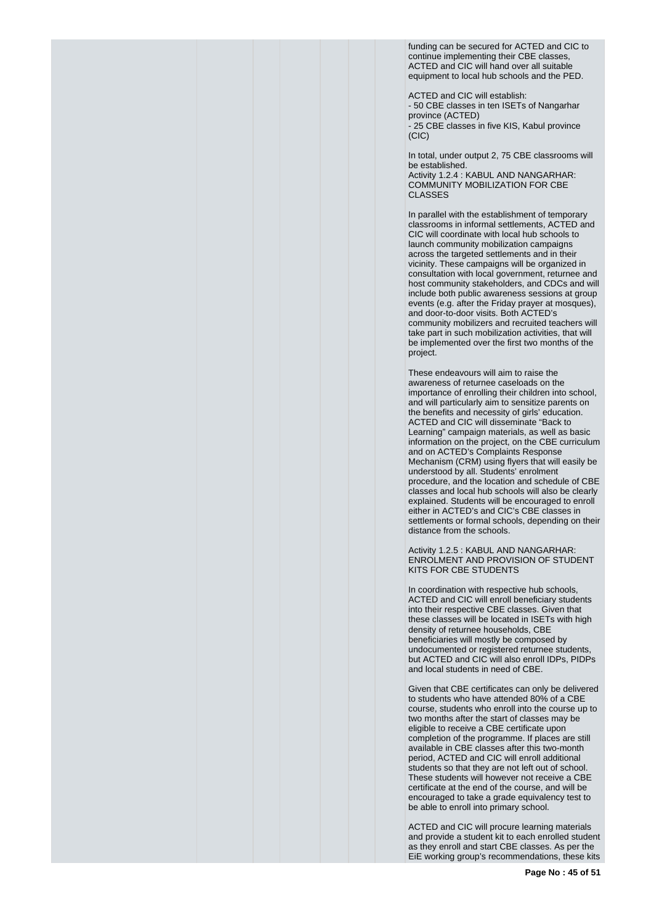funding can be secured for ACTED and CIC to continue implementing their CBE classes, ACTED and CIC will hand over all suitable equipment to local hub schools and the PED.

ACTED and CIC will establish: - 50 CBE classes in ten ISETs of Nangarhar province (ACTED) .<br>- 25 CBE classes in five KIS, Kabul province  $(C<sub>1</sub>C)$ 

In total, under output 2, 75 CBE classrooms will be established. Activity 1.2.4 : KABUL AND NANGARHAR: COMMUNITY MOBILIZATION FOR CBE CLASSES

In parallel with the establishment of temporary classrooms in informal settlements, ACTED and CIC will coordinate with local hub schools to launch community mobilization campaigns across the targeted settlements and in their vicinity. These campaigns will be organized in consultation with local government, returnee and host community stakeholders, and CDCs and will include both public awareness sessions at group events (e.g. after the Friday prayer at mosques), and door-to-door visits. Both ACTED's community mobilizers and recruited teachers will take part in such mobilization activities, that will be implemented over the first two months of the project.

These endeavours will aim to raise the awareness of returnee caseloads on the importance of enrolling their children into school, and will particularly aim to sensitize parents on the benefits and necessity of girls' education. ACTED and CIC will disseminate "Back to Learning" campaign materials, as well as basic information on the project, on the CBE curriculum and on ACTED's Complaints Response Mechanism (CRM) using flyers that will easily be understood by all. Students' enrolment procedure, and the location and schedule of CBE classes and local hub schools will also be clearly explained. Students will be encouraged to enroll either in ACTED's and CIC's CBE classes in settlements or formal schools, depending on their distance from the schools.

Activity 1.2.5 : KABUL AND NANGARHAR: ENROLMENT AND PROVISION OF STUDENT KITS FOR CBE STUDENTS

In coordination with respective hub schools, ACTED and CIC will enroll beneficiary students into their respective CBE classes. Given that these classes will be located in ISETs with high density of returnee households, CBE beneficiaries will mostly be composed by undocumented or registered returnee students, but ACTED and CIC will also enroll IDPs, PIDPs and local students in need of CBE.

Given that CBE certificates can only be delivered to students who have attended 80% of a CBE course, students who enroll into the course up to two months after the start of classes may be eligible to receive a CBE certificate upon completion of the programme. If places are still available in CBE classes after this two-month period, ACTED and CIC will enroll additional students so that they are not left out of school. These students will however not receive a CBE certificate at the end of the course, and will be encouraged to take a grade equivalency test to be able to enroll into primary school.

ACTED and CIC will procure learning materials and provide a student kit to each enrolled student as they enroll and start CBE classes. As per the EiE working group's recommendations, these kits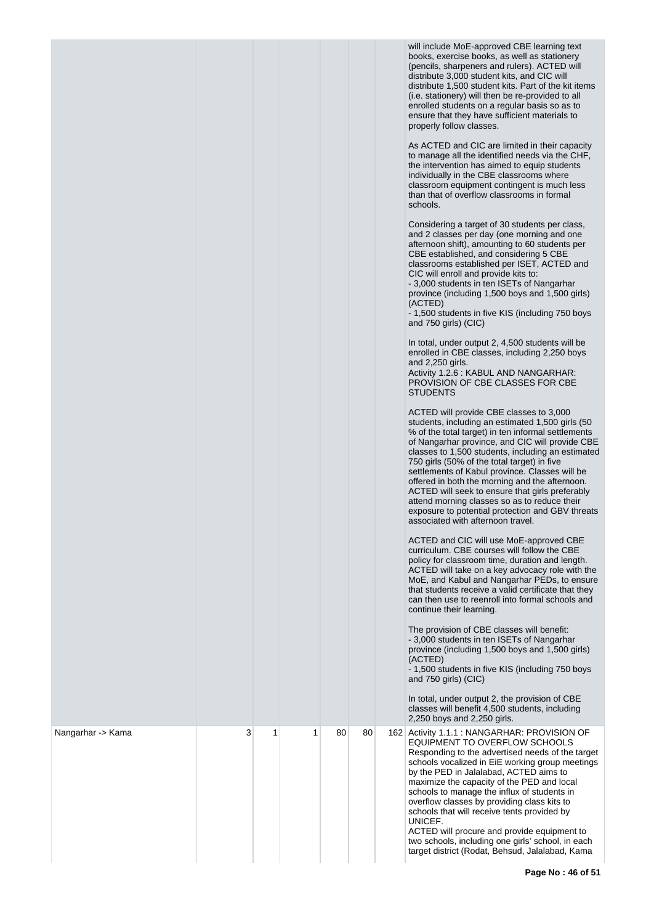|                   |   |   |   |    |    | will include MoE-approved CBE learning text<br>books, exercise books, as well as stationery<br>(pencils, sharpeners and rulers). ACTED will<br>distribute 3,000 student kits, and CIC will<br>distribute 1,500 student kits. Part of the kit items<br>(i.e. stationery) will then be re-provided to all<br>enrolled students on a regular basis so as to<br>ensure that they have sufficient materials to<br>properly follow classes.<br>As ACTED and CIC are limited in their capacity<br>to manage all the identified needs via the CHF,<br>the intervention has aimed to equip students<br>individually in the CBE classrooms where<br>classroom equipment contingent is much less<br>than that of overflow classrooms in formal<br>schools.<br>Considering a target of 30 students per class,<br>and 2 classes per day (one morning and one<br>afternoon shift), amounting to 60 students per<br>CBE established, and considering 5 CBE<br>classrooms established per ISET, ACTED and<br>CIC will enroll and provide kits to:<br>-3,000 students in ten ISETs of Nangarhar<br>province (including 1,500 boys and 1,500 girls)<br>(ACTED)<br>- 1,500 students in five KIS (including 750 boys<br>and 750 girls) (CIC)<br>In total, under output 2, 4,500 students will be<br>enrolled in CBE classes, including 2,250 boys<br>and 2,250 girls.<br>Activity 1.2.6 : KABUL AND NANGARHAR:<br>PROVISION OF CBE CLASSES FOR CBE<br><b>STUDENTS</b><br>ACTED will provide CBE classes to 3,000<br>students, including an estimated 1,500 girls (50<br>% of the total target) in ten informal settlements<br>of Nangarhar province, and CIC will provide CBE<br>classes to 1,500 students, including an estimated<br>750 girls (50% of the total target) in five<br>settlements of Kabul province. Classes will be<br>offered in both the morning and the afternoon.<br>ACTED will seek to ensure that girls preferably<br>attend morning classes so as to reduce their<br>exposure to potential protection and GBV threats<br>associated with afternoon travel.<br>ACTED and CIC will use MoE-approved CBE<br>curriculum. CBE courses will follow the CBE<br>policy for classroom time, duration and length.<br>ACTED will take on a key advocacy role with the<br>MoE, and Kabul and Nangarhar PEDs, to ensure<br>that students receive a valid certificate that they<br>can then use to reenroll into formal schools and<br>continue their learning.<br>The provision of CBE classes will benefit:<br>- 3,000 students in ten ISETs of Nangarhar<br>province (including 1,500 boys and 1,500 girls)<br>(ACTED)<br>- 1,500 students in five KIS (including 750 boys<br>and 750 girls) (CIC)<br>In total, under output 2, the provision of CBE<br>classes will benefit 4,500 students, including<br>2,250 boys and 2,250 girls. |
|-------------------|---|---|---|----|----|-------------------------------------------------------------------------------------------------------------------------------------------------------------------------------------------------------------------------------------------------------------------------------------------------------------------------------------------------------------------------------------------------------------------------------------------------------------------------------------------------------------------------------------------------------------------------------------------------------------------------------------------------------------------------------------------------------------------------------------------------------------------------------------------------------------------------------------------------------------------------------------------------------------------------------------------------------------------------------------------------------------------------------------------------------------------------------------------------------------------------------------------------------------------------------------------------------------------------------------------------------------------------------------------------------------------------------------------------------------------------------------------------------------------------------------------------------------------------------------------------------------------------------------------------------------------------------------------------------------------------------------------------------------------------------------------------------------------------------------------------------------------------------------------------------------------------------------------------------------------------------------------------------------------------------------------------------------------------------------------------------------------------------------------------------------------------------------------------------------------------------------------------------------------------------------------------------------------------------------------------------------------------------------------------------------------------------------------------------------------------------------------------------------------------------------------------------------------------------------------------------------------------------------------------------------------------------------------------------------------------------------------------------------------------------------------------------------------------------------------------------------------------------------------------------------------------------|
| Nangarhar -> Kama | 3 | 1 | 1 | 80 | 80 | 162 Activity 1.1.1 : NANGARHAR: PROVISION OF<br>EQUIPMENT TO OVERFLOW SCHOOLS<br>Responding to the advertised needs of the target<br>schools vocalized in EiE working group meetings<br>by the PED in Jalalabad, ACTED aims to<br>maximize the capacity of the PED and local<br>schools to manage the influx of students in<br>overflow classes by providing class kits to<br>schools that will receive tents provided by<br>UNICEF.<br>ACTED will procure and provide equipment to<br>two schools, including one girls' school, in each<br>target district (Rodat, Behsud, Jalalabad, Kama                                                                                                                                                                                                                                                                                                                                                                                                                                                                                                                                                                                                                                                                                                                                                                                                                                                                                                                                                                                                                                                                                                                                                                                                                                                                                                                                                                                                                                                                                                                                                                                                                                                                                                                                                                                                                                                                                                                                                                                                                                                                                                                                                                                                                                   |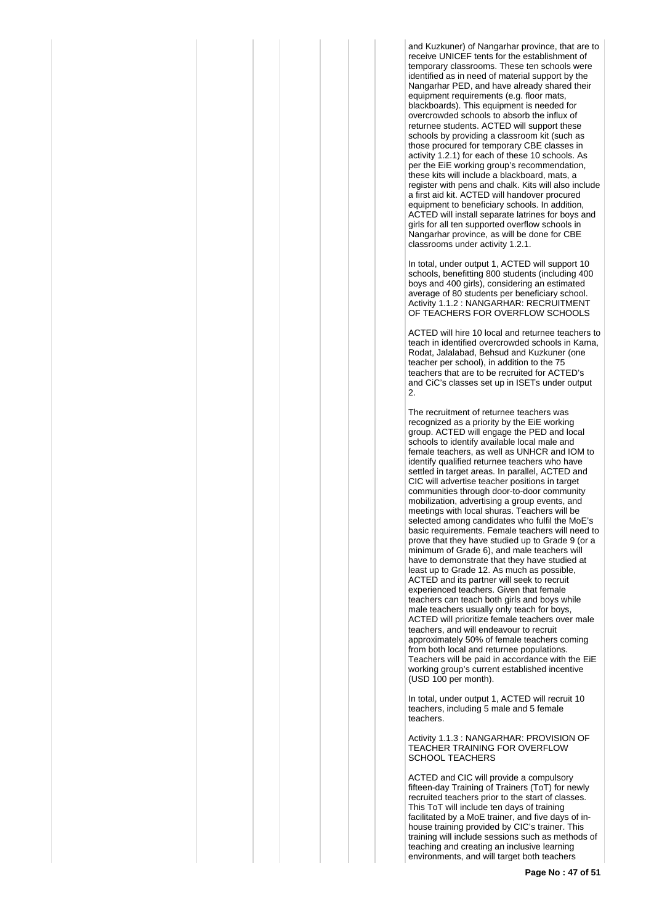and Kuzkuner) of Nangarhar province, that are to receive UNICEF tents for the establishment of temporary classrooms. These ten schools were identified as in need of material support by the Nangarhar PED, and have already shared their equipment requirements (e.g. floor mats, blackboards). This equipment is needed for overcrowded schools to absorb the influx of returnee students. ACTED will support these schools by providing a classroom kit (such as those procured for temporary CBE classes in activity 1.2.1) for each of these 10 schools. As per the EiE working group's recommendation, these kits will include a blackboard, mats, a register with pens and chalk. Kits will also include a first aid kit. ACTED will handover procured equipment to beneficiary schools. In addition, ACTED will install separate latrines for boys and girls for all ten supported overflow schools in Nangarhar province, as will be done for CBE classrooms under activity 1.2.1.

In total, under output 1, ACTED will support 10 schools, benefitting 800 students (including 400 boys and 400 girls), considering an estimated average of 80 students per beneficiary school. Activity 1.1.2 : NANGARHAR: RECRUITMENT OF TEACHERS FOR OVERFLOW SCHOOLS

ACTED will hire 10 local and returnee teachers to teach in identified overcrowded schools in Kama, Rodat, Jalalabad, Behsud and Kuzkuner (one teacher per school), in addition to the 75 teachers that are to be recruited for ACTED's and CiC's classes set up in ISETs under output 2.

The recruitment of returnee teachers was recognized as a priority by the EiE working group. ACTED will engage the PED and local schools to identify available local male and female teachers, as well as UNHCR and IOM to identify qualified returnee teachers who have settled in target areas. In parallel, ACTED and CIC will advertise teacher positions in target communities through door-to-door community mobilization, advertising a group events, and meetings with local shuras. Teachers will be selected among candidates who fulfil the MoE's basic requirements. Female teachers will need to prove that they have studied up to Grade 9 (or a minimum of Grade 6), and male teachers will have to demonstrate that they have studied at least up to Grade 12. As much as possible, ACTED and its partner will seek to recruit experienced teachers. Given that female teachers can teach both girls and boys while male teachers usually only teach for boys, ACTED will prioritize female teachers over male teachers, and will endeavour to recruit approximately 50% of female teachers coming from both local and returnee populations. Teachers will be paid in accordance with the EiE working group's current established incentive (USD 100 per month).

In total, under output 1, ACTED will recruit 10 teachers, including 5 male and 5 female teachers.

Activity 1.1.3 : NANGARHAR: PROVISION OF TEACHER TRAINING FOR OVERFLOW SCHOOL TEACHERS

ACTED and CIC will provide a compulsory fifteen-day Training of Trainers (ToT) for newly recruited teachers prior to the start of classes. This ToT will include ten days of training facilitated by a MoE trainer, and five days of inhouse training provided by CIC's trainer. This training will include sessions such as methods of teaching and creating an inclusive learning environments, and will target both teachers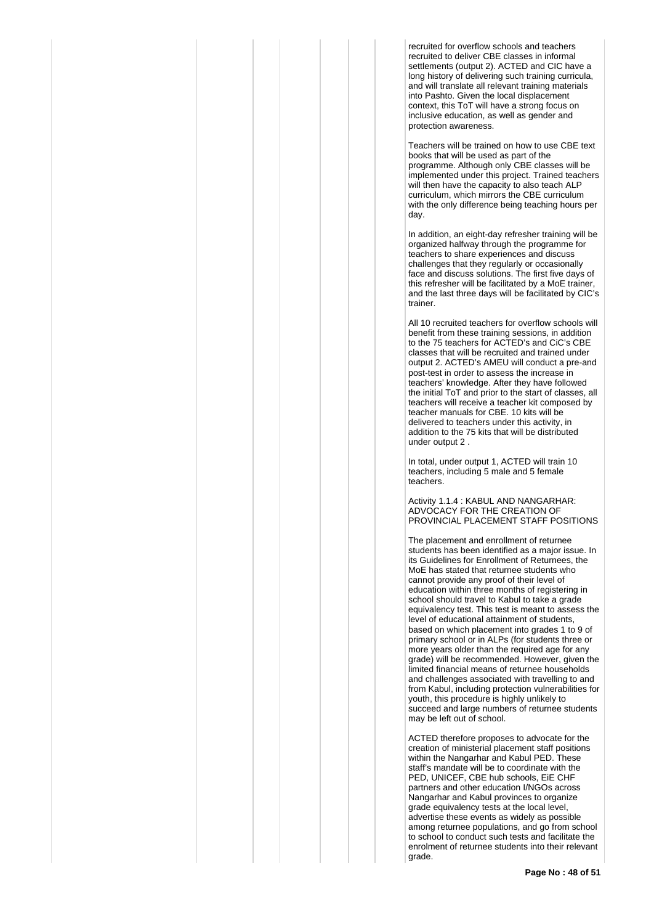recruited for overflow schools and teachers recruited to deliver CBE classes in informal settlements (output 2). ACTED and CIC have a long history of delivering such training curricula, and will translate all relevant training materials into Pashto. Given the local displacement context, this ToT will have a strong focus on inclusive education, as well as gender and protection awareness.

Teachers will be trained on how to use CBE text books that will be used as part of the programme. Although only CBE classes will be implemented under this project. Trained teachers will then have the capacity to also teach ALP curriculum, which mirrors the CBE curriculum with the only difference being teaching hours per day.

In addition, an eight-day refresher training will be organized halfway through the programme for teachers to share experiences and discuss challenges that they regularly or occasionally face and discuss solutions. The first five days of this refresher will be facilitated by a MoE trainer, and the last three days will be facilitated by CIC's trainer.

All 10 recruited teachers for overflow schools will benefit from these training sessions, in addition to the 75 teachers for ACTED's and CiC's CBE classes that will be recruited and trained under output 2. ACTED's AMEU will conduct a pre-and post-test in order to assess the increase in teachers' knowledge. After they have followed the initial ToT and prior to the start of classes, all teachers will receive a teacher kit composed by teacher manuals for CBE. 10 kits will be delivered to teachers under this activity, in addition to the 75 kits that will be distributed under output 2 .

In total, under output 1, ACTED will train 10 teachers, including 5 male and 5 female teachers.

Activity 1.1.4 : KABUL AND NANGARHAR: ADVOCACY FOR THE CREATION OF PROVINCIAL PLACEMENT STAFF POSITIONS

The placement and enrollment of returnee students has been identified as a major issue. In its Guidelines for Enrollment of Returnees, the MoE has stated that returnee students who cannot provide any proof of their level of education within three months of registering in school should travel to Kabul to take a grade equivalency test. This test is meant to assess the level of educational attainment of students, based on which placement into grades 1 to 9 of primary school or in ALPs (for students three or more years older than the required age for any grade) will be recommended. However, given the limited financial means of returnee households and challenges associated with travelling to and from Kabul, including protection vulnerabilities for youth, this procedure is highly unlikely to succeed and large numbers of returnee students may be left out of school.

ACTED therefore proposes to advocate for the creation of ministerial placement staff positions within the Nangarhar and Kabul PED. These staff's mandate will be to coordinate with the PED, UNICEF, CBE hub schools, EiE CHF partners and other education I/NGOs across Nangarhar and Kabul provinces to organize grade equivalency tests at the local level, advertise these events as widely as possible among returnee populations, and go from school to school to conduct such tests and facilitate the enrolment of returnee students into their relevant grade.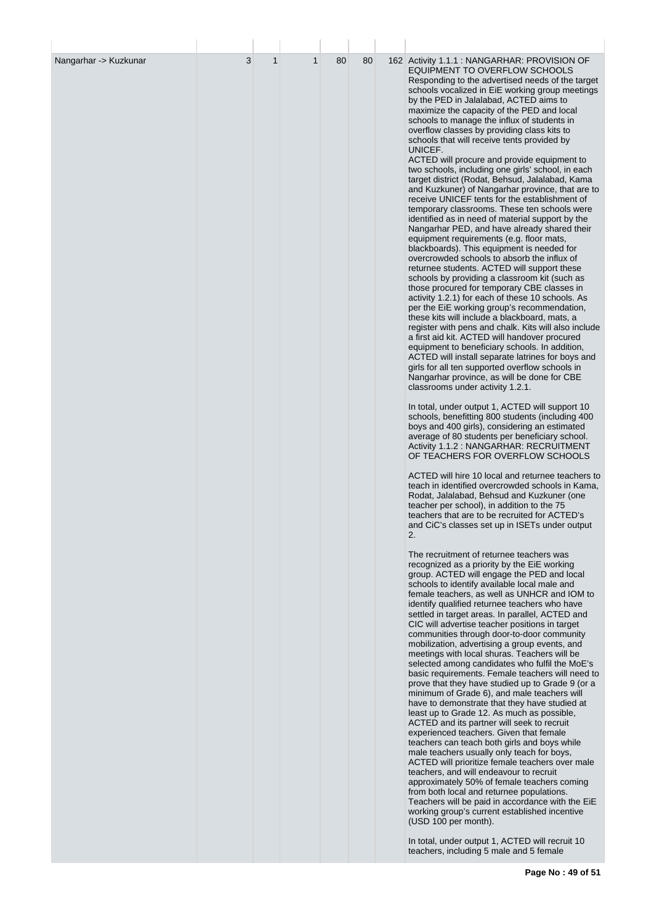| Nangarhar -> Kuzkunar | 3 | $\mathbf{1}$ | $\mathbf{1}$ | 80 | 80 | 162 Activity 1.1.1 : NANGARHAR: PROVISION OF<br>EQUIPMENT TO OVERFLOW SCHOOLS<br>Responding to the advertised needs of the target<br>schools vocalized in EiE working group meetings<br>by the PED in Jalalabad, ACTED aims to<br>maximize the capacity of the PED and local<br>schools to manage the influx of students in<br>overflow classes by providing class kits to<br>schools that will receive tents provided by<br>UNICEF.<br>ACTED will procure and provide equipment to<br>two schools, including one girls' school, in each<br>target district (Rodat, Behsud, Jalalabad, Kama<br>and Kuzkuner) of Nangarhar province, that are to<br>receive UNICEF tents for the establishment of<br>temporary classrooms. These ten schools were<br>identified as in need of material support by the<br>Nangarhar PED, and have already shared their<br>equipment requirements (e.g. floor mats,<br>blackboards). This equipment is needed for<br>overcrowded schools to absorb the influx of<br>returnee students. ACTED will support these<br>schools by providing a classroom kit (such as<br>those procured for temporary CBE classes in<br>activity 1.2.1) for each of these 10 schools. As<br>per the EiE working group's recommendation,<br>these kits will include a blackboard, mats, a<br>register with pens and chalk. Kits will also include<br>a first aid kit. ACTED will handover procured<br>equipment to beneficiary schools. In addition,<br>ACTED will install separate latrines for boys and<br>girls for all ten supported overflow schools in<br>Nangarhar province, as will be done for CBE<br>classrooms under activity 1.2.1. |
|-----------------------|---|--------------|--------------|----|----|--------------------------------------------------------------------------------------------------------------------------------------------------------------------------------------------------------------------------------------------------------------------------------------------------------------------------------------------------------------------------------------------------------------------------------------------------------------------------------------------------------------------------------------------------------------------------------------------------------------------------------------------------------------------------------------------------------------------------------------------------------------------------------------------------------------------------------------------------------------------------------------------------------------------------------------------------------------------------------------------------------------------------------------------------------------------------------------------------------------------------------------------------------------------------------------------------------------------------------------------------------------------------------------------------------------------------------------------------------------------------------------------------------------------------------------------------------------------------------------------------------------------------------------------------------------------------------------------------------------------------------------------------------|
|                       |   |              |              |    |    | In total, under output 1, ACTED will support 10<br>schools, benefitting 800 students (including 400<br>boys and 400 girls), considering an estimated<br>average of 80 students per beneficiary school.<br>Activity 1.1.2 : NANGARHAR: RECRUITMENT<br>OF TEACHERS FOR OVERFLOW SCHOOLS                                                                                                                                                                                                                                                                                                                                                                                                                                                                                                                                                                                                                                                                                                                                                                                                                                                                                                                                                                                                                                                                                                                                                                                                                                                                                                                                                                  |
|                       |   |              |              |    |    | ACTED will hire 10 local and returnee teachers to<br>teach in identified overcrowded schools in Kama,<br>Rodat, Jalalabad, Behsud and Kuzkuner (one<br>teacher per school), in addition to the 75<br>teachers that are to be recruited for ACTED's<br>and CiC's classes set up in ISETs under output<br>2.                                                                                                                                                                                                                                                                                                                                                                                                                                                                                                                                                                                                                                                                                                                                                                                                                                                                                                                                                                                                                                                                                                                                                                                                                                                                                                                                             |
|                       |   |              |              |    |    | The recruitment of returnee teachers was<br>recognized as a priority by the EiE working<br>group. ACTED will engage the PED and local<br>schools to identify available local male and<br>female teachers, as well as UNHCR and IOM to<br>identify qualified returnee teachers who have<br>settled in target areas. In parallel, ACTED and<br>CIC will advertise teacher positions in target<br>communities through door-to-door community<br>mobilization, advertising a group events, and<br>meetings with local shuras. Teachers will be<br>selected among candidates who fulfil the MoE's<br>basic requirements. Female teachers will need to<br>prove that they have studied up to Grade 9 (or a<br>minimum of Grade 6), and male teachers will<br>have to demonstrate that they have studied at<br>least up to Grade 12. As much as possible,<br>ACTED and its partner will seek to recruit<br>experienced teachers. Given that female<br>teachers can teach both girls and boys while<br>male teachers usually only teach for boys,<br>ACTED will prioritize female teachers over male<br>teachers, and will endeavour to recruit<br>approximately 50% of female teachers coming<br>from both local and returnee populations.<br>Teachers will be paid in accordance with the EiE<br>working group's current established incentive<br>(USD 100 per month).                                                                                                                                                                                                                                                                                       |
|                       |   |              |              |    |    | In total, under output 1, ACTED will recruit 10<br>teachers, including 5 male and 5 female                                                                                                                                                                                                                                                                                                                                                                                                                                                                                                                                                                                                                                                                                                                                                                                                                                                                                                                                                                                                                                                                                                                                                                                                                                                                                                                                                                                                                                                                                                                                                             |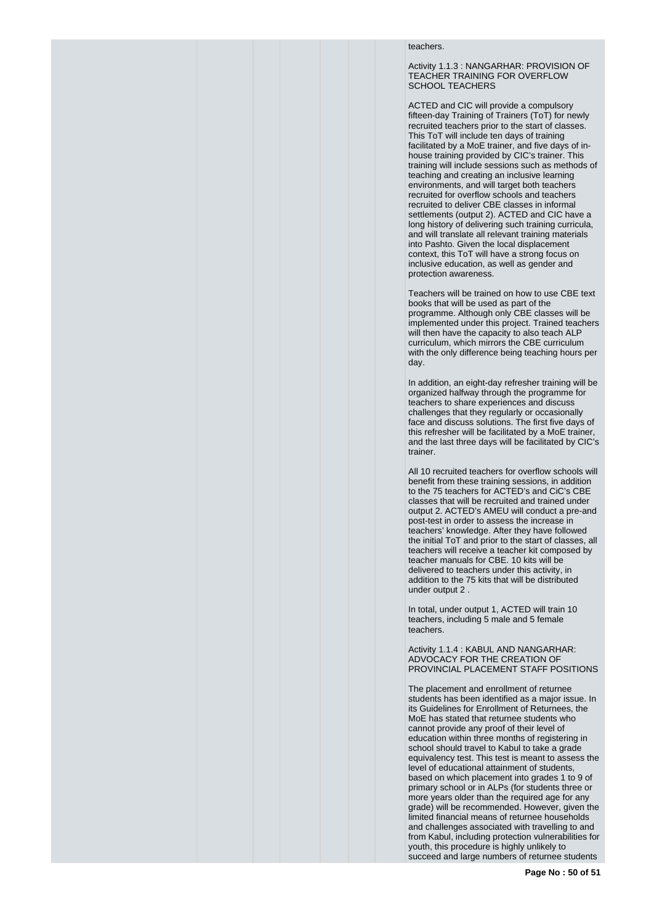#### teachers.

Activity 1.1.3 : NANGARHAR: PROVISION OF TEACHER TRAINING FOR OVERFLOW SCHOOL TEACHERS

ACTED and CIC will provide a compulsory fifteen-day Training of Trainers (ToT) for newly recruited teachers prior to the start of classes. This ToT will include ten days of training facilitated by a MoE trainer, and five days of inhouse training provided by CIC's trainer. This training will include sessions such as methods of teaching and creating an inclusive learning environments, and will target both teachers recruited for overflow schools and teachers recruited to deliver CBE classes in informal settlements (output 2). ACTED and CIC have a long history of delivering such training curricula, and will translate all relevant training materials into Pashto. Given the local displacement context, this ToT will have a strong focus on inclusive education, as well as gender and protection awareness.

Teachers will be trained on how to use CBE text books that will be used as part of the programme. Although only CBE classes will be implemented under this project. Trained teachers will then have the capacity to also teach ALP curriculum, which mirrors the CBE curriculum with the only difference being teaching hours per day.

In addition, an eight-day refresher training will be organized halfway through the programme for teachers to share experiences and discuss challenges that they regularly or occasionally face and discuss solutions. The first five days of this refresher will be facilitated by a MoE trainer, and the last three days will be facilitated by CIC's trainer.

All 10 recruited teachers for overflow schools will benefit from these training sessions, in addition to the 75 teachers for ACTED's and CiC's CBE classes that will be recruited and trained under output 2. ACTED's AMEU will conduct a pre-and post-test in order to assess the increase in teachers' knowledge. After they have followed the initial ToT and prior to the start of classes, all teachers will receive a teacher kit composed by teacher manuals for CBE. 10 kits will be delivered to teachers under this activity, in addition to the 75 kits that will be distributed under output 2 .

In total, under output 1, ACTED will train 10 teachers, including 5 male and 5 female teachers.

Activity 1.1.4 : KABUL AND NANGARHAR: ADVOCACY FOR THE CREATION OF PROVINCIAL PLACEMENT STAFF POSITIONS

The placement and enrollment of returnee students has been identified as a major issue. In its Guidelines for Enrollment of Returnees, the MoE has stated that returnee students who cannot provide any proof of their level of education within three months of registering in school should travel to Kabul to take a grade equivalency test. This test is meant to assess the level of educational attainment of students, based on which placement into grades 1 to 9 of primary school or in ALPs (for students three or more years older than the required age for any grade) will be recommended. However, given the limited financial means of returnee households and challenges associated with travelling to and from Kabul, including protection vulnerabilities for youth, this procedure is highly unlikely to succeed and large numbers of returnee students